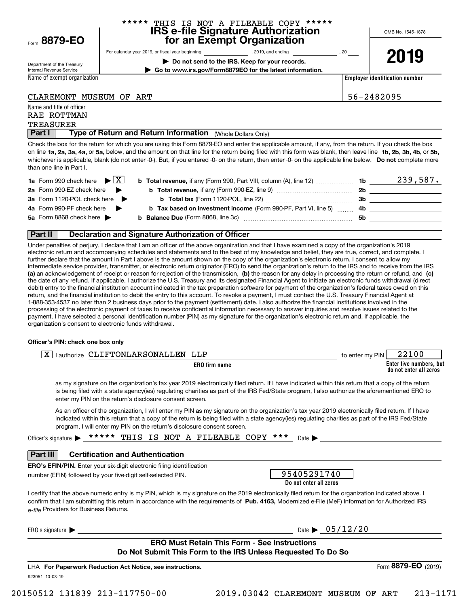Form**8879-EO**

#### **IRS e-file Signature Authorization for an Exempt Organization** THIS IS NOT A FILEABLE COPY \*\*\*\*\*

OMB No. 1545-1878

**2019**

Department of the Treasury Internal Revenue Service

For calendar year 2019, or fiscal year beginning and the state of the state of 2019, and ending calendary permu **| Do not send to the IRS. Keep for your records.**

**| Go to www.irs.gov/Form8879EO for the latest information.**

Name of exempt organization

**Employer identification number**

CLAREMONT MUSEUM OF ART 56-2482095

Name and title of officer

#### TREASURER RAE ROTTMAN

**Part I | Type of Return and Return Information** (Whole Dollars Only)<br>Check the box for the return for which you are using this Form 8879-FO and enter the an

on line **1a, 2a, 3a, 4a,** or **5a,** below, and the amount on that line for the return being filed with this form was blank, then leave line **1b, 2b, 3b, 4b,** or **5b,** whichever is applicable, blank (do not enter -0-). But, if you entered -0- on the return, then enter -0- on the applicable line below. **Do not** complete more Check the box for the return for which you are using this Form 8879-EO and enter the applicable amount, if any, from the return. If you check the box than one line in Part I.

| <b>1a</b> Form 990 check here $\triangleright \boxed{X}$ | <b>b Total revenue,</b> if any (Form 990, Part VIII, column (A), line 12)              | 1b. | 239,587. |
|----------------------------------------------------------|----------------------------------------------------------------------------------------|-----|----------|
| 2a Form 990-EZ check here $\blacktriangleright$          | <b>b</b> Total revenue, if any (Form 990-EZ, line 9)                                   | 2b  |          |
| <b>3a</b> Form 1120-POL check here ▶                     | <b>b</b> Total tax (Form 1120-POL, line 22) <b>Constant Contract Constant Constant</b> | 3b  |          |
| 4a Form 990-PF check here $\blacktriangleright$          | <b>b</b> Tax based on investment income (Form 990-PF, Part VI, line 5) 4b              |     |          |
| 5a Form 8868 check here $\blacktriangleright$            | <b>b</b> Balance Due (Form 8868, line 3c)                                              | 5b  |          |
|                                                          |                                                                                        |     |          |

#### **Part II Declaration and Signature Authorization of Officer**

**(a)** an acknowledgement of receipt or reason for rejection of the transmission, (b) the reason for any delay in processing the return or refund, and (c) Under penalties of perjury, I declare that I am an officer of the above organization and that I have examined a copy of the organization's 2019 electronic return and accompanying schedules and statements and to the best of my knowledge and belief, they are true, correct, and complete. I further declare that the amount in Part I above is the amount shown on the copy of the organization's electronic return. I consent to allow my intermediate service provider, transmitter, or electronic return originator (ERO) to send the organization's return to the IRS and to receive from the IRS the date of any refund. If applicable, I authorize the U.S. Treasury and its designated Financial Agent to initiate an electronic funds withdrawal (direct debit) entry to the financial institution account indicated in the tax preparation software for payment of the organization's federal taxes owed on this return, and the financial institution to debit the entry to this account. To revoke a payment, I must contact the U.S. Treasury Financial Agent at 1-888-353-4537 no later than 2 business days prior to the payment (settlement) date. I also authorize the financial institutions involved in the processing of the electronic payment of taxes to receive confidential information necessary to answer inquiries and resolve issues related to the payment. I have selected a personal identification number (PIN) as my signature for the organization's electronic return and, if applicable, the organization's consent to electronic funds withdrawal.

#### **Officer's PIN: check one box only**

| र<br>ONLARSONALLEN<br>$\Gamma$ FTT $C$<br>. authorize<br>△ | ⊔⊤⊓           | PIN<br>to enter my | .00                                               |
|------------------------------------------------------------|---------------|--------------------|---------------------------------------------------|
|                                                            | ERO firm name |                    | Enter five numbers, but<br>do not enter all zeros |

as my signature on the organization's tax year 2019 electronically filed return. If I have indicated within this return that a copy of the return is being filed with a state agency(ies) regulating charities as part of the IRS Fed/State program, I also authorize the aforementioned ERO to enter my PIN on the return's disclosure consent screen.

As an officer of the organization, I will enter my PIN as my signature on the organization's tax year 2019 electronically filed return. If I have indicated within this return that a copy of the return is being filed with a state agency(ies) regulating charities as part of the IRS Fed/State program, I will enter my PIN on the return's disclosure consent screen.

| ***** THIS IS NOT A FILEABLE COPY *** Date<br>Officer's signature $\blacktriangleright$ |
|-----------------------------------------------------------------------------------------|
|-----------------------------------------------------------------------------------------|

# **Part III Certification and Authentication**

**ERO's EFIN/PIN.** Enter your six-digit electronic filing identification number (EFIN) followed by your five-digit self-selected PIN.

| 95405291740            |
|------------------------|
| Do not enter all zeros |

confirm that I am submitting this return in accordance with the requirements of **Pub. 4163,** Modernized e-File (MeF) Information for Authorized IRS *e-file*  Providers for Business Returns. I certify that the above numeric entry is my PIN, which is my signature on the 2019 electronically filed return for the organization indicated above. I

 $ERO's$  signature  $\blacktriangleright$ 

Date  $\frac{05}{12}$ /20

### **ERO Must Retain This Form - See Instructions Do Not Submit This Form to the IRS Unless Requested To Do So**

923051 10-03-19 LHA For Paperwork Reduction Act Notice, see instructions. Form (2019) **8879-EO**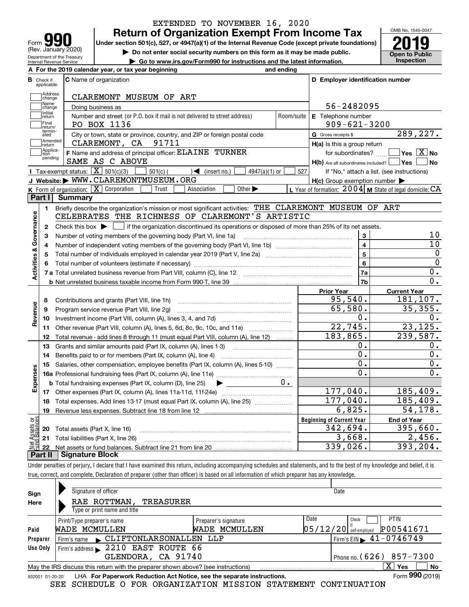| Form                                                   |
|--------------------------------------------------------|
| (Rev. January 2020)                                    |
| Department of the Treasury<br>Internal Revenue Service |

# **Return of Organization Exempt From Income Tax** EXTENDED TO NOVEMBER 16, 2020

Under section 501(c), 527, or 4947(a)(1) of the Internal Revenue Code (except private foundations) **2019** 

**| Do not enter social security numbers on this form as it may be made public.**

**| Go to www.irs.gov/Form990 for instructions and the latest information. Inspection**

OMB No. 1545-0047 **Open to Public** 

| A For the 2019 calendar year, or tax year beginning<br>and ending                                                                                      |                                                     |                                                           |
|--------------------------------------------------------------------------------------------------------------------------------------------------------|-----------------------------------------------------|-----------------------------------------------------------|
| В<br><b>C</b> Name of organization<br>Check if<br>applicable:                                                                                          | D Employer identification number                    |                                                           |
| Address<br>CLAREMONT MUSEUM OF ART<br>change                                                                                                           |                                                     |                                                           |
| Name<br>Doing business as<br>change                                                                                                                    | 56-2482095                                          |                                                           |
| Initial<br>Number and street (or P.O. box if mail is not delivered to street address)<br>return                                                        | E Telephone number<br>Room/suite                    |                                                           |
| <b>Final</b><br>PO BOX 1136<br>return/                                                                                                                 | $909 - 621 - 3200$                                  |                                                           |
| termin-<br>ated<br>City or town, state or province, country, and ZIP or foreign postal code                                                            | G Gross receipts \$                                 | 289,227.                                                  |
| Amended<br>CLAREMONT, CA 91711<br>return                                                                                                               | $H(a)$ is this a group return                       |                                                           |
| Applica-<br>F Name and address of principal officer: ELAINE TURNER<br>tion                                                                             |                                                     | for subordinates? $\Box$ Yes $\boxed{X}$ No               |
| pending<br>SAME AS C ABOVE                                                                                                                             | H(b) Are all subordinates included?   Yes           | ∣No                                                       |
| Tax-exempt status: $\boxed{\mathbf{X}}$ 501(c)(3) $\boxed{\mathbf{X}}$<br>$501(c)$ (<br>$\sqrt{\frac{1}{1}}$ (insert no.)<br>$4947(a)(1)$ or           | 527                                                 | If "No," attach a list. (see instructions)                |
| J Website: WWW.CLAREMONTMUSEUM.ORG                                                                                                                     | $H(c)$ Group exemption number $\blacktriangleright$ |                                                           |
| K Form of organization: $\boxed{\mathbf{X}}$ Corporation<br>Trust<br>Other $\blacktriangleright$<br>Association                                        |                                                     | L Year of formation: $2004$ M State of legal domicile: CA |
| Part I<br>Summary                                                                                                                                      |                                                     |                                                           |
| Briefly describe the organization's mission or most significant activities: THE CLAREMONT MUSEUM OF ART<br>1.                                          |                                                     |                                                           |
| CELEBRATES THE RICHNESS OF CLAREMONT'S ARTISTIC                                                                                                        |                                                     |                                                           |
| Check this box $\blacktriangleright$   if the organization discontinued its operations or disposed of more than 25% of its net assets.<br>$\mathbf{2}$ |                                                     |                                                           |
| Number of voting members of the governing body (Part VI, line 1a)<br>3                                                                                 | 3                                                   | 10                                                        |
| 4                                                                                                                                                      | $\overline{4}$                                      | 10                                                        |
| 5                                                                                                                                                      | 5                                                   | 0                                                         |
|                                                                                                                                                        | 6                                                   | $\overline{0}$                                            |
|                                                                                                                                                        | 7a                                                  | 0.                                                        |
|                                                                                                                                                        | 7b                                                  | $\overline{0}$ .                                          |
|                                                                                                                                                        | Prior Year                                          | <b>Current Year</b>                                       |
| Contributions and grants (Part VIII, line 1h)<br>8                                                                                                     | 95,540.                                             | 181,107.                                                  |
| Program service revenue (Part VIII, line 2g)<br>9                                                                                                      | 65,580.                                             | 35,355.                                                   |
| 10                                                                                                                                                     | 0.                                                  | 0.                                                        |
| Other revenue (Part VIII, column (A), lines 5, 6d, 8c, 9c, 10c, and 11e)<br>11                                                                         | 22,745.                                             | 23, 125.                                                  |
| Total revenue - add lines 8 through 11 (must equal Part VIII, column (A), line 12)<br>12                                                               | 183,865.                                            | 239,587.                                                  |
| Grants and similar amounts paid (Part IX, column (A), lines 1-3)<br>13                                                                                 | о.                                                  | $\mathbf 0$ .                                             |
| Benefits paid to or for members (Part IX, column (A), line 4)<br>14                                                                                    | 0.                                                  | $\overline{0}$ .                                          |
| Salaries, other compensation, employee benefits (Part IX, column (A), lines 5-10)<br>15                                                                | $\overline{0}$ .                                    | $\mathbf 0$ .                                             |
|                                                                                                                                                        | $\mathbf 0$ .                                       | 0.                                                        |
| $0 \cdot$<br><b>b</b> Total fundraising expenses (Part IX, column (D), line 25)                                                                        |                                                     |                                                           |
|                                                                                                                                                        | 177,040.                                            | 185,409.                                                  |
| Total expenses. Add lines 13-17 (must equal Part IX, column (A), line 25) [<br>18                                                                      | 177,040.                                            | 185,409.                                                  |
| 19                                                                                                                                                     | 6,825.                                              | 54,178.                                                   |
|                                                                                                                                                        | <b>Beginning of Current Year</b>                    | <b>End of Year</b>                                        |
| 20 Total assets (Part X, line 16)                                                                                                                      | 342,694.                                            | 395,660.                                                  |
| sets<br>alanc<br>21 Total liabilities (Part X, line 26)                                                                                                | 3,668.                                              | 2,456.                                                    |
| 22                                                                                                                                                     | 339,026.                                            | 393, 204.                                                 |
| <b>Signature Block</b><br>Part II                                                                                                                      |                                                     |                                                           |

Under penalties of perjury, I declare that I have examined this return, including accompanying schedules and statements, and to the best of my knowledge and belief, it is true, correct, and complete. Declaration of preparer (other than officer) is based on all information of which preparer has any knowledge.

|                 | Signature of officer                                                                                                  |                      |      | Date                                            |  |  |  |
|-----------------|-----------------------------------------------------------------------------------------------------------------------|----------------------|------|-------------------------------------------------|--|--|--|
| Sign            |                                                                                                                       |                      |      |                                                 |  |  |  |
| Here            | RAE ROTTMAN,<br>TREASURER<br>Type or print name and title                                                             |                      |      |                                                 |  |  |  |
|                 | Print/Type preparer's name                                                                                            | Preparer's signature | Date | <b>PTIN</b><br>Check                            |  |  |  |
| Paid            | WADE MCMULLEN                                                                                                         | WADE MCMULLEN        |      | P00541671<br>$05/12/20$ self-employed           |  |  |  |
| Preparer        | Firm's name CLIFTONLARSONALLEN LLP                                                                                    |                      |      | $1$ Firm's EIN $\blacktriangleright$ 41-0746749 |  |  |  |
| Use Only        | Firm's address > 2210 EAST ROUTE 66                                                                                   |                      |      |                                                 |  |  |  |
|                 | GLENDORA, CA 91740                                                                                                    |                      |      | Phone no. $(626)$ 857-7300                      |  |  |  |
|                 | $\mathbf{X}$<br><b>No</b><br>Yes<br>May the IRS discuss this return with the preparer shown above? (see instructions) |                      |      |                                                 |  |  |  |
| 932001 01-20-20 | LHA For Paperwork Reduction Act Notice, see the separate instructions.                                                |                      |      | Form 990 (2019)                                 |  |  |  |

SEE SCHEDULE O FOR ORGANIZATION MISSION STATEMENT CONTINUATION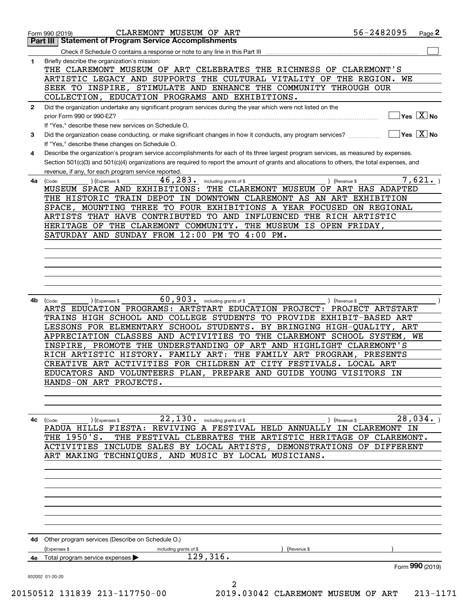|              | <b>Part III Statement of Program Service Accomplishments</b>                                                                                 |
|--------------|----------------------------------------------------------------------------------------------------------------------------------------------|
|              |                                                                                                                                              |
| 1.           | Briefly describe the organization's mission:                                                                                                 |
|              | THE CLAREMONT MUSEUM OF ART CELEBRATES THE RICHNESS OF CLAREMONT'S                                                                           |
|              | ARTISTIC LEGACY AND SUPPORTS THE CULTURAL VITALITY OF THE REGION. WE                                                                         |
|              | SEEK TO INSPIRE, STIMULATE AND ENHANCE THE COMMUNITY THROUGH OUR                                                                             |
|              | COLLECTION, EDUCATION PROGRAMS AND EXHIBITIONS.                                                                                              |
| $\mathbf{2}$ | Did the organization undertake any significant program services during the year which were not listed on the                                 |
|              | $]$ Yes $[\overline{\mathrm{X}}]$ No<br>prior Form 990 or 990-EZ?                                                                            |
|              | If "Yes," describe these new services on Schedule O.                                                                                         |
|              | $\boxed{\phantom{1}}$ Yes $\boxed{\text{X}}$ No                                                                                              |
| 3            | Did the organization cease conducting, or make significant changes in how it conducts, any program services?                                 |
|              | If "Yes," describe these changes on Schedule O.                                                                                              |
| 4            | Describe the organization's program service accomplishments for each of its three largest program services, as measured by expenses.         |
|              | Section 501(c)(3) and 501(c)(4) organizations are required to report the amount of grants and allocations to others, the total expenses, and |
|              | revenue, if any, for each program service reported.                                                                                          |
| 4a           | 7,621.<br>46, 283. including grants of \$<br>) (Expenses \$<br>) (Revenue \$<br>(Code:                                                       |
|              | MUSEUM SPACE AND EXHIBITIONS: THE CLAREMONT MUSEUM OF ART HAS ADAPTED                                                                        |
|              | THE HISTORIC TRAIN DEPOT IN DOWNTOWN CLAREMONT AS AN ART EXHIBITION                                                                          |
|              | SPACE, MOUNTING THREE TO FOUR EXHIBITIONS A YEAR FOCUSED ON REGIONAL                                                                         |
|              | ARTISTS THAT HAVE CONTRIBUTED TO AND INFLUENCED THE RICH ARTISTIC                                                                            |
|              | HERITAGE OF THE CLAREMONT COMMUNITY. THE MUSEUM IS OPEN FRIDAY,                                                                              |
|              | SATURDAY AND SUNDAY FROM 12:00 PM TO 4:00 PM.                                                                                                |
|              |                                                                                                                                              |
|              |                                                                                                                                              |
|              |                                                                                                                                              |
|              |                                                                                                                                              |
|              |                                                                                                                                              |
|              |                                                                                                                                              |
|              |                                                                                                                                              |
| 4b           | 60, 903. including grants of \$<br>) (Expenses \$<br>) (Revenue \$<br>(Code:                                                                 |
|              | ARTS EDUCATION PROGRAMS: ARTSTART EDUCATION PROJECT: PROJECT ARTSTART                                                                        |
|              | TRAINS HIGH SCHOOL AND COLLEGE STUDENTS TO PROVIDE EXHIBIT-BASED ART                                                                         |
|              | LESSONS FOR ELEMENTARY SCHOOL STUDENTS. BY BRINGING HIGH-QUALITY, ART                                                                        |
|              | APPRECIATION CLASSES AND ACTIVITIES TO THE CLAREMONT SCHOOL SYSTEM, WE                                                                       |
|              | INSPIRE, PROMOTE THE UNDERSTANDING OF ART AND HIGHLIGHT CLAREMONT'S                                                                          |
|              | RICH ARTISTIC HISTORY. FAMILY ART: THE FAMILY ART PROGRAM, PRESENTS                                                                          |
|              | CREATIVE ART ACTIVITIES FOR CHILDREN AT CITY FESTIVALS. LOCAL ART                                                                            |
|              | EDUCATORS AND VOLUNTEERS PLAN, PREPARE AND GUIDE YOUNG VISITORS IN                                                                           |
|              | HANDS-ON ART PROJECTS.                                                                                                                       |
|              |                                                                                                                                              |
|              |                                                                                                                                              |
|              |                                                                                                                                              |
| 4с           | 28,034.<br>22,130.<br>(Revenue \$                                                                                                            |
|              | including grants of \$<br>(Expenses \$<br>(Code:<br>PADUA HILLS FIESTA: REVIVING A FESTIVAL HELD ANNUALLY IN CLAREMONT IN                    |
|              | THE 1950'S.<br>THE FESTIVAL CLEBRATES THE ARTISTIC HERITAGE OF CLAREMONT.                                                                    |
|              |                                                                                                                                              |
|              | ACTIVITIES INCLUDE SALES BY LOCAL ARTISTS, DEMONSTRATIONS OF DIFFERENT                                                                       |
|              | ART MAKING TECHNIQUES, AND MUSIC BY LOCAL MUSICIANS.                                                                                         |
|              |                                                                                                                                              |
|              |                                                                                                                                              |
|              |                                                                                                                                              |
|              |                                                                                                                                              |
|              |                                                                                                                                              |
|              |                                                                                                                                              |
|              |                                                                                                                                              |
|              |                                                                                                                                              |
|              |                                                                                                                                              |
|              |                                                                                                                                              |
|              | 4d Other program services (Describe on Schedule O.)                                                                                          |
|              | (Expenses \$<br>(Revenue \$<br>including grants of \$                                                                                        |
| 4е           | 129,316.<br>Total program service expenses<br>Form 990 (2019)                                                                                |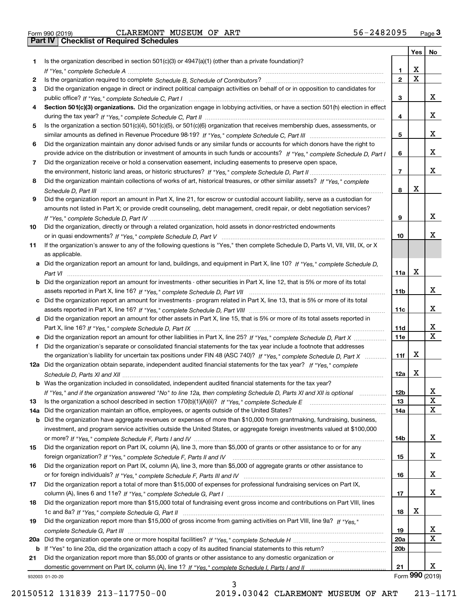| Form 990 (2019) |  |  |
|-----------------|--|--|

|     |                                                                                                                                  |                 | Yes                     | No              |
|-----|----------------------------------------------------------------------------------------------------------------------------------|-----------------|-------------------------|-----------------|
| 1.  | Is the organization described in section $501(c)(3)$ or $4947(a)(1)$ (other than a private foundation)?                          |                 |                         |                 |
|     |                                                                                                                                  | 1.              | X                       |                 |
| 2   |                                                                                                                                  | $\overline{2}$  | $\overline{\mathbf{x}}$ |                 |
| 3   | Did the organization engage in direct or indirect political campaign activities on behalf of or in opposition to candidates for  |                 |                         |                 |
|     |                                                                                                                                  | 3               |                         | х               |
| 4   | Section 501(c)(3) organizations. Did the organization engage in lobbying activities, or have a section 501(h) election in effect |                 |                         |                 |
|     |                                                                                                                                  | 4               |                         | x               |
| 5   | Is the organization a section 501(c)(4), 501(c)(5), or 501(c)(6) organization that receives membership dues, assessments, or     |                 |                         |                 |
|     |                                                                                                                                  | 5               |                         | x               |
| 6   | Did the organization maintain any donor advised funds or any similar funds or accounts for which donors have the right to        |                 |                         |                 |
|     | provide advice on the distribution or investment of amounts in such funds or accounts? If "Yes," complete Schedule D, Part I     | 6               |                         | x               |
| 7   | Did the organization receive or hold a conservation easement, including easements to preserve open space,                        |                 |                         |                 |
|     |                                                                                                                                  | $\overline{7}$  |                         | x               |
| 8   | Did the organization maintain collections of works of art, historical treasures, or other similar assets? If "Yes," complete     |                 |                         |                 |
|     |                                                                                                                                  | 8               | X                       |                 |
| 9   | Did the organization report an amount in Part X, line 21, for escrow or custodial account liability, serve as a custodian for    |                 |                         |                 |
|     | amounts not listed in Part X; or provide credit counseling, debt management, credit repair, or debt negotiation services?        |                 |                         |                 |
|     |                                                                                                                                  | 9               |                         | х               |
| 10  | Did the organization, directly or through a related organization, hold assets in donor-restricted endowments                     |                 |                         | x               |
|     |                                                                                                                                  | 10              |                         |                 |
| 11  | If the organization's answer to any of the following questions is "Yes," then complete Schedule D, Parts VI, VII, VIII, IX, or X |                 |                         |                 |
|     | as applicable.                                                                                                                   |                 |                         |                 |
|     | a Did the organization report an amount for land, buildings, and equipment in Part X, line 10? If "Yes," complete Schedule D,    |                 | X                       |                 |
|     |                                                                                                                                  | 11a             |                         |                 |
|     | b Did the organization report an amount for investments - other securities in Part X, line 12, that is 5% or more of its total   | 11 <sub>b</sub> |                         | х               |
|     |                                                                                                                                  |                 |                         |                 |
|     | c Did the organization report an amount for investments - program related in Part X, line 13, that is 5% or more of its total    | 11c             |                         | х               |
|     | d Did the organization report an amount for other assets in Part X, line 15, that is 5% or more of its total assets reported in  |                 |                         |                 |
|     |                                                                                                                                  | 11d             |                         | x               |
|     | e Did the organization report an amount for other liabilities in Part X, line 25? If "Yes," complete Schedule D, Part X          | 11e             |                         | $\mathbf X$     |
|     | Did the organization's separate or consolidated financial statements for the tax year include a footnote that addresses          |                 |                         |                 |
|     | the organization's liability for uncertain tax positions under FIN 48 (ASC 740)? If "Yes," complete Schedule D, Part X           | 11f             | X                       |                 |
|     | 12a Did the organization obtain separate, independent audited financial statements for the tax year? If "Yes," complete          |                 |                         |                 |
|     |                                                                                                                                  | 12a             | X                       |                 |
|     | b Was the organization included in consolidated, independent audited financial statements for the tax year?                      |                 |                         |                 |
|     | If "Yes," and if the organization answered "No" to line 12a, then completing Schedule D, Parts XI and XII is optional            | 12b             |                         | ᅀ               |
| 13  |                                                                                                                                  | 13              |                         | $\mathbf X$     |
| 14a | Did the organization maintain an office, employees, or agents outside of the United States?                                      | 14a             |                         | X               |
|     | <b>b</b> Did the organization have aggregate revenues or expenses of more than \$10,000 from grantmaking, fundraising, business, |                 |                         |                 |
|     | investment, and program service activities outside the United States, or aggregate foreign investments valued at \$100,000       |                 |                         |                 |
|     |                                                                                                                                  | 14b             |                         | x               |
| 15  | Did the organization report on Part IX, column (A), line 3, more than \$5,000 of grants or other assistance to or for any        |                 |                         |                 |
|     |                                                                                                                                  | 15              |                         | x               |
| 16  | Did the organization report on Part IX, column (A), line 3, more than \$5,000 of aggregate grants or other assistance to         |                 |                         |                 |
|     |                                                                                                                                  | 16              |                         | x               |
| 17  | Did the organization report a total of more than \$15,000 of expenses for professional fundraising services on Part IX,          |                 |                         |                 |
|     |                                                                                                                                  | 17              |                         | x               |
| 18  | Did the organization report more than \$15,000 total of fundraising event gross income and contributions on Part VIII, lines     |                 |                         |                 |
|     |                                                                                                                                  | 18              | х                       |                 |
| 19  | Did the organization report more than \$15,000 of gross income from gaming activities on Part VIII, line 9a? If "Yes."           |                 |                         |                 |
|     |                                                                                                                                  | 19              |                         | X.              |
|     |                                                                                                                                  | 20a             |                         | $\mathbf x$     |
|     | b If "Yes" to line 20a, did the organization attach a copy of its audited financial statements to this return?                   | 20 <sub>b</sub> |                         |                 |
| 21  | Did the organization report more than \$5,000 of grants or other assistance to any domestic organization or                      |                 |                         |                 |
|     |                                                                                                                                  | 21              |                         | x               |
|     | 932003 01-20-20<br>ર                                                                                                             |                 |                         | Form 990 (2019) |

3

932003 01-20-20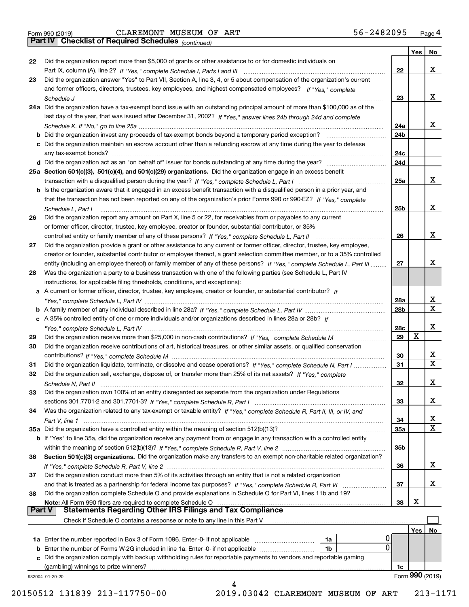*(continued)*

|               | Did the organization answer "Yes" to Part VII, Section A, line 3, 4, or 5 about compensation of the organization's current<br>and former officers, directors, trustees, key employees, and highest compensated employees? If "Yes," complete |                 |            |                 |
|---------------|----------------------------------------------------------------------------------------------------------------------------------------------------------------------------------------------------------------------------------------------|-----------------|------------|-----------------|
|               |                                                                                                                                                                                                                                              |                 |            | x               |
|               |                                                                                                                                                                                                                                              | 23              |            |                 |
|               | 24a Did the organization have a tax-exempt bond issue with an outstanding principal amount of more than \$100,000 as of the                                                                                                                  |                 |            |                 |
|               | last day of the year, that was issued after December 31, 2002? If "Yes," answer lines 24b through 24d and complete                                                                                                                           |                 |            |                 |
|               |                                                                                                                                                                                                                                              | 24a             |            | x               |
|               | <b>b</b> Did the organization invest any proceeds of tax-exempt bonds beyond a temporary period exception?                                                                                                                                   | 24b             |            |                 |
|               | c Did the organization maintain an escrow account other than a refunding escrow at any time during the year to defease                                                                                                                       |                 |            |                 |
|               |                                                                                                                                                                                                                                              | 24c<br>24d      |            |                 |
|               | 25a Section 501(c)(3), 501(c)(4), and 501(c)(29) organizations. Did the organization engage in an excess benefit                                                                                                                             |                 |            |                 |
|               |                                                                                                                                                                                                                                              | 25a             |            | x               |
|               | b Is the organization aware that it engaged in an excess benefit transaction with a disqualified person in a prior year, and                                                                                                                 |                 |            |                 |
|               | that the transaction has not been reported on any of the organization's prior Forms 990 or 990-EZ? If "Yes," complete                                                                                                                        |                 |            |                 |
|               | Schedule L. Part I                                                                                                                                                                                                                           | 25b             |            | x               |
| 26            | Did the organization report any amount on Part X, line 5 or 22, for receivables from or payables to any current                                                                                                                              |                 |            |                 |
|               | or former officer, director, trustee, key employee, creator or founder, substantial contributor, or 35%                                                                                                                                      |                 |            |                 |
|               |                                                                                                                                                                                                                                              | 26              |            | x               |
| 27            | Did the organization provide a grant or other assistance to any current or former officer, director, trustee, key employee,                                                                                                                  |                 |            |                 |
|               | creator or founder, substantial contributor or employee thereof, a grant selection committee member, or to a 35% controlled                                                                                                                  |                 |            |                 |
|               | entity (including an employee thereof) or family member of any of these persons? If "Yes," complete Schedule L, Part III                                                                                                                     | 27              |            | х               |
| 28            | Was the organization a party to a business transaction with one of the following parties (see Schedule L, Part IV                                                                                                                            |                 |            |                 |
|               | instructions, for applicable filing thresholds, conditions, and exceptions):                                                                                                                                                                 |                 |            |                 |
|               | a A current or former officer, director, trustee, key employee, creator or founder, or substantial contributor? If                                                                                                                           |                 |            |                 |
|               |                                                                                                                                                                                                                                              | 28a             |            | x               |
|               |                                                                                                                                                                                                                                              | 28 <sub>b</sub> |            | X               |
|               | c A 35% controlled entity of one or more individuals and/or organizations described in lines 28a or 28b? If                                                                                                                                  |                 |            | х               |
|               |                                                                                                                                                                                                                                              | 28c<br>29       | X          |                 |
| 29<br>30      |                                                                                                                                                                                                                                              |                 |            |                 |
|               | Did the organization receive contributions of art, historical treasures, or other similar assets, or qualified conservation                                                                                                                  | 30              |            | x               |
| 31            | Did the organization liquidate, terminate, or dissolve and cease operations? If "Yes," complete Schedule N, Part I                                                                                                                           | 31              |            | $\mathbf x$     |
| 32            | Did the organization sell, exchange, dispose of, or transfer more than 25% of its net assets? If "Yes." complete                                                                                                                             |                 |            |                 |
|               | Schedule N, Part II                                                                                                                                                                                                                          | 32              |            | х               |
| 33            | Did the organization own 100% of an entity disregarded as separate from the organization under Regulations                                                                                                                                   |                 |            |                 |
|               |                                                                                                                                                                                                                                              | 33              |            | х               |
| 34            | Was the organization related to any tax-exempt or taxable entity? If "Yes," complete Schedule R, Part II, III, or IV, and                                                                                                                    |                 |            |                 |
|               |                                                                                                                                                                                                                                              | 34              |            | X               |
|               | 35a Did the organization have a controlled entity within the meaning of section 512(b)(13)?                                                                                                                                                  | 35a             |            | X               |
|               | b If "Yes" to line 35a, did the organization receive any payment from or engage in any transaction with a controlled entity                                                                                                                  |                 |            |                 |
|               |                                                                                                                                                                                                                                              | 35b             |            |                 |
| 36            | Section 501(c)(3) organizations. Did the organization make any transfers to an exempt non-charitable related organization?                                                                                                                   |                 |            |                 |
|               |                                                                                                                                                                                                                                              | 36              |            | x               |
| 37            | Did the organization conduct more than 5% of its activities through an entity that is not a related organization                                                                                                                             |                 |            |                 |
|               |                                                                                                                                                                                                                                              | 37              |            | x               |
| 38            | Did the organization complete Schedule O and provide explanations in Schedule O for Part VI, lines 11b and 19?                                                                                                                               |                 | X          |                 |
| <b>Part V</b> | Note: All Form 990 filers are required to complete Schedule O<br><b>Statements Regarding Other IRS Filings and Tax Compliance</b>                                                                                                            | 38              |            |                 |
|               | Check if Schedule O contains a response or note to any line in this Part V                                                                                                                                                                   |                 |            |                 |
|               |                                                                                                                                                                                                                                              |                 | <b>Yes</b> | No              |
|               | Ü<br><b>1a</b> Enter the number reported in Box 3 of Form 1096. Enter -0- if not applicable <i>manumumumum</i><br>1a                                                                                                                         |                 |            |                 |
|               | $\Omega$<br>1b                                                                                                                                                                                                                               |                 |            |                 |
|               |                                                                                                                                                                                                                                              |                 |            |                 |
|               |                                                                                                                                                                                                                                              |                 |            |                 |
|               | c Did the organization comply with backup withholding rules for reportable payments to vendors and reportable gaming                                                                                                                         | 1c              |            |                 |
|               | (gambling) winnings to prize winners?<br>932004 01-20-20                                                                                                                                                                                     |                 |            | Form 990 (2019) |

 <sup>20150512 131839 213-117750-00 2019.03042</sup> CLAREMONT MUSEUM OF ART 213-1171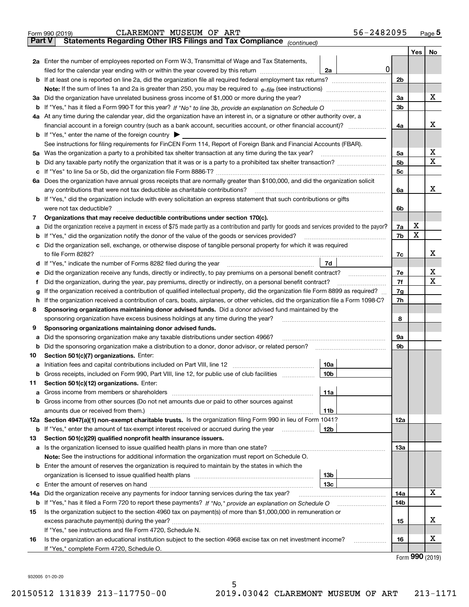| <b>Part V</b> | 56-2482095<br>CLAREMONT MUSEUM OF ART<br>Form 990 (2019)<br>Statements Regarding Other IRS Filings and Tax Compliance (continued)                                                                |                |     | Page 5                      |  |  |  |
|---------------|--------------------------------------------------------------------------------------------------------------------------------------------------------------------------------------------------|----------------|-----|-----------------------------|--|--|--|
|               |                                                                                                                                                                                                  |                |     |                             |  |  |  |
|               |                                                                                                                                                                                                  |                | Yes | No                          |  |  |  |
|               | 2a Enter the number of employees reported on Form W-3, Transmittal of Wage and Tax Statements,<br>$\mathbf 0$                                                                                    |                |     |                             |  |  |  |
|               | filed for the calendar year ending with or within the year covered by this return<br>2a                                                                                                          |                |     |                             |  |  |  |
|               | <b>b</b> If at least one is reported on line 2a, did the organization file all required federal employment tax returns?                                                                          | 2 <sub>b</sub> |     |                             |  |  |  |
|               | <b>Note:</b> If the sum of lines 1a and 2a is greater than 250, you may be required to $e$ -file (see instructions) <i>manimummmmmm</i>                                                          |                |     |                             |  |  |  |
|               | 3a Did the organization have unrelated business gross income of \$1,000 or more during the year?                                                                                                 | 3a             |     | x                           |  |  |  |
|               | b If "Yes," has it filed a Form 990-T for this year? If "No" to line 3b, provide an explanation on Schedule O                                                                                    | 3b             |     |                             |  |  |  |
|               | 4a At any time during the calendar year, did the organization have an interest in, or a signature or other authority over, a                                                                     |                |     | х                           |  |  |  |
|               | financial account in a foreign country (such as a bank account, securities account, or other financial account)?                                                                                 | 4a             |     |                             |  |  |  |
|               | <b>b</b> If "Yes," enter the name of the foreign country $\triangleright$<br>See instructions for filing requirements for FinCEN Form 114, Report of Foreign Bank and Financial Accounts (FBAR). |                |     |                             |  |  |  |
|               | 5a Was the organization a party to a prohibited tax shelter transaction at any time during the tax year?                                                                                         | 5a             |     | x                           |  |  |  |
| b             |                                                                                                                                                                                                  | 5 <sub>b</sub> |     | $\mathbf X$                 |  |  |  |
| c             |                                                                                                                                                                                                  | 5 <sub>c</sub> |     |                             |  |  |  |
|               | 6a Does the organization have annual gross receipts that are normally greater than \$100,000, and did the organization solicit                                                                   |                |     |                             |  |  |  |
|               | any contributions that were not tax deductible as charitable contributions?                                                                                                                      | 6a             |     | X.                          |  |  |  |
|               | <b>b</b> If "Yes," did the organization include with every solicitation an express statement that such contributions or gifts                                                                    |                |     |                             |  |  |  |
|               | were not tax deductible?                                                                                                                                                                         | 6b             |     |                             |  |  |  |
| 7             | Organizations that may receive deductible contributions under section 170(c).                                                                                                                    |                |     |                             |  |  |  |
| a             | Did the organization receive a payment in excess of \$75 made partly as a contribution and partly for goods and services provided to the payor?                                                  | 7a             | x   |                             |  |  |  |
| b             | If "Yes," did the organization notify the donor of the value of the goods or services provided?                                                                                                  | 7b             | X   |                             |  |  |  |
| c             | Did the organization sell, exchange, or otherwise dispose of tangible personal property for which it was required                                                                                |                |     |                             |  |  |  |
|               | to file Form 8282?                                                                                                                                                                               | 7c             |     | x                           |  |  |  |
|               | 7d<br>d If "Yes," indicate the number of Forms 8282 filed during the year                                                                                                                        |                |     |                             |  |  |  |
| е             | Did the organization receive any funds, directly or indirectly, to pay premiums on a personal benefit contract?                                                                                  | 7е             |     | X                           |  |  |  |
| Ť.            | Did the organization, during the year, pay premiums, directly or indirectly, on a personal benefit contract?                                                                                     | 7f             |     | $\mathbf x$                 |  |  |  |
| g             | If the organization received a contribution of qualified intellectual property, did the organization file Form 8899 as required?                                                                 | 7 <sub>g</sub> |     |                             |  |  |  |
| h.            | If the organization received a contribution of cars, boats, airplanes, or other vehicles, did the organization file a Form 1098-C?                                                               |                |     |                             |  |  |  |
| 8             | Sponsoring organizations maintaining donor advised funds. Did a donor advised fund maintained by the                                                                                             |                |     |                             |  |  |  |
|               | sponsoring organization have excess business holdings at any time during the year?                                                                                                               |                |     |                             |  |  |  |
| 9             | Sponsoring organizations maintaining donor advised funds.                                                                                                                                        |                |     |                             |  |  |  |
| а             | Did the sponsoring organization make any taxable distributions under section 4966?                                                                                                               | 9а             |     |                             |  |  |  |
| b             | Did the sponsoring organization make a distribution to a donor, donor advisor, or related person?                                                                                                | 9b             |     |                             |  |  |  |
| 10            | Section 501(c)(7) organizations. Enter:                                                                                                                                                          |                |     |                             |  |  |  |
|               | 10a<br>a Initiation fees and capital contributions included on Part VIII, line 12                                                                                                                |                |     |                             |  |  |  |
| b             | 10 <sub>b</sub><br>Gross receipts, included on Form 990, Part VIII, line 12, for public use of club facilities                                                                                   |                |     |                             |  |  |  |
| 11            | Section 501(c)(12) organizations. Enter:                                                                                                                                                         |                |     |                             |  |  |  |
| a             | 11a                                                                                                                                                                                              |                |     |                             |  |  |  |
| b             | Gross income from other sources (Do not net amounts due or paid to other sources against                                                                                                         |                |     |                             |  |  |  |
|               | 11b                                                                                                                                                                                              |                |     |                             |  |  |  |
|               | 12a Section 4947(a)(1) non-exempt charitable trusts. Is the organization filing Form 990 in lieu of Form 1041?                                                                                   | 12a            |     |                             |  |  |  |
| b             | If "Yes," enter the amount of tax-exempt interest received or accrued during the year<br>12 <sub>b</sub>                                                                                         |                |     |                             |  |  |  |
| 13            | Section 501(c)(29) qualified nonprofit health insurance issuers.                                                                                                                                 |                |     |                             |  |  |  |
|               |                                                                                                                                                                                                  | 13a            |     |                             |  |  |  |
|               | Note: See the instructions for additional information the organization must report on Schedule O.                                                                                                |                |     |                             |  |  |  |
|               | <b>b</b> Enter the amount of reserves the organization is required to maintain by the states in which the                                                                                        |                |     |                             |  |  |  |
|               | 13 <sub>b</sub>                                                                                                                                                                                  |                |     |                             |  |  |  |
| c             | 13с                                                                                                                                                                                              |                |     |                             |  |  |  |
| 14a           | Did the organization receive any payments for indoor tanning services during the tax year?                                                                                                       | 14a            |     | X                           |  |  |  |
| b             |                                                                                                                                                                                                  | 14b            |     |                             |  |  |  |
| 15            | Is the organization subject to the section 4960 tax on payment(s) of more than \$1,000,000 in remuneration or                                                                                    | 15             |     | X                           |  |  |  |
|               |                                                                                                                                                                                                  |                |     |                             |  |  |  |
|               | If "Yes," see instructions and file Form 4720, Schedule N.                                                                                                                                       |                |     |                             |  |  |  |
| 16            | Is the organization an educational institution subject to the section 4968 excise tax on net investment income?<br>.                                                                             | 16             |     | х                           |  |  |  |
|               | If "Yes," complete Form 4720, Schedule O.                                                                                                                                                        |                |     | $F_{\text{arm}}$ 990 (2010) |  |  |  |

5

Form (2019) **990**

932005 01-20-20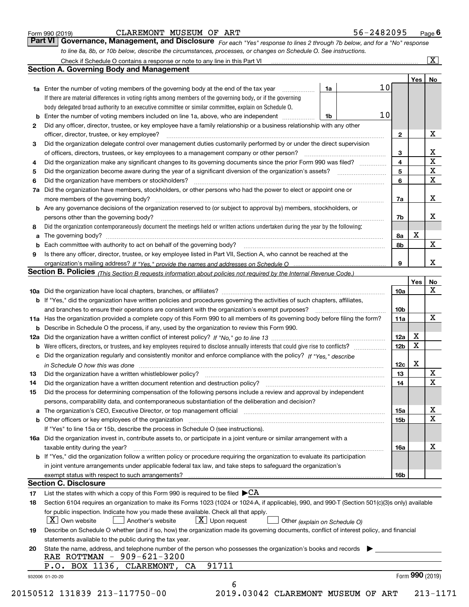| Form 990 (2019) |  |  |
|-----------------|--|--|
|                 |  |  |

### CLAREMONT MUSEUM OF ART 5

| 56-2482095<br>Page I |
|----------------------|
|----------------------|

*For each "Yes" response to lines 2 through 7b below, and for a "No" response to line 8a, 8b, or 10b below, describe the circumstances, processes, or changes on Schedule O. See instructions.* Form 990 (2019) **CLAREMONT MUSEUM OF ART**<br>**Part VI Governance, Management, and Disclosure** For each "Yes" response to lines 2 through 7b below, and for a "No" response

|    | <b>1a</b> Enter the number of voting members of the governing body at the end of the tax year                                                                                                                                  | 1a |  | 10 |                 | Yes <sub>1</sub> | No                      |  |  |
|----|--------------------------------------------------------------------------------------------------------------------------------------------------------------------------------------------------------------------------------|----|--|----|-----------------|------------------|-------------------------|--|--|
|    | If there are material differences in voting rights among members of the governing body, or if the governing                                                                                                                    |    |  |    |                 |                  |                         |  |  |
|    | body delegated broad authority to an executive committee or similar committee, explain on Schedule O.                                                                                                                          |    |  |    |                 |                  |                         |  |  |
| b  | Enter the number of voting members included on line 1a, above, who are independent <i>manumum</i>                                                                                                                              | 1b |  | 10 |                 |                  |                         |  |  |
|    | Did any officer, director, trustee, or key employee have a family relationship or a business relationship with any other                                                                                                       |    |  |    |                 |                  |                         |  |  |
| 2  | officer, director, trustee, or key employee?                                                                                                                                                                                   |    |  |    | $\mathbf{2}$    |                  | X                       |  |  |
|    | Did the organization delegate control over management duties customarily performed by or under the direct supervision                                                                                                          |    |  |    |                 |                  |                         |  |  |
| 3  |                                                                                                                                                                                                                                |    |  |    |                 |                  | $\mathbf{X}$            |  |  |
|    |                                                                                                                                                                                                                                |    |  |    | 3               |                  | $\overline{\textbf{x}}$ |  |  |
| 4  | Did the organization make any significant changes to its governing documents since the prior Form 990 was filed?                                                                                                               |    |  |    | 4               |                  | $\overline{\mathbf{x}}$ |  |  |
| 5  |                                                                                                                                                                                                                                |    |  |    | 5               |                  | $\overline{\mathbf{x}}$ |  |  |
| 6  | Did the organization have members or stockholders?                                                                                                                                                                             |    |  |    | 6               |                  |                         |  |  |
| 7a | Did the organization have members, stockholders, or other persons who had the power to elect or appoint one or                                                                                                                 |    |  |    |                 |                  |                         |  |  |
|    |                                                                                                                                                                                                                                |    |  |    | 7a              |                  | X                       |  |  |
|    | <b>b</b> Are any governance decisions of the organization reserved to (or subject to approval by) members, stockholders, or                                                                                                    |    |  |    |                 |                  |                         |  |  |
|    | persons other than the governing body?                                                                                                                                                                                         |    |  |    | 7b              |                  | X                       |  |  |
| 8  | Did the organization contemporaneously document the meetings held or written actions undertaken during the year by the following:                                                                                              |    |  |    |                 |                  |                         |  |  |
| a  |                                                                                                                                                                                                                                |    |  |    | 8а              | X                |                         |  |  |
|    |                                                                                                                                                                                                                                |    |  |    | 8b              |                  | X                       |  |  |
| 9  | Is there any officer, director, trustee, or key employee listed in Part VII, Section A, who cannot be reached at the                                                                                                           |    |  |    |                 |                  |                         |  |  |
|    |                                                                                                                                                                                                                                |    |  |    | 9               |                  | X                       |  |  |
|    | Section B. Policies (This Section B requests information about policies not required by the Internal Revenue Code.)                                                                                                            |    |  |    |                 |                  |                         |  |  |
|    |                                                                                                                                                                                                                                |    |  |    |                 | Yes              | No                      |  |  |
|    |                                                                                                                                                                                                                                |    |  |    | 10a             |                  | X                       |  |  |
|    | <b>b</b> If "Yes," did the organization have written policies and procedures governing the activities of such chapters, affiliates,                                                                                            |    |  |    |                 |                  |                         |  |  |
|    |                                                                                                                                                                                                                                |    |  |    | 10 <sub>b</sub> |                  |                         |  |  |
|    | 11a Has the organization provided a complete copy of this Form 990 to all members of its governing body before filing the form?                                                                                                |    |  |    | 11a             |                  | $\mathbf X$             |  |  |
|    | <b>b</b> Describe in Schedule O the process, if any, used by the organization to review this Form 990.                                                                                                                         |    |  |    |                 |                  |                         |  |  |
|    |                                                                                                                                                                                                                                |    |  |    | 12a             | X                |                         |  |  |
|    | 12 <sub>b</sub>                                                                                                                                                                                                                |    |  |    |                 | X                |                         |  |  |
|    | c Did the organization regularly and consistently monitor and enforce compliance with the policy? If "Yes," describe                                                                                                           |    |  |    |                 |                  |                         |  |  |
|    | in Schedule O how this was done measured and the control of the control of the state of the control of the control of the control of the control of the control of the control of the control of the control of the control of |    |  |    | 12c             | X                |                         |  |  |
| 13 |                                                                                                                                                                                                                                |    |  |    | 13              |                  | $\mathbf X$             |  |  |
| 14 |                                                                                                                                                                                                                                |    |  |    | 14              |                  | $\mathbf X$             |  |  |
| 15 | Did the process for determining compensation of the following persons include a review and approval by independent                                                                                                             |    |  |    |                 |                  |                         |  |  |
|    | persons, comparability data, and contemporaneous substantiation of the deliberation and decision?                                                                                                                              |    |  |    |                 |                  |                         |  |  |
|    |                                                                                                                                                                                                                                |    |  |    | 15a             |                  | X                       |  |  |
|    |                                                                                                                                                                                                                                |    |  |    | 15b             |                  | $\overline{\mathbf{x}}$ |  |  |
|    | If "Yes" to line 15a or 15b, describe the process in Schedule O (see instructions).                                                                                                                                            |    |  |    |                 |                  |                         |  |  |
|    | 16a Did the organization invest in, contribute assets to, or participate in a joint venture or similar arrangement with a                                                                                                      |    |  |    |                 |                  |                         |  |  |
|    | taxable entity during the year?                                                                                                                                                                                                |    |  |    | 16a             |                  | $\mathbf X$             |  |  |
|    | b If "Yes," did the organization follow a written policy or procedure requiring the organization to evaluate its participation                                                                                                 |    |  |    |                 |                  |                         |  |  |
|    | in joint venture arrangements under applicable federal tax law, and take steps to safeguard the organization's                                                                                                                 |    |  |    |                 |                  |                         |  |  |
|    |                                                                                                                                                                                                                                |    |  |    | 16b             |                  |                         |  |  |
|    | <b>Section C. Disclosure</b>                                                                                                                                                                                                   |    |  |    |                 |                  |                         |  |  |
| 17 | List the states with which a copy of this Form 990 is required to be filed $\blacktriangleright$ CA                                                                                                                            |    |  |    |                 |                  |                         |  |  |
| 18 | Section 6104 requires an organization to make its Forms 1023 (1024 or 1024-A, if applicable), 990, and 990-T (Section 501(c)(3)s only) available                                                                               |    |  |    |                 |                  |                         |  |  |
|    |                                                                                                                                                                                                                                |    |  |    |                 |                  |                         |  |  |
|    | for public inspection. Indicate how you made these available. Check all that apply.                                                                                                                                            |    |  |    |                 |                  |                         |  |  |
|    | $X$ Upon request<br>$X$ Own website<br>Another's website<br>Other (explain on Schedule O)                                                                                                                                      |    |  |    |                 |                  |                         |  |  |
| 19 | Describe on Schedule O whether (and if so, how) the organization made its governing documents, conflict of interest policy, and financial                                                                                      |    |  |    |                 |                  |                         |  |  |
|    | statements available to the public during the tax year.                                                                                                                                                                        |    |  |    |                 |                  |                         |  |  |
| 20 | State the name, address, and telephone number of the person who possesses the organization's books and records                                                                                                                 |    |  |    |                 |                  |                         |  |  |
|    | RAE ROTTMAN - 909-621-3200                                                                                                                                                                                                     |    |  |    |                 |                  |                         |  |  |
|    | 91711<br>P.O. BOX 1136, CLAREMONT, CA                                                                                                                                                                                          |    |  |    |                 | Form 990 (2019)  |                         |  |  |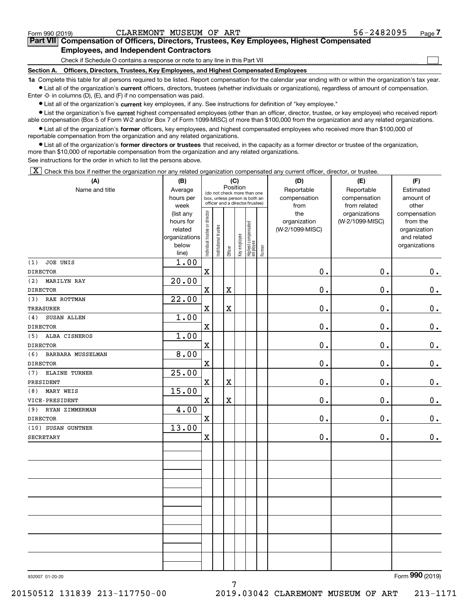$\mathcal{L}^{\text{max}}$ 

# **7Part VII Compensation of Officers, Directors, Trustees, Key Employees, Highest Compensated Employees, and Independent Contractors**

Check if Schedule O contains a response or note to any line in this Part VII

**Section A. Officers, Directors, Trustees, Key Employees, and Highest Compensated Employees**

**1a**  Complete this table for all persons required to be listed. Report compensation for the calendar year ending with or within the organization's tax year. **•** List all of the organization's current officers, directors, trustees (whether individuals or organizations), regardless of amount of compensation.

Enter -0- in columns (D), (E), and (F) if no compensation was paid.

 $\bullet$  List all of the organization's  $\,$ current key employees, if any. See instructions for definition of "key employee."

**•** List the organization's five current highest compensated employees (other than an officer, director, trustee, or key employee) who received reportable compensation (Box 5 of Form W-2 and/or Box 7 of Form 1099-MISC) of more than \$100,000 from the organization and any related organizations.

**•** List all of the organization's former officers, key employees, and highest compensated employees who received more than \$100,000 of reportable compensation from the organization and any related organizations.

**former directors or trustees**  ¥ List all of the organization's that received, in the capacity as a former director or trustee of the organization, more than \$10,000 of reportable compensation from the organization and any related organizations.

See instructions for the order in which to list the persons above.

 $\boxed{\textbf{X}}$  Check this box if neither the organization nor any related organization compensated any current officer, director, or trustee.

| (A)                       | (B)                  | (C)                           |                                                                  | (D)         | (E)          | (F)                             |           |                     |                 |                          |
|---------------------------|----------------------|-------------------------------|------------------------------------------------------------------|-------------|--------------|---------------------------------|-----------|---------------------|-----------------|--------------------------|
| Name and title            | Average              |                               | Position<br>(do not check more than one                          |             | Reportable   | Reportable                      | Estimated |                     |                 |                          |
|                           | hours per            |                               | box, unless person is both an<br>officer and a director/trustee) |             | compensation | compensation                    | amount of |                     |                 |                          |
|                           | week                 |                               |                                                                  |             |              |                                 |           | from                | from related    | other                    |
|                           | (list any            |                               |                                                                  |             |              |                                 |           | the<br>organization | organizations   | compensation             |
|                           | hours for<br>related |                               |                                                                  |             |              |                                 |           | (W-2/1099-MISC)     | (W-2/1099-MISC) | from the<br>organization |
|                           | organizations        |                               |                                                                  |             |              |                                 |           |                     |                 | and related              |
|                           | below                | ndividual trustee or director | nstitutional trustee                                             |             | Key employee |                                 |           |                     |                 | organizations            |
|                           | line)                |                               |                                                                  | Officer     |              | Highest compensated<br>employee | Former    |                     |                 |                          |
| JOE UNIS<br>(1)           | 1.00                 |                               |                                                                  |             |              |                                 |           |                     |                 |                          |
| <b>DIRECTOR</b>           |                      | $\mathbf X$                   |                                                                  |             |              |                                 |           | $0$ .               | 0.              | 0.                       |
| (2)<br><b>MARILYN RAY</b> | 20.00                |                               |                                                                  |             |              |                                 |           |                     |                 |                          |
| <b>DIRECTOR</b>           |                      | $\mathbf x$                   |                                                                  | $\mathbf X$ |              |                                 |           | 0.                  | 0.              | $0_{.}$                  |
| RAE ROTTMAN<br>(3)        | $\overline{22.00}$   |                               |                                                                  |             |              |                                 |           |                     |                 |                          |
| <b>TREASURER</b>          |                      | $\mathbf X$                   |                                                                  | $\mathbf X$ |              |                                 |           | 0.                  | 0.              | $0_{.}$                  |
| SUSAN ALLEN<br>(4)        | 1.00                 |                               |                                                                  |             |              |                                 |           |                     |                 |                          |
| <b>DIRECTOR</b>           |                      | $\mathbf X$                   |                                                                  |             |              |                                 |           | 0.                  | 0.              | $0_{.}$                  |
| ALBA CISNEROS<br>(5)      | 1.00                 |                               |                                                                  |             |              |                                 |           |                     |                 |                          |
| <b>DIRECTOR</b>           |                      | $\mathbf X$                   |                                                                  |             |              |                                 |           | 0.                  | 0.              | $\mathbf 0$ .            |
| (6)<br>BARBARA MUSSELMAN  | 8.00                 |                               |                                                                  |             |              |                                 |           |                     |                 |                          |
| <b>DIRECTOR</b>           |                      | $\mathbf X$                   |                                                                  |             |              |                                 |           | 0.                  | 0.              | $0$ .                    |
| ELAINE TURNER<br>(7)      | 25.00                |                               |                                                                  |             |              |                                 |           |                     |                 |                          |
| PRESIDENT                 |                      | $\mathbf X$                   |                                                                  | $\mathbf X$ |              |                                 |           | 0.                  | 0.              | $\mathbf 0$ .            |
| MARY WEIS<br>(8)          | 15.00                |                               |                                                                  |             |              |                                 |           |                     |                 |                          |
| VICE-PRESIDENT            |                      | $\mathbf X$                   |                                                                  | $\mathbf X$ |              |                                 |           | 0.                  | 0.              | 0.                       |
| (9)<br>RYAN ZIMMERMAN     | 4.00                 |                               |                                                                  |             |              |                                 |           |                     |                 |                          |
| <b>DIRECTOR</b>           |                      | $\mathbf X$                   |                                                                  |             |              |                                 |           | 0.                  | 0.              | $0_{.}$                  |
| (10) SUSAN GUNTNER        | 13.00                |                               |                                                                  |             |              |                                 |           |                     |                 |                          |
| <b>SECRETARY</b>          |                      | $\mathbf X$                   |                                                                  |             |              |                                 |           | $0$ .               | 0.              | 0.                       |
|                           |                      |                               |                                                                  |             |              |                                 |           |                     |                 |                          |
|                           |                      |                               |                                                                  |             |              |                                 |           |                     |                 |                          |
|                           |                      |                               |                                                                  |             |              |                                 |           |                     |                 |                          |
|                           |                      |                               |                                                                  |             |              |                                 |           |                     |                 |                          |
|                           |                      |                               |                                                                  |             |              |                                 |           |                     |                 |                          |
|                           |                      |                               |                                                                  |             |              |                                 |           |                     |                 |                          |
|                           |                      |                               |                                                                  |             |              |                                 |           |                     |                 |                          |
|                           |                      |                               |                                                                  |             |              |                                 |           |                     |                 |                          |
|                           |                      |                               |                                                                  |             |              |                                 |           |                     |                 |                          |
|                           |                      |                               |                                                                  |             |              |                                 |           |                     |                 |                          |
|                           |                      |                               |                                                                  |             |              |                                 |           |                     |                 |                          |
|                           |                      |                               |                                                                  |             |              |                                 |           |                     |                 |                          |
|                           |                      |                               |                                                                  |             |              |                                 |           |                     |                 |                          |
|                           |                      |                               |                                                                  |             |              |                                 |           |                     |                 |                          |

7

932007 01-20-20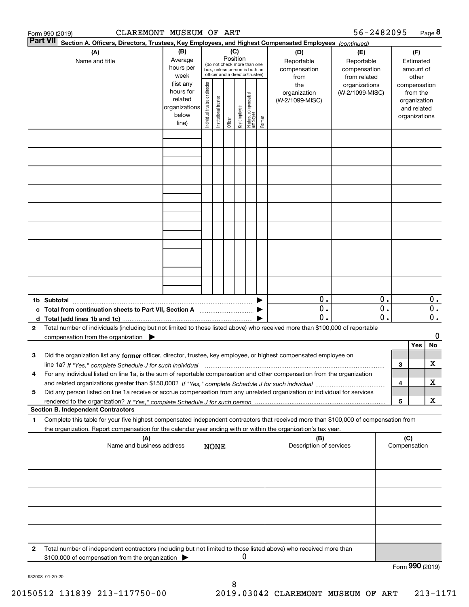|   | CLAREMONT MUSEUM OF ART<br>Form 990 (2019)                                                                                                                                                                                                                                  |                                                                      |                                                                                                 |                       |                 |              |                                   |        |                                           | 56-2482095                                        |                                                 |     |                                                                          | Page 8                                        |
|---|-----------------------------------------------------------------------------------------------------------------------------------------------------------------------------------------------------------------------------------------------------------------------------|----------------------------------------------------------------------|-------------------------------------------------------------------------------------------------|-----------------------|-----------------|--------------|-----------------------------------|--------|-------------------------------------------|---------------------------------------------------|-------------------------------------------------|-----|--------------------------------------------------------------------------|-----------------------------------------------|
|   | <b>Part VII</b><br>Section A. Officers, Directors, Trustees, Key Employees, and Highest Compensated Employees (continued)                                                                                                                                                   |                                                                      |                                                                                                 |                       |                 |              |                                   |        |                                           |                                                   |                                                 |     |                                                                          |                                               |
|   | (A)<br>Name and title                                                                                                                                                                                                                                                       | (B)<br>Average<br>hours per<br>week                                  | (do not check more than one<br>box, unless person is both an<br>officer and a director/trustee) |                       | (C)<br>Position |              |                                   |        | (D)<br>Reportable<br>compensation<br>from | (E)<br>Reportable<br>compensation<br>from related |                                                 |     | (F)<br>Estimated<br>amount of<br>other                                   |                                               |
|   |                                                                                                                                                                                                                                                                             | (list any<br>hours for<br>related<br>organizations<br>below<br>line) | Individual trustee or director                                                                  | Institutional trustee | Officer         | key employee | Highest compensated<br>  employee | Former | the<br>organization<br>(W-2/1099-MISC)    | organizations<br>(W-2/1099-MISC)                  |                                                 |     | compensation<br>from the<br>organization<br>and related<br>organizations |                                               |
|   |                                                                                                                                                                                                                                                                             |                                                                      |                                                                                                 |                       |                 |              |                                   |        |                                           |                                                   |                                                 |     |                                                                          |                                               |
|   |                                                                                                                                                                                                                                                                             |                                                                      |                                                                                                 |                       |                 |              |                                   |        |                                           |                                                   |                                                 |     |                                                                          |                                               |
|   |                                                                                                                                                                                                                                                                             |                                                                      |                                                                                                 |                       |                 |              |                                   |        |                                           |                                                   |                                                 |     |                                                                          |                                               |
|   |                                                                                                                                                                                                                                                                             |                                                                      |                                                                                                 |                       |                 |              |                                   |        |                                           |                                                   |                                                 |     |                                                                          |                                               |
|   |                                                                                                                                                                                                                                                                             |                                                                      |                                                                                                 |                       |                 |              |                                   |        |                                           |                                                   |                                                 |     |                                                                          |                                               |
|   |                                                                                                                                                                                                                                                                             |                                                                      |                                                                                                 |                       |                 |              |                                   |        |                                           |                                                   |                                                 |     |                                                                          |                                               |
|   |                                                                                                                                                                                                                                                                             |                                                                      |                                                                                                 |                       |                 |              |                                   |        |                                           |                                                   |                                                 |     |                                                                          |                                               |
|   |                                                                                                                                                                                                                                                                             |                                                                      |                                                                                                 |                       |                 |              |                                   |        |                                           |                                                   |                                                 |     |                                                                          |                                               |
|   | 1b Subtotal                                                                                                                                                                                                                                                                 |                                                                      |                                                                                                 |                       |                 |              |                                   |        | 0.                                        |                                                   | 0.                                              |     |                                                                          | $0$ .                                         |
|   | c Total from continuation sheets to Part VII, Section A                                                                                                                                                                                                                     |                                                                      |                                                                                                 |                       |                 |              |                                   |        | $\mathbf{0}$ .<br>$\overline{0}$ .        |                                                   | $\overline{0}$ .<br>$\overline{\mathfrak{0}}$ . |     |                                                                          | $\overline{0}$ .<br>$\overline{\mathbf{0}}$ . |
| 2 | Total number of individuals (including but not limited to those listed above) who received more than \$100,000 of reportable<br>compensation from the organization $\blacktriangleright$                                                                                    |                                                                      |                                                                                                 |                       |                 |              |                                   |        |                                           |                                                   |                                                 |     |                                                                          | 0                                             |
|   |                                                                                                                                                                                                                                                                             |                                                                      |                                                                                                 |                       |                 |              |                                   |        |                                           |                                                   |                                                 |     | Yes                                                                      | No                                            |
| з | Did the organization list any former officer, director, trustee, key employee, or highest compensated employee on                                                                                                                                                           |                                                                      |                                                                                                 |                       |                 |              |                                   |        |                                           |                                                   |                                                 |     |                                                                          |                                               |
| 4 | line 1a? If "Yes," complete Schedule J for such individual manufactured contained and the 1a? If "Yes," complete Schedule J for such individual<br>For any individual listed on line 1a, is the sum of reportable compensation and other compensation from the organization |                                                                      |                                                                                                 |                       |                 |              |                                   |        |                                           |                                                   |                                                 | 3   |                                                                          | x                                             |
|   |                                                                                                                                                                                                                                                                             |                                                                      |                                                                                                 |                       |                 |              |                                   |        |                                           |                                                   |                                                 | 4   |                                                                          | х                                             |
| 5 | Did any person listed on line 1a receive or accrue compensation from any unrelated organization or individual for services                                                                                                                                                  |                                                                      |                                                                                                 |                       |                 |              |                                   |        |                                           |                                                   |                                                 | 5   |                                                                          | X                                             |
|   | <b>Section B. Independent Contractors</b>                                                                                                                                                                                                                                   |                                                                      |                                                                                                 |                       |                 |              |                                   |        |                                           |                                                   |                                                 |     |                                                                          |                                               |
| 1 | Complete this table for your five highest compensated independent contractors that received more than \$100,000 of compensation from                                                                                                                                        |                                                                      |                                                                                                 |                       |                 |              |                                   |        |                                           |                                                   |                                                 |     |                                                                          |                                               |
|   | the organization. Report compensation for the calendar year ending with or within the organization's tax year.<br>(A)                                                                                                                                                       |                                                                      |                                                                                                 |                       |                 |              |                                   |        | (B)                                       |                                                   |                                                 | (C) |                                                                          |                                               |
|   | Name and business address                                                                                                                                                                                                                                                   |                                                                      |                                                                                                 | <b>NONE</b>           |                 |              |                                   |        | Description of services                   |                                                   |                                                 |     | Compensation                                                             |                                               |
|   |                                                                                                                                                                                                                                                                             |                                                                      |                                                                                                 |                       |                 |              |                                   |        |                                           |                                                   |                                                 |     |                                                                          |                                               |
|   |                                                                                                                                                                                                                                                                             |                                                                      |                                                                                                 |                       |                 |              |                                   |        |                                           |                                                   |                                                 |     |                                                                          |                                               |
|   |                                                                                                                                                                                                                                                                             |                                                                      |                                                                                                 |                       |                 |              |                                   |        |                                           |                                                   |                                                 |     |                                                                          |                                               |
|   |                                                                                                                                                                                                                                                                             |                                                                      |                                                                                                 |                       |                 |              |                                   |        |                                           |                                                   |                                                 |     |                                                                          |                                               |
| 2 | Total number of independent contractors (including but not limited to those listed above) who received more than<br>\$100,000 of compensation from the organization                                                                                                         |                                                                      |                                                                                                 |                       |                 | 0            |                                   |        |                                           |                                                   |                                                 |     |                                                                          |                                               |
|   |                                                                                                                                                                                                                                                                             |                                                                      |                                                                                                 |                       |                 |              |                                   |        |                                           |                                                   |                                                 |     | Form 990 (2019)                                                          |                                               |

932008 01-20-20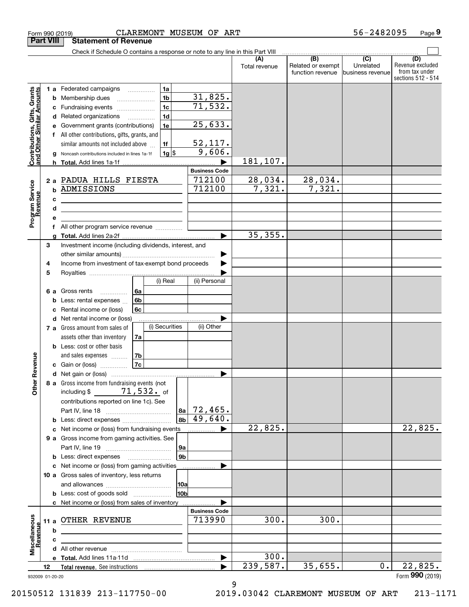|                                                           |      |   | CLAREMONT MUSEUM OF ART<br>Form 990 (2019)                                    |                              |                           |                                                           | 56-2482095                                        | Page 9                                                          |
|-----------------------------------------------------------|------|---|-------------------------------------------------------------------------------|------------------------------|---------------------------|-----------------------------------------------------------|---------------------------------------------------|-----------------------------------------------------------------|
| <b>Part VIII</b>                                          |      |   | <b>Statement of Revenue</b>                                                   |                              |                           |                                                           |                                                   |                                                                 |
|                                                           |      |   | Check if Schedule O contains a response or note to any line in this Part VIII |                              |                           |                                                           |                                                   |                                                                 |
|                                                           |      |   |                                                                               |                              | (A)<br>Total revenue      | $\overline{(B)}$<br>Related or exempt<br>function revenue | $\overline{(C)}$<br>Unrelated<br>business revenue | (D)<br>Revenue excluded<br>from tax under<br>sections 512 - 514 |
|                                                           |      |   | 1a<br>1 a Federated campaigns                                                 |                              |                           |                                                           |                                                   |                                                                 |
|                                                           |      | b | 1 <sub>b</sub><br>Membership dues                                             | <u>31,825.</u>               |                           |                                                           |                                                   |                                                                 |
|                                                           |      | с | 1 <sub>c</sub><br>Fundraising events                                          | 71,532.                      |                           |                                                           |                                                   |                                                                 |
|                                                           |      | d | 1 <sub>d</sub><br>Related organizations<br>$\overline{\phantom{a}}$           |                              |                           |                                                           |                                                   |                                                                 |
|                                                           |      |   | 1e<br>Government grants (contributions)                                       | 25,633.                      |                           |                                                           |                                                   |                                                                 |
|                                                           |      |   | f All other contributions, gifts, grants, and                                 |                              |                           |                                                           |                                                   |                                                                 |
|                                                           |      |   | similar amounts not included above<br>1f                                      | $\frac{52,117.}{9,606.}$     |                           |                                                           |                                                   |                                                                 |
| Contributions, Gifts, Grants<br>and Other Similar Amounts |      |   | $1g$ \$<br>Noncash contributions included in lines 1a-1f                      |                              |                           |                                                           |                                                   |                                                                 |
|                                                           |      |   |                                                                               |                              | 181,107.                  |                                                           |                                                   |                                                                 |
|                                                           |      |   |                                                                               | <b>Business Code</b>         |                           |                                                           |                                                   |                                                                 |
|                                                           |      |   | 2 a PADUA HILLS FIESTA                                                        | 712100                       | $\frac{28,034.7}{7,321.}$ | $\frac{28,034.7}{7,321.}$                                 |                                                   |                                                                 |
|                                                           |      | b | ADMISSIONS                                                                    | 712100                       |                           |                                                           |                                                   |                                                                 |
| Program Service<br>Revenue                                |      | c |                                                                               |                              |                           |                                                           |                                                   |                                                                 |
|                                                           |      | d |                                                                               |                              |                           |                                                           |                                                   |                                                                 |
|                                                           |      | е |                                                                               |                              |                           |                                                           |                                                   |                                                                 |
|                                                           |      |   | All other program service revenue                                             |                              | 35, 355.                  |                                                           |                                                   |                                                                 |
|                                                           | 3    | a | Investment income (including dividends, interest, and                         |                              |                           |                                                           |                                                   |                                                                 |
|                                                           |      |   |                                                                               |                              |                           |                                                           |                                                   |                                                                 |
|                                                           | 4    |   | Income from investment of tax-exempt bond proceeds                            |                              |                           |                                                           |                                                   |                                                                 |
|                                                           | 5    |   |                                                                               |                              |                           |                                                           |                                                   |                                                                 |
|                                                           |      |   | (i) Real                                                                      | (ii) Personal                |                           |                                                           |                                                   |                                                                 |
|                                                           | 6а   |   | 6a<br>Gross rents<br>.                                                        |                              |                           |                                                           |                                                   |                                                                 |
|                                                           |      |   | 6b<br>Less: rental expenses                                                   |                              |                           |                                                           |                                                   |                                                                 |
|                                                           |      |   | 6c<br>Rental income or (loss)                                                 |                              |                           |                                                           |                                                   |                                                                 |
|                                                           |      | d | Net rental income or (loss)                                                   |                              |                           |                                                           |                                                   |                                                                 |
|                                                           |      |   | (i) Securities<br>7 a Gross amount from sales of                              | (ii) Other                   |                           |                                                           |                                                   |                                                                 |
|                                                           |      |   | assets other than inventory<br>7a                                             |                              |                           |                                                           |                                                   |                                                                 |
|                                                           |      |   | <b>b</b> Less: cost or other basis                                            |                              |                           |                                                           |                                                   |                                                                 |
|                                                           |      |   | and sales expenses<br>7b                                                      |                              |                           |                                                           |                                                   |                                                                 |
| enueve                                                    |      |   | 7c<br>c Gain or (loss)                                                        |                              |                           |                                                           |                                                   |                                                                 |
|                                                           |      |   |                                                                               |                              |                           |                                                           |                                                   |                                                                 |
| Other Re                                                  |      |   | 8 a Gross income from fundraising events (not                                 |                              |                           |                                                           |                                                   |                                                                 |
|                                                           |      |   | $71,532.$ of<br>including \$                                                  |                              |                           |                                                           |                                                   |                                                                 |
|                                                           |      |   | contributions reported on line 1c). See                                       |                              |                           |                                                           |                                                   |                                                                 |
|                                                           |      |   |                                                                               | 72,465.<br>8a                |                           |                                                           |                                                   |                                                                 |
|                                                           |      |   | <b>b</b> Less: direct expenses                                                | $\overline{49}$ , 640.<br>8b |                           |                                                           |                                                   |                                                                 |
|                                                           |      |   | c Net income or (loss) from fundraising events                                |                              | 22,825.                   |                                                           |                                                   | 22,825.                                                         |
|                                                           |      |   | 9 a Gross income from gaming activities. See                                  |                              |                           |                                                           |                                                   |                                                                 |
|                                                           |      |   |                                                                               | 9а<br>9 <sub>b</sub>         |                           |                                                           |                                                   |                                                                 |
|                                                           |      |   | c Net income or (loss) from gaming activities                                 |                              |                           |                                                           |                                                   |                                                                 |
|                                                           |      |   | 10 a Gross sales of inventory, less returns                                   |                              |                           |                                                           |                                                   |                                                                 |
|                                                           |      |   |                                                                               | 10a                          |                           |                                                           |                                                   |                                                                 |
|                                                           |      |   | <b>b</b> Less: cost of goods sold                                             | 10 <sub>b</sub>              |                           |                                                           |                                                   |                                                                 |
|                                                           |      |   | c Net income or (loss) from sales of inventory                                |                              |                           |                                                           |                                                   |                                                                 |
|                                                           |      |   |                                                                               | <b>Business Code</b>         |                           |                                                           |                                                   |                                                                 |
|                                                           | 11 a |   | OTHER REVENUE                                                                 | 713990                       | 300.                      | 300.                                                      |                                                   |                                                                 |
| Revenue                                                   |      | b |                                                                               |                              |                           |                                                           |                                                   |                                                                 |
|                                                           |      | c |                                                                               |                              |                           |                                                           |                                                   |                                                                 |
| Miscellaneous                                             |      |   |                                                                               |                              |                           |                                                           |                                                   |                                                                 |
|                                                           |      |   |                                                                               | ▶                            | 300.                      |                                                           |                                                   |                                                                 |
|                                                           | 12   |   |                                                                               |                              | 239,587.                  | 35,655.                                                   | 0.                                                | 22,825.                                                         |
| 932009 01-20-20                                           |      |   |                                                                               |                              |                           |                                                           |                                                   | Form 990 (2019)                                                 |

9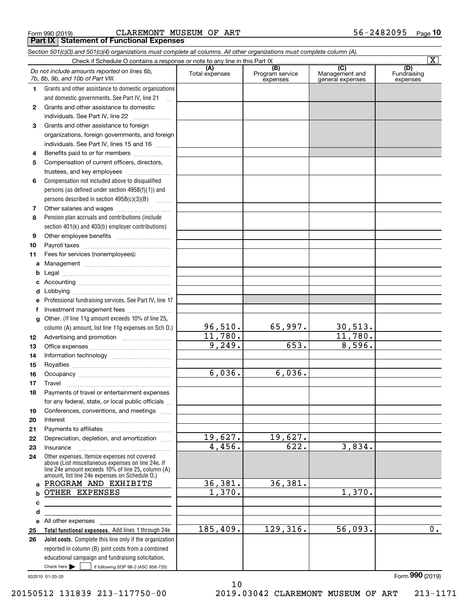|  | Form 990 (2019) |  |
|--|-----------------|--|
|  |                 |  |

Form 990 (2019) C ${\rm LAREMONT}$   ${\rm MUSEUM}$  O ${\rm F}$  ART 56-2482095 <sub>Page</sub> **Part IX Statement of Functional Expenses**

|    | Section 501(c)(3) and 501(c)(4) organizations must complete all columns. All other organizations must complete column (A).                                                                                 |                       |                                    |                                           |                                |
|----|------------------------------------------------------------------------------------------------------------------------------------------------------------------------------------------------------------|-----------------------|------------------------------------|-------------------------------------------|--------------------------------|
|    | Check if Schedule O contains a response or note to any line in this Part IX                                                                                                                                |                       |                                    |                                           | $\overline{\textbf{X}}$        |
|    | Do not include amounts reported on lines 6b,<br>7b, 8b, 9b, and 10b of Part VIII.                                                                                                                          | (A)<br>Total expenses | (B)<br>Program service<br>expenses | (C)<br>Management and<br>general expenses | (D)<br>Fundraising<br>expenses |
| 1. | Grants and other assistance to domestic organizations                                                                                                                                                      |                       |                                    |                                           |                                |
|    | and domestic governments. See Part IV, line 21                                                                                                                                                             |                       |                                    |                                           |                                |
| 2  | Grants and other assistance to domestic                                                                                                                                                                    |                       |                                    |                                           |                                |
|    | individuals. See Part IV, line 22                                                                                                                                                                          |                       |                                    |                                           |                                |
| 3  | Grants and other assistance to foreign                                                                                                                                                                     |                       |                                    |                                           |                                |
|    | organizations, foreign governments, and foreign                                                                                                                                                            |                       |                                    |                                           |                                |
|    | individuals. See Part IV, lines 15 and 16                                                                                                                                                                  |                       |                                    |                                           |                                |
| 4  | Benefits paid to or for members                                                                                                                                                                            |                       |                                    |                                           |                                |
| 5  | Compensation of current officers, directors,                                                                                                                                                               |                       |                                    |                                           |                                |
|    | trustees, and key employees                                                                                                                                                                                |                       |                                    |                                           |                                |
| 6  | Compensation not included above to disqualified                                                                                                                                                            |                       |                                    |                                           |                                |
|    | persons (as defined under section 4958(f)(1)) and                                                                                                                                                          |                       |                                    |                                           |                                |
|    | persons described in section 4958(c)(3)(B)                                                                                                                                                                 |                       |                                    |                                           |                                |
| 7  |                                                                                                                                                                                                            |                       |                                    |                                           |                                |
| 8  | Pension plan accruals and contributions (include                                                                                                                                                           |                       |                                    |                                           |                                |
|    | section 401(k) and 403(b) employer contributions)                                                                                                                                                          |                       |                                    |                                           |                                |
| 9  |                                                                                                                                                                                                            |                       |                                    |                                           |                                |
| 10 |                                                                                                                                                                                                            |                       |                                    |                                           |                                |
| 11 | Fees for services (nonemployees):                                                                                                                                                                          |                       |                                    |                                           |                                |
| a  |                                                                                                                                                                                                            |                       |                                    |                                           |                                |
| b  |                                                                                                                                                                                                            |                       |                                    |                                           |                                |
| c  |                                                                                                                                                                                                            |                       |                                    |                                           |                                |
| d  |                                                                                                                                                                                                            |                       |                                    |                                           |                                |
|    | Professional fundraising services. See Part IV, line 17                                                                                                                                                    |                       |                                    |                                           |                                |
| f  | Investment management fees                                                                                                                                                                                 |                       |                                    |                                           |                                |
| g  | Other. (If line 11g amount exceeds 10% of line 25,                                                                                                                                                         |                       |                                    |                                           |                                |
|    | column (A) amount, list line 11g expenses on Sch O.)                                                                                                                                                       | 96,510.               | 65,997.                            | 30,513.                                   |                                |
| 12 |                                                                                                                                                                                                            | 11,780.               |                                    | 11,780.                                   |                                |
| 13 |                                                                                                                                                                                                            | 9,249.                | 653.                               | 8,596.                                    |                                |
| 14 | Information technology                                                                                                                                                                                     |                       |                                    |                                           |                                |
| 15 |                                                                                                                                                                                                            |                       |                                    |                                           |                                |
| 16 |                                                                                                                                                                                                            | 6,036.                | 6,036.                             |                                           |                                |
| 17 |                                                                                                                                                                                                            |                       |                                    |                                           |                                |
| 18 | Payments of travel or entertainment expenses                                                                                                                                                               |                       |                                    |                                           |                                |
|    | for any federal, state, or local public officials                                                                                                                                                          |                       |                                    |                                           |                                |
| 19 | Conferences, conventions, and meetings                                                                                                                                                                     |                       |                                    |                                           |                                |
| 20 | Interest                                                                                                                                                                                                   |                       |                                    |                                           |                                |
| 21 |                                                                                                                                                                                                            |                       |                                    |                                           |                                |
| 22 | Depreciation, depletion, and amortization                                                                                                                                                                  | 19,627.<br>4,456.     | 19,627.<br>622.                    | 3,834.                                    |                                |
| 23 | Insurance                                                                                                                                                                                                  |                       |                                    |                                           |                                |
| 24 | Other expenses. Itemize expenses not covered<br>above (List miscellaneous expenses on line 24e. If<br>line 24e amount exceeds 10% of line 25, column (A)<br>amount, list line 24e expenses on Schedule O.) |                       |                                    |                                           |                                |
| a  | PROGRAM AND EXHIBITS                                                                                                                                                                                       | 36,381.               | 36,381.                            |                                           |                                |
| b  | OTHER EXPENSES                                                                                                                                                                                             | 1,370.                |                                    | 1,370.                                    |                                |
| с  |                                                                                                                                                                                                            |                       |                                    |                                           |                                |
| d  |                                                                                                                                                                                                            |                       |                                    |                                           |                                |
| е  | All other expenses and the state of the state of the state of the state of the state of the state of the state                                                                                             |                       |                                    |                                           |                                |
| 25 | Total functional expenses. Add lines 1 through 24e                                                                                                                                                         | 185,409.              | 129,316.                           | 56,093.                                   | $\overline{0}$ .               |
| 26 | Joint costs. Complete this line only if the organization                                                                                                                                                   |                       |                                    |                                           |                                |
|    | reported in column (B) joint costs from a combined                                                                                                                                                         |                       |                                    |                                           |                                |
|    | educational campaign and fundraising solicitation.                                                                                                                                                         |                       |                                    |                                           |                                |
|    | Check here $\blacktriangleright$<br>if following SOP 98-2 (ASC 958-720)                                                                                                                                    |                       |                                    |                                           |                                |

10

932010 01-20-20

Form (2019) **990**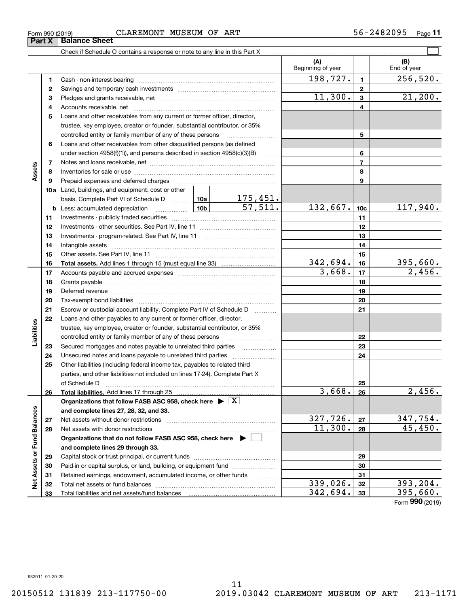| Form 990 (2019)             |  |  |
|-----------------------------|--|--|
| <b>Part X</b> Balance Sheet |  |  |

| Form 990 (2019) |                                                                            | CLAREMONT | MUSEUM | OF | ART |    |  | 56-2482095 | Page <sup>1</sup> |  |
|-----------------|----------------------------------------------------------------------------|-----------|--------|----|-----|----|--|------------|-------------------|--|
| <b>Part X</b>   | <b>Balance Sheet</b>                                                       |           |        |    |     |    |  |            |                   |  |
|                 | Check if Schedule O contains a response or note to any line in this Part X |           |        |    |     |    |  |            |                   |  |
|                 |                                                                            |           |        |    |     | (A |  | (B)        |                   |  |

|                             |    |                                                                                                                                                                                                                                |  |          | (A)<br>Beginning of year |                 | (B)<br>End of year |
|-----------------------------|----|--------------------------------------------------------------------------------------------------------------------------------------------------------------------------------------------------------------------------------|--|----------|--------------------------|-----------------|--------------------|
|                             | 1. | Cash - non-interest-bearing                                                                                                                                                                                                    |  |          | 198,727.                 | 1.              | 256,520.           |
|                             | 2  |                                                                                                                                                                                                                                |  |          |                          | $\mathbf{2}$    |                    |
|                             | з  |                                                                                                                                                                                                                                |  |          | 11,300.                  | 3               | 21,200.            |
|                             | 4  |                                                                                                                                                                                                                                |  |          |                          | 4               |                    |
|                             | 5  | Loans and other receivables from any current or former officer, director,                                                                                                                                                      |  |          |                          |                 |                    |
|                             |    | trustee, key employee, creator or founder, substantial contributor, or 35%                                                                                                                                                     |  |          |                          |                 |                    |
|                             |    | controlled entity or family member of any of these persons                                                                                                                                                                     |  | 5        |                          |                 |                    |
|                             | 6  | Loans and other receivables from other disqualified persons (as defined                                                                                                                                                        |  |          |                          |                 |                    |
|                             |    | under section 4958(f)(1)), and persons described in section 4958(c)(3)(B)                                                                                                                                                      |  | $\ldots$ |                          | 6               |                    |
|                             | 7  |                                                                                                                                                                                                                                |  |          |                          | $\overline{7}$  |                    |
| Assets                      | 8  |                                                                                                                                                                                                                                |  |          | 8                        |                 |                    |
|                             | 9  | Prepaid expenses and deferred charges                                                                                                                                                                                          |  |          |                          | 9               |                    |
|                             |    | 10a Land, buildings, and equipment: cost or other                                                                                                                                                                              |  |          |                          |                 |                    |
|                             |    | basis. Complete Part VI of Schedule D    10a   10a   175, 451.                                                                                                                                                                 |  |          |                          |                 |                    |
|                             |    | <u>10b</u><br><b>b</b> Less: accumulated depreciation                                                                                                                                                                          |  | 57,511.  | 132,667.                 | 10 <sub>c</sub> | 117,940.           |
|                             | 11 |                                                                                                                                                                                                                                |  | 11       |                          |                 |                    |
|                             | 12 |                                                                                                                                                                                                                                |  |          | 12                       |                 |                    |
|                             | 13 | Investments - program-related. See Part IV, line 11                                                                                                                                                                            |  |          |                          | 13              |                    |
|                             | 14 |                                                                                                                                                                                                                                |  |          |                          | 14              |                    |
|                             | 15 |                                                                                                                                                                                                                                |  |          |                          | 15              |                    |
|                             | 16 |                                                                                                                                                                                                                                |  |          | 342,694.                 | 16              | 395,660.           |
|                             | 17 |                                                                                                                                                                                                                                |  |          | 3,668.                   | 17              | 2,456.             |
|                             | 18 |                                                                                                                                                                                                                                |  |          |                          | 18              |                    |
|                             | 19 | Deferred revenue manual contracts and contracts are contracted and contract and contract are contracted and contract are contracted and contract are contracted and contract are contracted and contract are contracted and co |  |          | 19                       |                 |                    |
|                             | 20 |                                                                                                                                                                                                                                |  | 20       |                          |                 |                    |
|                             | 21 | Escrow or custodial account liability. Complete Part IV of Schedule D                                                                                                                                                          |  | 21       |                          |                 |                    |
|                             | 22 | Loans and other payables to any current or former officer, director,                                                                                                                                                           |  |          |                          |                 |                    |
| Liabilities                 |    | trustee, key employee, creator or founder, substantial contributor, or 35%                                                                                                                                                     |  |          |                          |                 |                    |
|                             |    | controlled entity or family member of any of these persons                                                                                                                                                                     |  |          |                          | 22              |                    |
|                             | 23 | Secured mortgages and notes payable to unrelated third parties                                                                                                                                                                 |  |          |                          | 23              |                    |
|                             | 24 |                                                                                                                                                                                                                                |  |          |                          | 24              |                    |
|                             | 25 | Other liabilities (including federal income tax, payables to related third                                                                                                                                                     |  |          |                          |                 |                    |
|                             |    | parties, and other liabilities not included on lines 17-24). Complete Part X                                                                                                                                                   |  |          |                          |                 |                    |
|                             |    | of Schedule D                                                                                                                                                                                                                  |  |          |                          | 25              |                    |
|                             | 26 |                                                                                                                                                                                                                                |  |          | 3,668.                   | 26              | 2,456.             |
|                             |    | Organizations that follow FASB ASC 958, check here $\blacktriangleright \boxed{X}$                                                                                                                                             |  |          |                          |                 |                    |
|                             |    | and complete lines 27, 28, 32, and 33.                                                                                                                                                                                         |  |          |                          |                 |                    |
|                             | 27 | Net assets without donor restrictions                                                                                                                                                                                          |  |          | 327,726.                 | 27              | 347,754.           |
|                             | 28 |                                                                                                                                                                                                                                |  |          | 11,300.                  | 28              | 45,450.            |
|                             |    | Organizations that do not follow FASB ASC 958, check here $\blacktriangleright$                                                                                                                                                |  |          |                          |                 |                    |
|                             |    | and complete lines 29 through 33.                                                                                                                                                                                              |  |          |                          |                 |                    |
|                             | 29 |                                                                                                                                                                                                                                |  |          |                          | 29              |                    |
|                             | 30 | Paid-in or capital surplus, or land, building, or equipment fund                                                                                                                                                               |  |          |                          | 30              |                    |
|                             | 31 | Retained earnings, endowment, accumulated income, or other funds                                                                                                                                                               |  | .        |                          | 31              |                    |
| Net Assets or Fund Balances | 32 |                                                                                                                                                                                                                                |  |          | 339,026.                 | 32              | 393,204.           |
|                             | 33 |                                                                                                                                                                                                                                |  |          | 342,694.                 | 33              | 395,660.           |

Form (2019) **990**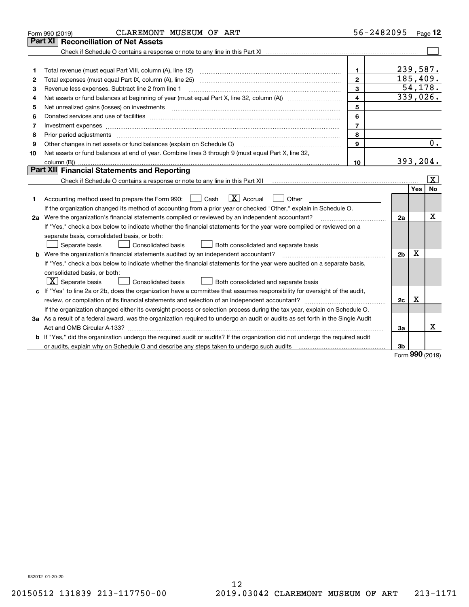|    | CLAREMONT MUSEUM OF ART<br>Form 990 (2019)                                                                                      | 56-2482095     |                |             | Page 12                 |
|----|---------------------------------------------------------------------------------------------------------------------------------|----------------|----------------|-------------|-------------------------|
|    | <b>Reconciliation of Net Assets</b><br>Part XI                                                                                  |                |                |             |                         |
|    |                                                                                                                                 |                |                |             |                         |
|    |                                                                                                                                 |                |                |             |                         |
| 1  |                                                                                                                                 | $\mathbf{1}$   | 239,587.       |             |                         |
| 2  |                                                                                                                                 | $\mathbf{2}$   | 185,409.       |             |                         |
| 3  | Revenue less expenses. Subtract line 2 from line 1                                                                              | 3              |                |             | 54, 178.                |
| 4  |                                                                                                                                 | $\overline{4}$ |                |             | 339,026.                |
| 5  |                                                                                                                                 | 5              |                |             |                         |
| 6  |                                                                                                                                 | 6              |                |             |                         |
| 7  | Investment expenses www.communication.com/www.communication.com/www.communication.com/www.com                                   | $\overline{7}$ |                |             |                         |
| 8  | Prior period adjustments www.communication.communication.com/news/communication.com/news/communication.com/new                  | 8              |                |             |                         |
| 9  | Other changes in net assets or fund balances (explain on Schedule O)                                                            | 9              |                |             | $\overline{0}$ .        |
| 10 | Net assets or fund balances at end of year. Combine lines 3 through 9 (must equal Part X, line 32,                              |                |                |             |                         |
|    |                                                                                                                                 | 10             | 393,204.       |             |                         |
|    | Part XII Financial Statements and Reporting                                                                                     |                |                |             |                         |
|    |                                                                                                                                 |                |                |             | $\overline{\mathbf{x}}$ |
|    |                                                                                                                                 |                |                | <b>Yes</b>  | <b>No</b>               |
| 1  | $\boxed{\mathbf{X}}$ Accrual<br>Accounting method used to prepare the Form 990: <u>[</u> Cash<br>Other                          |                |                |             |                         |
|    | If the organization changed its method of accounting from a prior year or checked "Other," explain in Schedule O.               |                |                |             |                         |
|    | 2a Were the organization's financial statements compiled or reviewed by an independent accountant?                              |                | 2a             |             | х                       |
|    | If "Yes," check a box below to indicate whether the financial statements for the year were compiled or reviewed on a            |                |                |             |                         |
|    | separate basis, consolidated basis, or both:                                                                                    |                |                |             |                         |
|    | Separate basis<br>Consolidated basis<br>Both consolidated and separate basis                                                    |                |                |             |                         |
|    | <b>b</b> Were the organization's financial statements audited by an independent accountant?                                     |                | 2 <sub>b</sub> | $\mathbf X$ |                         |
|    | If "Yes," check a box below to indicate whether the financial statements for the year were audited on a separate basis,         |                |                |             |                         |
|    | consolidated basis, or both:                                                                                                    |                |                |             |                         |
|    | $ \mathbf{X} $ Separate basis<br><b>Consolidated basis</b><br>Both consolidated and separate basis                              |                |                |             |                         |
|    | c If "Yes" to line 2a or 2b, does the organization have a committee that assumes responsibility for oversight of the audit,     |                |                |             |                         |
|    |                                                                                                                                 |                | 2c             | х           |                         |
|    | If the organization changed either its oversight process or selection process during the tax year, explain on Schedule O.       |                |                |             |                         |
|    | 3a As a result of a federal award, was the organization required to undergo an audit or audits as set forth in the Single Audit |                |                |             |                         |
|    |                                                                                                                                 |                | 3a             |             | x                       |
|    | b If "Yes," did the organization undergo the required audit or audits? If the organization did not undergo the required audit   |                |                |             |                         |
|    |                                                                                                                                 |                | 3 <sub>b</sub> | 000         |                         |

Form (2019) **990**

932012 01-20-20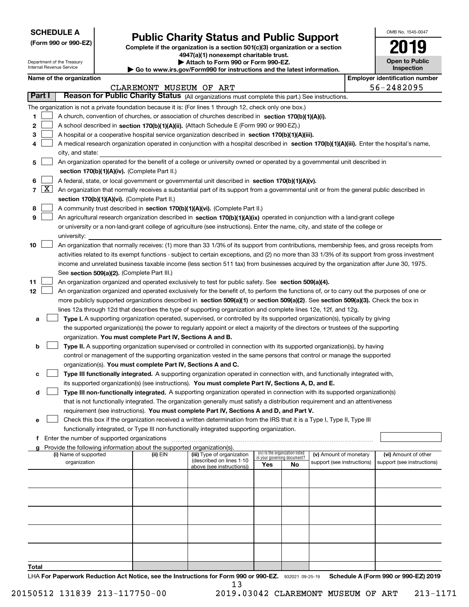| <b>SCHEDULE A</b> |
|-------------------|
|-------------------|

Department of the Treasury Internal Revenue Service

**(Form 990 or 990-EZ)**

# **Public Charity Status and Public Support**

**Complete if the organization is a section 501(c)(3) organization or a section 4947(a)(1) nonexempt charitable trust. | Attach to Form 990 or Form 990-EZ.** 

| ▶ Go to www.irs.gov/Form990 for instructions and the latest information. |
|--------------------------------------------------------------------------|

| OMB No. 1545-0047     |
|-----------------------|
| 2019                  |
| <b>Open to Public</b> |

|  |      | <b>Inspection</b> |  |
|--|------|-------------------|--|
|  | ---- |                   |  |

|              |                     | Name of the organization                                                                                                                                                              |                         |                                                        |                             |                                 |                            | <b>Employer identification number</b> |
|--------------|---------------------|---------------------------------------------------------------------------------------------------------------------------------------------------------------------------------------|-------------------------|--------------------------------------------------------|-----------------------------|---------------------------------|----------------------------|---------------------------------------|
|              |                     |                                                                                                                                                                                       | CLAREMONT MUSEUM OF ART |                                                        |                             |                                 |                            | 56-2482095                            |
|              | <b>Part I</b>       | Reason for Public Charity Status (All organizations must complete this part.) See instructions.                                                                                       |                         |                                                        |                             |                                 |                            |                                       |
|              |                     | The organization is not a private foundation because it is: (For lines 1 through 12, check only one box.)                                                                             |                         |                                                        |                             |                                 |                            |                                       |
| 1            |                     | A church, convention of churches, or association of churches described in section 170(b)(1)(A)(i).                                                                                    |                         |                                                        |                             |                                 |                            |                                       |
| 2            |                     | A school described in section 170(b)(1)(A)(ii). (Attach Schedule E (Form 990 or 990-EZ).)                                                                                             |                         |                                                        |                             |                                 |                            |                                       |
| 3            |                     | A hospital or a cooperative hospital service organization described in section $170(b)(1)(A)(iii)$ .                                                                                  |                         |                                                        |                             |                                 |                            |                                       |
|              |                     | A medical research organization operated in conjunction with a hospital described in section 170(b)(1)(A)(iii). Enter the hospital's name,                                            |                         |                                                        |                             |                                 |                            |                                       |
|              |                     | city, and state:                                                                                                                                                                      |                         |                                                        |                             |                                 |                            |                                       |
| 5            |                     | An organization operated for the benefit of a college or university owned or operated by a governmental unit described in<br>section 170(b)(1)(A)(iv). (Complete Part II.)            |                         |                                                        |                             |                                 |                            |                                       |
| 6            |                     | A federal, state, or local government or governmental unit described in section 170(b)(1)(A)(v).                                                                                      |                         |                                                        |                             |                                 |                            |                                       |
| 7            | $\lfloor x \rfloor$ | An organization that normally receives a substantial part of its support from a governmental unit or from the general public described in                                             |                         |                                                        |                             |                                 |                            |                                       |
|              |                     | section 170(b)(1)(A)(vi). (Complete Part II.)                                                                                                                                         |                         |                                                        |                             |                                 |                            |                                       |
| 8            |                     | A community trust described in section 170(b)(1)(A)(vi). (Complete Part II.)                                                                                                          |                         |                                                        |                             |                                 |                            |                                       |
| 9            |                     | An agricultural research organization described in section 170(b)(1)(A)(ix) operated in conjunction with a land-grant college                                                         |                         |                                                        |                             |                                 |                            |                                       |
|              |                     | or university or a non-land-grant college of agriculture (see instructions). Enter the name, city, and state of the college or                                                        |                         |                                                        |                             |                                 |                            |                                       |
|              |                     | university:                                                                                                                                                                           |                         |                                                        |                             |                                 |                            |                                       |
| 10           |                     | An organization that normally receives: (1) more than 33 1/3% of its support from contributions, membership fees, and gross receipts from                                             |                         |                                                        |                             |                                 |                            |                                       |
|              |                     | activities related to its exempt functions - subject to certain exceptions, and (2) no more than 33 1/3% of its support from gross investment                                         |                         |                                                        |                             |                                 |                            |                                       |
|              |                     | income and unrelated business taxable income (less section 511 tax) from businesses acquired by the organization after June 30, 1975.                                                 |                         |                                                        |                             |                                 |                            |                                       |
|              |                     | See section 509(a)(2). (Complete Part III.)                                                                                                                                           |                         |                                                        |                             |                                 |                            |                                       |
| 11           |                     | An organization organized and operated exclusively to test for public safety. See section 509(a)(4).                                                                                  |                         |                                                        |                             |                                 |                            |                                       |
| 12           |                     | An organization organized and operated exclusively for the benefit of, to perform the functions of, or to carry out the purposes of one or                                            |                         |                                                        |                             |                                 |                            |                                       |
|              |                     | more publicly supported organizations described in section 509(a)(1) or section 509(a)(2). See section 509(a)(3). Check the box in                                                    |                         |                                                        |                             |                                 |                            |                                       |
|              |                     | lines 12a through 12d that describes the type of supporting organization and complete lines 12e, 12f, and 12g.                                                                        |                         |                                                        |                             |                                 |                            |                                       |
|              | a                   | Type I. A supporting organization operated, supervised, or controlled by its supported organization(s), typically by giving                                                           |                         |                                                        |                             |                                 |                            |                                       |
|              |                     | the supported organization(s) the power to regularly appoint or elect a majority of the directors or trustees of the supporting                                                       |                         |                                                        |                             |                                 |                            |                                       |
|              |                     | organization. You must complete Part IV, Sections A and B.                                                                                                                            |                         |                                                        |                             |                                 |                            |                                       |
|              | b                   | Type II. A supporting organization supervised or controlled in connection with its supported organization(s), by having                                                               |                         |                                                        |                             |                                 |                            |                                       |
|              |                     | control or management of the supporting organization vested in the same persons that control or manage the supported<br>organization(s). You must complete Part IV, Sections A and C. |                         |                                                        |                             |                                 |                            |                                       |
| c            |                     | Type III functionally integrated. A supporting organization operated in connection with, and functionally integrated with,                                                            |                         |                                                        |                             |                                 |                            |                                       |
|              |                     | its supported organization(s) (see instructions). You must complete Part IV, Sections A, D, and E.                                                                                    |                         |                                                        |                             |                                 |                            |                                       |
|              | d                   | Type III non-functionally integrated. A supporting organization operated in connection with its supported organization(s)                                                             |                         |                                                        |                             |                                 |                            |                                       |
|              |                     | that is not functionally integrated. The organization generally must satisfy a distribution requirement and an attentiveness                                                          |                         |                                                        |                             |                                 |                            |                                       |
|              |                     | requirement (see instructions). You must complete Part IV, Sections A and D, and Part V.                                                                                              |                         |                                                        |                             |                                 |                            |                                       |
|              |                     | Check this box if the organization received a written determination from the IRS that it is a Type I, Type II, Type III                                                               |                         |                                                        |                             |                                 |                            |                                       |
|              |                     | functionally integrated, or Type III non-functionally integrated supporting organization.                                                                                             |                         |                                                        |                             |                                 |                            |                                       |
|              |                     | f Enter the number of supported organizations                                                                                                                                         |                         |                                                        |                             |                                 |                            |                                       |
|              |                     | g Provide the following information about the supported organization(s).                                                                                                              |                         |                                                        |                             |                                 |                            |                                       |
|              |                     | (i) Name of supported                                                                                                                                                                 | (ii) EIN                | (iii) Type of organization<br>(described on lines 1-10 | in your governing document? | (iv) Is the organization listed | (v) Amount of monetary     | (vi) Amount of other                  |
|              |                     | organization                                                                                                                                                                          |                         | above (see instructions))                              | Yes                         | No                              | support (see instructions) | support (see instructions)            |
|              |                     |                                                                                                                                                                                       |                         |                                                        |                             |                                 |                            |                                       |
|              |                     |                                                                                                                                                                                       |                         |                                                        |                             |                                 |                            |                                       |
|              |                     |                                                                                                                                                                                       |                         |                                                        |                             |                                 |                            |                                       |
|              |                     |                                                                                                                                                                                       |                         |                                                        |                             |                                 |                            |                                       |
|              |                     |                                                                                                                                                                                       |                         |                                                        |                             |                                 |                            |                                       |
|              |                     |                                                                                                                                                                                       |                         |                                                        |                             |                                 |                            |                                       |
|              |                     |                                                                                                                                                                                       |                         |                                                        |                             |                                 |                            |                                       |
| <b>Total</b> |                     |                                                                                                                                                                                       |                         |                                                        |                             |                                 |                            |                                       |
|              |                     |                                                                                                                                                                                       |                         |                                                        |                             |                                 |                            |                                       |

LHA For Paperwork Reduction Act Notice, see the Instructions for Form 990 or 990-EZ. 932021 09-25-19 Schedule A (Form 990 or 990-EZ) 2019 13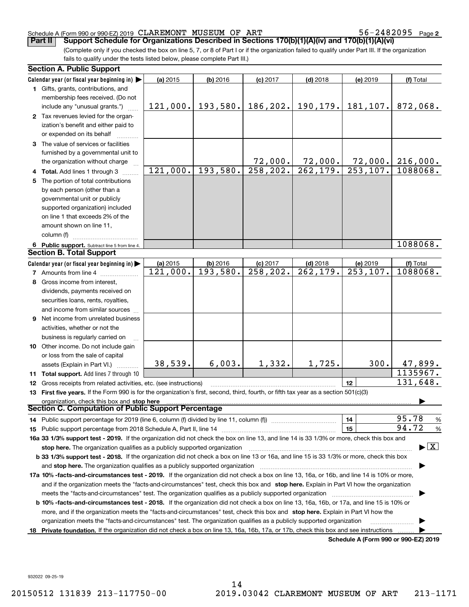56-2482095 Page 2

(Complete only if you checked the box on line 5, 7, or 8 of Part I or if the organization failed to qualify under Part III. If the organization fails to qualify under the tests listed below, please complete Part III.) **Part II** | Support Schedule for Organizations Described in Sections 170(b)(1)(A)(iv) and 170(b)(1)(A)(vi)

| <b>Section A. Public Support</b>                                                                                                               |          |            |                         |                        |                                      |                                         |
|------------------------------------------------------------------------------------------------------------------------------------------------|----------|------------|-------------------------|------------------------|--------------------------------------|-----------------------------------------|
| Calendar year (or fiscal year beginning in) $\blacktriangleright$                                                                              | (a) 2015 | $(b)$ 2016 | $(c)$ 2017              | $(d)$ 2018             | (e) 2019                             | (f) Total                               |
| 1 Gifts, grants, contributions, and<br>membership fees received. (Do not                                                                       |          |            |                         |                        |                                      |                                         |
| include any "unusual grants.")                                                                                                                 | 121,000. | 193,580.   | 186,202.                | 190, 179.              | 181, 107.                            | 872,068.                                |
| 2 Tax revenues levied for the organ-                                                                                                           |          |            |                         |                        |                                      |                                         |
| ization's benefit and either paid to                                                                                                           |          |            |                         |                        |                                      |                                         |
| or expended on its behalf                                                                                                                      |          |            |                         |                        |                                      |                                         |
| 3 The value of services or facilities                                                                                                          |          |            |                         |                        |                                      |                                         |
| furnished by a governmental unit to                                                                                                            |          |            |                         |                        |                                      |                                         |
| the organization without charge                                                                                                                |          |            | 72,000.                 | 72,000.                | 72,000.                              | 216,000.                                |
| 4 Total. Add lines 1 through 3                                                                                                                 | 121,000. | 193,580.   | 258, 202.               | 262, 179.              | 253, 107.                            | 1088068.                                |
| 5 The portion of total contributions                                                                                                           |          |            |                         |                        |                                      |                                         |
| by each person (other than a                                                                                                                   |          |            |                         |                        |                                      |                                         |
| governmental unit or publicly                                                                                                                  |          |            |                         |                        |                                      |                                         |
| supported organization) included                                                                                                               |          |            |                         |                        |                                      |                                         |
| on line 1 that exceeds 2% of the                                                                                                               |          |            |                         |                        |                                      |                                         |
| amount shown on line 11,                                                                                                                       |          |            |                         |                        |                                      |                                         |
| column (f)                                                                                                                                     |          |            |                         |                        |                                      |                                         |
| 6 Public support. Subtract line 5 from line 4.                                                                                                 |          |            |                         |                        |                                      | 1088068.                                |
| <b>Section B. Total Support</b>                                                                                                                |          |            |                         |                        |                                      |                                         |
| Calendar year (or fiscal year beginning in)                                                                                                    | (a) 2015 | $(b)$ 2016 | $(c)$ 2017              | $(d)$ 2018             | (e) 2019                             | (f) Total                               |
| <b>7</b> Amounts from line 4                                                                                                                   | 121,000. | 193,580.   | $\overline{258}$ , 202. | $\overline{262,179}$ . | $\overline{253,107}$ .               | 1088068.                                |
| 8 Gross income from interest,                                                                                                                  |          |            |                         |                        |                                      |                                         |
| dividends, payments received on                                                                                                                |          |            |                         |                        |                                      |                                         |
| securities loans, rents, royalties,                                                                                                            |          |            |                         |                        |                                      |                                         |
| and income from similar sources                                                                                                                |          |            |                         |                        |                                      |                                         |
| 9 Net income from unrelated business                                                                                                           |          |            |                         |                        |                                      |                                         |
| activities, whether or not the                                                                                                                 |          |            |                         |                        |                                      |                                         |
| business is regularly carried on                                                                                                               |          |            |                         |                        |                                      |                                         |
| <b>10</b> Other income. Do not include gain                                                                                                    |          |            |                         |                        |                                      |                                         |
| or loss from the sale of capital                                                                                                               |          |            |                         |                        |                                      |                                         |
| assets (Explain in Part VI.)                                                                                                                   | 38,539.  | 6,003.     | 1,332.                  | 1,725.                 | 300.                                 | 47,899.                                 |
| <b>11 Total support.</b> Add lines 7 through 10                                                                                                |          |            |                         |                        |                                      | 1135967.                                |
| <b>12</b> Gross receipts from related activities, etc. (see instructions)                                                                      |          |            |                         |                        | 12                                   | 131,648.                                |
| 13 First five years. If the Form 990 is for the organization's first, second, third, fourth, or fifth tax year as a section 501(c)(3)          |          |            |                         |                        |                                      |                                         |
| organization, check this box and stop here<br>Section C. Computation of Public Support Percentage                                              |          |            |                         |                        |                                      |                                         |
| 14 Public support percentage for 2019 (line 6, column (f) divided by line 11, column (f) <i></i>                                               |          |            |                         |                        | 14                                   | 95.78<br>$\frac{9}{6}$                  |
|                                                                                                                                                |          |            |                         |                        | 15                                   | 94.72<br>%                              |
| 16a 33 1/3% support test - 2019. If the organization did not check the box on line 13, and line 14 is 33 1/3% or more, check this box and      |          |            |                         |                        |                                      |                                         |
| stop here. The organization qualifies as a publicly supported organization                                                                     |          |            |                         |                        |                                      | $\blacktriangleright$ $\vert$ X $\vert$ |
| b 33 1/3% support test - 2018. If the organization did not check a box on line 13 or 16a, and line 15 is 33 1/3% or more, check this box       |          |            |                         |                        |                                      |                                         |
|                                                                                                                                                |          |            |                         |                        |                                      |                                         |
| 17a 10% -facts-and-circumstances test - 2019. If the organization did not check a box on line 13, 16a, or 16b, and line 14 is 10% or more,     |          |            |                         |                        |                                      |                                         |
| and if the organization meets the "facts-and-circumstances" test, check this box and stop here. Explain in Part VI how the organization        |          |            |                         |                        |                                      |                                         |
|                                                                                                                                                |          |            |                         |                        |                                      |                                         |
| <b>b 10% -facts-and-circumstances test - 2018.</b> If the organization did not check a box on line 13, 16a, 16b, or 17a, and line 15 is 10% or |          |            |                         |                        |                                      |                                         |
| more, and if the organization meets the "facts-and-circumstances" test, check this box and stop here. Explain in Part VI how the               |          |            |                         |                        |                                      |                                         |
| organization meets the "facts-and-circumstances" test. The organization qualifies as a publicly supported organization                         |          |            |                         |                        |                                      |                                         |
| 18 Private foundation. If the organization did not check a box on line 13, 16a, 16b, 17a, or 17b, check this box and see instructions          |          |            |                         |                        |                                      |                                         |
|                                                                                                                                                |          |            |                         |                        | Schedule A (Form 990 or 990-EZ) 2019 |                                         |

932022 09-25-19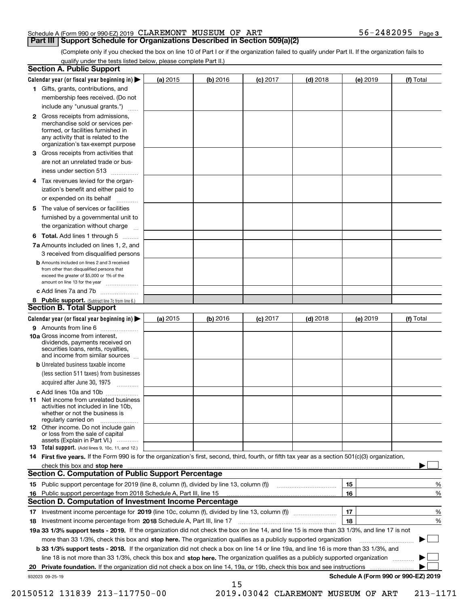(Complete only if you checked the box on line 10 of Part I or if the organization failed to qualify under Part II. If the organization fails to qualify under the tests listed below, please complete Part II.)

|    | <b>Section A. Public Support</b>                                                                                                                                                                |            |          |            |            |          |                                      |
|----|-------------------------------------------------------------------------------------------------------------------------------------------------------------------------------------------------|------------|----------|------------|------------|----------|--------------------------------------|
|    | Calendar year (or fiscal year beginning in)                                                                                                                                                     | (a) 2015   | (b) 2016 | $(c)$ 2017 | $(d)$ 2018 | (e) 2019 | (f) Total                            |
|    | 1 Gifts, grants, contributions, and                                                                                                                                                             |            |          |            |            |          |                                      |
|    | membership fees received. (Do not                                                                                                                                                               |            |          |            |            |          |                                      |
|    | include any "unusual grants.")                                                                                                                                                                  |            |          |            |            |          |                                      |
|    | <b>2</b> Gross receipts from admissions,<br>merchandise sold or services per-<br>formed, or facilities furnished in<br>any activity that is related to the<br>organization's tax-exempt purpose |            |          |            |            |          |                                      |
|    | <b>3</b> Gross receipts from activities that<br>are not an unrelated trade or bus-                                                                                                              |            |          |            |            |          |                                      |
|    | iness under section 513                                                                                                                                                                         |            |          |            |            |          |                                      |
|    | 4 Tax revenues levied for the organ-<br>ization's benefit and either paid to                                                                                                                    |            |          |            |            |          |                                      |
|    | or expended on its behalf                                                                                                                                                                       |            |          |            |            |          |                                      |
| 5. | The value of services or facilities                                                                                                                                                             |            |          |            |            |          |                                      |
|    | furnished by a governmental unit to                                                                                                                                                             |            |          |            |            |          |                                      |
|    | the organization without charge                                                                                                                                                                 |            |          |            |            |          |                                      |
|    | <b>6 Total.</b> Add lines 1 through 5                                                                                                                                                           |            |          |            |            |          |                                      |
|    | 7a Amounts included on lines 1, 2, and<br>3 received from disqualified persons                                                                                                                  |            |          |            |            |          |                                      |
|    | <b>b</b> Amounts included on lines 2 and 3 received<br>from other than disqualified persons that<br>exceed the greater of \$5,000 or 1% of the<br>amount on line 13 for the year                |            |          |            |            |          |                                      |
|    | c Add lines 7a and 7b                                                                                                                                                                           |            |          |            |            |          |                                      |
|    | 8 Public support. (Subtract line 7c from line 6.)                                                                                                                                               |            |          |            |            |          |                                      |
|    | <b>Section B. Total Support</b>                                                                                                                                                                 |            |          |            |            |          |                                      |
|    | Calendar year (or fiscal year beginning in)                                                                                                                                                     | (a) $2015$ | (b) 2016 | $(c)$ 2017 | $(d)$ 2018 | (e) 2019 | (f) Total                            |
|    | 9 Amounts from line 6                                                                                                                                                                           |            |          |            |            |          |                                      |
|    | <b>10a</b> Gross income from interest,<br>dividends, payments received on<br>securities loans, rents, royalties,<br>and income from similar sources                                             |            |          |            |            |          |                                      |
|    | <b>b</b> Unrelated business taxable income                                                                                                                                                      |            |          |            |            |          |                                      |
|    | (less section 511 taxes) from businesses                                                                                                                                                        |            |          |            |            |          |                                      |
|    | acquired after June 30, 1975                                                                                                                                                                    |            |          |            |            |          |                                      |
|    | c Add lines 10a and 10b                                                                                                                                                                         |            |          |            |            |          |                                      |
|    | 11 Net income from unrelated business<br>activities not included in line 10b,<br>whether or not the business is<br>regularly carried on                                                         |            |          |            |            |          |                                      |
|    | <b>12</b> Other income. Do not include gain<br>or loss from the sale of capital                                                                                                                 |            |          |            |            |          |                                      |
|    | assets (Explain in Part VI.)<br><b>13</b> Total support. (Add lines 9, 10c, 11, and 12.)                                                                                                        |            |          |            |            |          |                                      |
|    | 14 First five years. If the Form 990 is for the organization's first, second, third, fourth, or fifth tax year as a section 501(c)(3) organization,                                             |            |          |            |            |          |                                      |
|    | check this box and stop here with an intermediate control to the control of the control of the control of the c                                                                                 |            |          |            |            |          |                                      |
|    | <b>Section C. Computation of Public Support Percentage</b>                                                                                                                                      |            |          |            |            |          |                                      |
|    |                                                                                                                                                                                                 |            |          |            |            | 15       | %                                    |
| 16 | Public support percentage from 2018 Schedule A, Part III, line 15                                                                                                                               |            |          |            |            | 16       | %                                    |
|    | Section D. Computation of Investment Income Percentage                                                                                                                                          |            |          |            |            |          |                                      |
| 17 | Investment income percentage for 2019 (line 10c, column (f), divided by line 13, column (f))                                                                                                    |            |          |            |            | 17       | %                                    |
| 18 | Investment income percentage from 2018 Schedule A, Part III, line 17                                                                                                                            |            |          |            |            | 18       | %                                    |
|    | 19a 33 1/3% support tests - 2019. If the organization did not check the box on line 14, and line 15 is more than 33 1/3%, and line 17 is not                                                    |            |          |            |            |          |                                      |
|    | more than 33 1/3%, check this box and stop here. The organization qualifies as a publicly supported organization                                                                                |            |          |            |            |          | ▶                                    |
|    | b 33 1/3% support tests - 2018. If the organization did not check a box on line 14 or line 19a, and line 16 is more than 33 1/3%, and                                                           |            |          |            |            |          |                                      |
|    | line 18 is not more than 33 1/3%, check this box and stop here. The organization qualifies as a publicly supported organization                                                                 |            |          |            |            |          |                                      |
| 20 | Private foundation. If the organization did not check a box on line 14, 19a, or 19b, check this box and see instructions                                                                        |            |          |            |            |          |                                      |
|    | 932023 09-25-19                                                                                                                                                                                 |            |          |            |            |          | Schedule A (Form 990 or 990-EZ) 2019 |
|    |                                                                                                                                                                                                 |            | 15       |            |            |          |                                      |

 <sup>20150512 131839 213-117750-00 2019.03042</sup> CLAREMONT MUSEUM OF ART 213-1171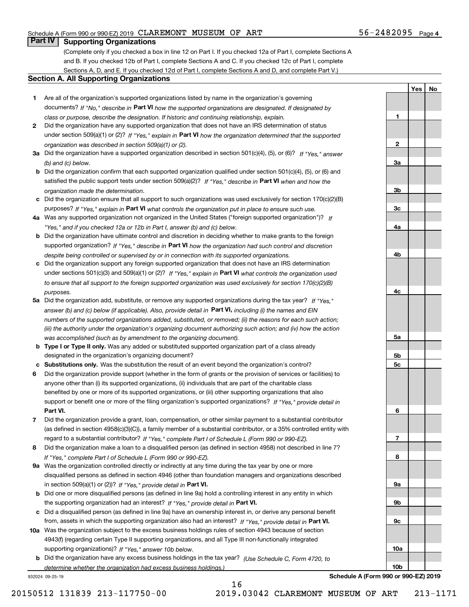# **Part IV Supporting Organizations**

(Complete only if you checked a box in line 12 on Part I. If you checked 12a of Part I, complete Sections A and B. If you checked 12b of Part I, complete Sections A and C. If you checked 12c of Part I, complete Sections A, D, and E. If you checked 12d of Part I, complete Sections A and D, and complete Part V.)

#### **Section A. All Supporting Organizations**

- **1** Are all of the organization's supported organizations listed by name in the organization's governing documents? If "No," describe in **Part VI** how the supported organizations are designated. If designated by *class or purpose, describe the designation. If historic and continuing relationship, explain.*
- **2** Did the organization have any supported organization that does not have an IRS determination of status under section 509(a)(1) or (2)? If "Yes," explain in Part VI how the organization determined that the supported *organization was described in section 509(a)(1) or (2).*
- **3a** Did the organization have a supported organization described in section 501(c)(4), (5), or (6)? If "Yes," answer *(b) and (c) below.*
- **b** Did the organization confirm that each supported organization qualified under section 501(c)(4), (5), or (6) and satisfied the public support tests under section 509(a)(2)? If "Yes," describe in **Part VI** when and how the *organization made the determination.*
- **c**Did the organization ensure that all support to such organizations was used exclusively for section 170(c)(2)(B) purposes? If "Yes," explain in **Part VI** what controls the organization put in place to ensure such use.
- **4a***If* Was any supported organization not organized in the United States ("foreign supported organization")? *"Yes," and if you checked 12a or 12b in Part I, answer (b) and (c) below.*
- **b** Did the organization have ultimate control and discretion in deciding whether to make grants to the foreign supported organization? If "Yes," describe in **Part VI** how the organization had such control and discretion *despite being controlled or supervised by or in connection with its supported organizations.*
- **c** Did the organization support any foreign supported organization that does not have an IRS determination under sections 501(c)(3) and 509(a)(1) or (2)? If "Yes," explain in **Part VI** what controls the organization used *to ensure that all support to the foreign supported organization was used exclusively for section 170(c)(2)(B) purposes.*
- **5a** Did the organization add, substitute, or remove any supported organizations during the tax year? If "Yes," answer (b) and (c) below (if applicable). Also, provide detail in **Part VI,** including (i) the names and EIN *numbers of the supported organizations added, substituted, or removed; (ii) the reasons for each such action; (iii) the authority under the organization's organizing document authorizing such action; and (iv) how the action was accomplished (such as by amendment to the organizing document).*
- **b** Type I or Type II only. Was any added or substituted supported organization part of a class already designated in the organization's organizing document?
- **cSubstitutions only.**  Was the substitution the result of an event beyond the organization's control?
- **6** Did the organization provide support (whether in the form of grants or the provision of services or facilities) to **Part VI.** *If "Yes," provide detail in* support or benefit one or more of the filing organization's supported organizations? anyone other than (i) its supported organizations, (ii) individuals that are part of the charitable class benefited by one or more of its supported organizations, or (iii) other supporting organizations that also
- **7**Did the organization provide a grant, loan, compensation, or other similar payment to a substantial contributor *If "Yes," complete Part I of Schedule L (Form 990 or 990-EZ).* regard to a substantial contributor? (as defined in section 4958(c)(3)(C)), a family member of a substantial contributor, or a 35% controlled entity with
- **8** Did the organization make a loan to a disqualified person (as defined in section 4958) not described in line 7? *If "Yes," complete Part I of Schedule L (Form 990 or 990-EZ).*
- **9a** Was the organization controlled directly or indirectly at any time during the tax year by one or more in section 509(a)(1) or (2))? If "Yes," *provide detail in* <code>Part VI.</code> disqualified persons as defined in section 4946 (other than foundation managers and organizations described
- **b** Did one or more disqualified persons (as defined in line 9a) hold a controlling interest in any entity in which the supporting organization had an interest? If "Yes," provide detail in P**art VI**.
- **c**Did a disqualified person (as defined in line 9a) have an ownership interest in, or derive any personal benefit from, assets in which the supporting organization also had an interest? If "Yes," provide detail in P**art VI.**
- **10a** Was the organization subject to the excess business holdings rules of section 4943 because of section supporting organizations)? If "Yes," answer 10b below. 4943(f) (regarding certain Type II supporting organizations, and all Type III non-functionally integrated
- **b** Did the organization have any excess business holdings in the tax year? (Use Schedule C, Form 4720, to *determine whether the organization had excess business holdings.)*

16

932024 09-25-19

**Schedule A (Form 990 or 990-EZ) 2019**

**1**

**2**

**3a**

**3b**

**3c**

**4a**

**4b**

**4c**

**5a**

**5b5c**

**6**

**7**

**8**

**9a**

**9b**

**9c**

**10a**

**10b**

**YesNo**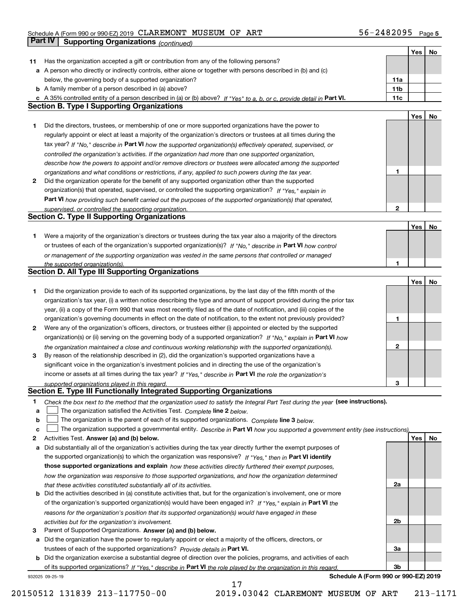### Schedule A (Form 990 or 990-EZ) 2019 Page CLAREMONT MUSEUM OF ART 56-2482095 **Part IV** Supporting Organizations (*continued*)

|    |                                                                                                                                                                              |                 | Yes | No  |
|----|------------------------------------------------------------------------------------------------------------------------------------------------------------------------------|-----------------|-----|-----|
| 11 | Has the organization accepted a gift or contribution from any of the following persons?                                                                                      |                 |     |     |
|    | a A person who directly or indirectly controls, either alone or together with persons described in (b) and (c)                                                               |                 |     |     |
|    | below, the governing body of a supported organization?                                                                                                                       | 11a             |     |     |
|    | <b>b</b> A family member of a person described in (a) above?                                                                                                                 | 11 <sub>b</sub> |     |     |
|    |                                                                                                                                                                              |                 |     |     |
|    | c A 35% controlled entity of a person described in (a) or (b) above? If "Yes" to a, b, or c, provide detail in Part VI.<br><b>Section B. Type I Supporting Organizations</b> | 11c             |     |     |
|    |                                                                                                                                                                              |                 |     |     |
|    |                                                                                                                                                                              |                 | Yes | No  |
| 1  | Did the directors, trustees, or membership of one or more supported organizations have the power to                                                                          |                 |     |     |
|    | regularly appoint or elect at least a majority of the organization's directors or trustees at all times during the                                                           |                 |     |     |
|    | tax year? If "No," describe in Part VI how the supported organization(s) effectively operated, supervised, or                                                                |                 |     |     |
|    | controlled the organization's activities. If the organization had more than one supported organization,                                                                      |                 |     |     |
|    | describe how the powers to appoint and/or remove directors or trustees were allocated among the supported                                                                    |                 |     |     |
|    | organizations and what conditions or restrictions, if any, applied to such powers during the tax year.                                                                       | 1               |     |     |
| 2  | Did the organization operate for the benefit of any supported organization other than the supported                                                                          |                 |     |     |
|    |                                                                                                                                                                              |                 |     |     |
|    | organization(s) that operated, supervised, or controlled the supporting organization? If "Yes," explain in                                                                   |                 |     |     |
|    | Part VI how providing such benefit carried out the purposes of the supported organization(s) that operated,                                                                  |                 |     |     |
|    | supervised, or controlled the supporting organization.                                                                                                                       | $\mathbf{2}$    |     |     |
|    | <b>Section C. Type II Supporting Organizations</b>                                                                                                                           |                 |     |     |
|    |                                                                                                                                                                              |                 | Yes | No  |
| 1  | Were a majority of the organization's directors or trustees during the tax year also a majority of the directors                                                             |                 |     |     |
|    | or trustees of each of the organization's supported organization(s)? If "No," describe in Part VI how control                                                                |                 |     |     |
|    | or management of the supporting organization was vested in the same persons that controlled or managed                                                                       |                 |     |     |
|    | the supported organization(s).                                                                                                                                               | 1               |     |     |
|    | Section D. All Type III Supporting Organizations                                                                                                                             |                 |     |     |
|    |                                                                                                                                                                              |                 | Yes | No  |
|    |                                                                                                                                                                              |                 |     |     |
| 1  | Did the organization provide to each of its supported organizations, by the last day of the fifth month of the                                                               |                 |     |     |
|    | organization's tax year, (i) a written notice describing the type and amount of support provided during the prior tax                                                        |                 |     |     |
|    | year, (ii) a copy of the Form 990 that was most recently filed as of the date of notification, and (iii) copies of the                                                       |                 |     |     |
|    | organization's governing documents in effect on the date of notification, to the extent not previously provided?                                                             | 1               |     |     |
| 2  | Were any of the organization's officers, directors, or trustees either (i) appointed or elected by the supported                                                             |                 |     |     |
|    | organization(s) or (ii) serving on the governing body of a supported organization? If "No," explain in Part VI how                                                           |                 |     |     |
|    | the organization maintained a close and continuous working relationship with the supported organization(s).                                                                  | 2               |     |     |
| 3  | By reason of the relationship described in (2), did the organization's supported organizations have a                                                                        |                 |     |     |
|    | significant voice in the organization's investment policies and in directing the use of the organization's                                                                   |                 |     |     |
|    | income or assets at all times during the tax year? If "Yes," describe in Part VI the role the organization's                                                                 |                 |     |     |
|    |                                                                                                                                                                              | З               |     |     |
|    | supported organizations played in this regard.<br>Section E. Type III Functionally Integrated Supporting Organizations                                                       |                 |     |     |
|    |                                                                                                                                                                              |                 |     |     |
| 1. | Check the box next to the method that the organization used to satisfy the Integral Part Test during the year (see instructions).                                            |                 |     |     |
| а  | The organization satisfied the Activities Test. Complete line 2 below.                                                                                                       |                 |     |     |
| b  | The organization is the parent of each of its supported organizations. Complete line 3 below.                                                                                |                 |     |     |
| c  | The organization supported a governmental entity. Describe in Part VI how you supported a government entity (see instructions).                                              |                 |     |     |
| 2  | Activities Test. Answer (a) and (b) below.                                                                                                                                   |                 | Yes | No. |
| a  | Did substantially all of the organization's activities during the tax year directly further the exempt purposes of                                                           |                 |     |     |
|    | the supported organization(s) to which the organization was responsive? If "Yes," then in Part VI identify                                                                   |                 |     |     |
|    | those supported organizations and explain how these activities directly furthered their exempt purposes,                                                                     |                 |     |     |
|    |                                                                                                                                                                              |                 |     |     |
|    | how the organization was responsive to those supported organizations, and how the organization determined                                                                    |                 |     |     |
|    | that these activities constituted substantially all of its activities.                                                                                                       | 2a              |     |     |
|    | <b>b</b> Did the activities described in (a) constitute activities that, but for the organization's involvement, one or more                                                 |                 |     |     |
|    | of the organization's supported organization(s) would have been engaged in? If "Yes," explain in Part VI the                                                                 |                 |     |     |
|    | reasons for the organization's position that its supported organization(s) would have engaged in these                                                                       |                 |     |     |
|    | activities but for the organization's involvement.                                                                                                                           | 2b              |     |     |
| 3  | Parent of Supported Organizations. Answer (a) and (b) below.                                                                                                                 |                 |     |     |
|    | a Did the organization have the power to regularly appoint or elect a majority of the officers, directors, or                                                                |                 |     |     |
|    | trustees of each of the supported organizations? Provide details in Part VI.                                                                                                 | За              |     |     |
|    | <b>b</b> Did the organization exercise a substantial degree of direction over the policies, programs, and activities of each                                                 |                 |     |     |
|    |                                                                                                                                                                              | 3b              |     |     |
|    | of its supported organizations? If "Yes," describe in Part VI the role played by the organization in this regard                                                             |                 |     |     |
|    | Schedule A (Form 990 or 990-EZ) 2019<br>932025 09-25-19                                                                                                                      |                 |     |     |

17

**Schedule A (Form 990 or 990-EZ) 2019**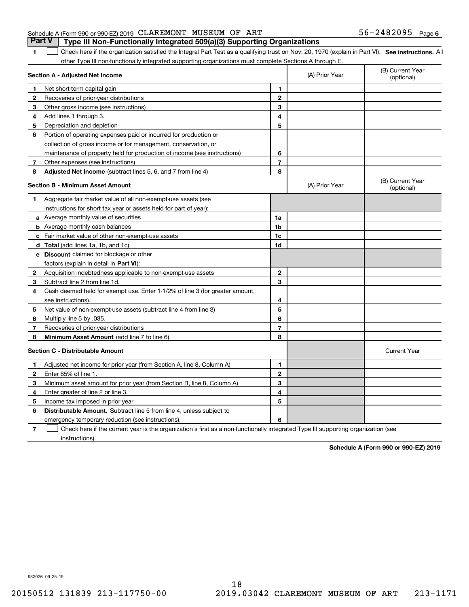#### Schedule A (Form 990 or 990-EZ) 2019 Page CLAREMONT MUSEUM OF ART 56-2482095 **Part V Type III Non-Functionally Integrated 509(a)(3) Supporting Organizations**

**1**

1 Check here if the organization satisfied the Integral Part Test as a qualifying trust on Nov. 20, 1970 (explain in Part VI). See instructions. All other Type III non-functionally integrated supporting organizations must complete Sections A through E.

|    | Section A - Adjusted Net Income                                              |                | (A) Prior Year | (B) Current Year<br>(optional) |
|----|------------------------------------------------------------------------------|----------------|----------------|--------------------------------|
| 1  | Net short-term capital gain                                                  | 1              |                |                                |
| 2  | Recoveries of prior-year distributions                                       | $\overline{2}$ |                |                                |
| З  | Other gross income (see instructions)                                        | 3              |                |                                |
| 4  | Add lines 1 through 3.                                                       | 4              |                |                                |
| 5  | Depreciation and depletion                                                   | 5              |                |                                |
| 6  | Portion of operating expenses paid or incurred for production or             |                |                |                                |
|    | collection of gross income or for management, conservation, or               |                |                |                                |
|    | maintenance of property held for production of income (see instructions)     | 6              |                |                                |
| 7  | Other expenses (see instructions)                                            | 7              |                |                                |
| 8  | Adjusted Net Income (subtract lines 5, 6, and 7 from line 4)                 | 8              |                |                                |
|    | <b>Section B - Minimum Asset Amount</b>                                      |                | (A) Prior Year | (B) Current Year<br>(optional) |
| 1. | Aggregate fair market value of all non-exempt-use assets (see                |                |                |                                |
|    | instructions for short tax year or assets held for part of year):            |                |                |                                |
|    | a Average monthly value of securities                                        | 1a             |                |                                |
|    | <b>b</b> Average monthly cash balances                                       | 1b             |                |                                |
|    | c Fair market value of other non-exempt-use assets                           | 1c             |                |                                |
|    | <b>d</b> Total (add lines 1a, 1b, and 1c)                                    | 1d             |                |                                |
|    | e Discount claimed for blockage or other                                     |                |                |                                |
|    | factors (explain in detail in Part VI):                                      |                |                |                                |
| 2  | Acquisition indebtedness applicable to non-exempt-use assets                 | $\mathbf{2}$   |                |                                |
| З  | Subtract line 2 from line 1d.                                                | 3              |                |                                |
| 4  | Cash deemed held for exempt use. Enter 1-1/2% of line 3 (for greater amount, |                |                |                                |
|    | see instructions)                                                            | 4              |                |                                |
| 5  | Net value of non-exempt-use assets (subtract line 4 from line 3)             | 5              |                |                                |
| 6  | Multiply line 5 by .035.                                                     | 6              |                |                                |
| 7  | Recoveries of prior-year distributions                                       | $\overline{7}$ |                |                                |
| 8  | Minimum Asset Amount (add line 7 to line 6)                                  | 8              |                |                                |
|    | <b>Section C - Distributable Amount</b>                                      |                |                | <b>Current Year</b>            |
| 1  | Adjusted net income for prior year (from Section A, line 8, Column A)        | 1              |                |                                |
| 2  | Enter 85% of line 1.                                                         | $\overline{2}$ |                |                                |
| 3  | Minimum asset amount for prior year (from Section B, line 8, Column A)       | 3              |                |                                |
| 4  | Enter greater of line 2 or line 3.                                           | 4              |                |                                |
| 5  | Income tax imposed in prior year                                             | 5              |                |                                |
| 6  | <b>Distributable Amount.</b> Subtract line 5 from line 4, unless subject to  |                |                |                                |
|    | emergency temporary reduction (see instructions).                            | 6              |                |                                |
|    |                                                                              |                |                |                                |

**7** Check here if the current year is the organization's first as a non-functionally integrated Type III supporting organization (see instructions).

**Schedule A (Form 990 or 990-EZ) 2019**

932026 09-25-19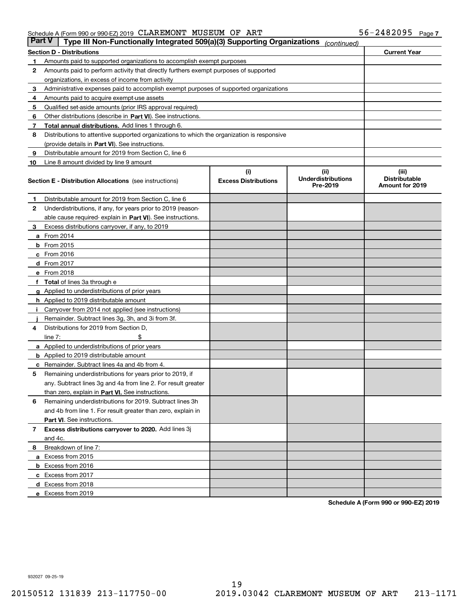| Part V | Type III Non-Functionally Integrated 509(a)(3) Supporting Organizations                    |                             | (continued)                           |                                         |
|--------|--------------------------------------------------------------------------------------------|-----------------------------|---------------------------------------|-----------------------------------------|
|        | <b>Section D - Distributions</b>                                                           |                             |                                       | <b>Current Year</b>                     |
| 1      | Amounts paid to supported organizations to accomplish exempt purposes                      |                             |                                       |                                         |
| 2      | Amounts paid to perform activity that directly furthers exempt purposes of supported       |                             |                                       |                                         |
|        | organizations, in excess of income from activity                                           |                             |                                       |                                         |
| з      | Administrative expenses paid to accomplish exempt purposes of supported organizations      |                             |                                       |                                         |
| 4      | Amounts paid to acquire exempt-use assets                                                  |                             |                                       |                                         |
| 5      | Qualified set-aside amounts (prior IRS approval required)                                  |                             |                                       |                                         |
| 6      | Other distributions (describe in Part VI). See instructions.                               |                             |                                       |                                         |
| 7      | <b>Total annual distributions.</b> Add lines 1 through 6.                                  |                             |                                       |                                         |
| 8      | Distributions to attentive supported organizations to which the organization is responsive |                             |                                       |                                         |
|        | (provide details in Part VI). See instructions.                                            |                             |                                       |                                         |
| 9      | Distributable amount for 2019 from Section C, line 6                                       |                             |                                       |                                         |
| 10     | Line 8 amount divided by line 9 amount                                                     |                             |                                       |                                         |
|        |                                                                                            | (i)                         | (iii)                                 | (iii)                                   |
|        | <b>Section E - Distribution Allocations</b> (see instructions)                             | <b>Excess Distributions</b> | <b>Underdistributions</b><br>Pre-2019 | <b>Distributable</b><br>Amount for 2019 |
| 1      | Distributable amount for 2019 from Section C, line 6                                       |                             |                                       |                                         |
| 2      | Underdistributions, if any, for years prior to 2019 (reason-                               |                             |                                       |                                         |
|        | able cause required- explain in <b>Part VI</b> ). See instructions.                        |                             |                                       |                                         |
| з      | Excess distributions carryover, if any, to 2019                                            |                             |                                       |                                         |
|        | <b>a</b> From 2014                                                                         |                             |                                       |                                         |
|        | <b>b</b> From 2015                                                                         |                             |                                       |                                         |
|        | $c$ From 2016                                                                              |                             |                                       |                                         |
|        | d From 2017                                                                                |                             |                                       |                                         |
|        | e From 2018                                                                                |                             |                                       |                                         |
|        | Total of lines 3a through e                                                                |                             |                                       |                                         |
|        | <b>g</b> Applied to underdistributions of prior years                                      |                             |                                       |                                         |
|        | <b>h</b> Applied to 2019 distributable amount                                              |                             |                                       |                                         |
|        | Carryover from 2014 not applied (see instructions)                                         |                             |                                       |                                         |
|        | Remainder. Subtract lines 3g, 3h, and 3i from 3f.                                          |                             |                                       |                                         |
| 4      | Distributions for 2019 from Section D,                                                     |                             |                                       |                                         |
|        | line $7:$                                                                                  |                             |                                       |                                         |
|        | <b>a</b> Applied to underdistributions of prior years                                      |                             |                                       |                                         |
|        | <b>b</b> Applied to 2019 distributable amount                                              |                             |                                       |                                         |
| c      | Remainder. Subtract lines 4a and 4b from 4.                                                |                             |                                       |                                         |
| 5      | Remaining underdistributions for years prior to 2019, if                                   |                             |                                       |                                         |
|        | any. Subtract lines 3g and 4a from line 2. For result greater                              |                             |                                       |                                         |
|        | than zero, explain in Part VI. See instructions.                                           |                             |                                       |                                         |
| 6      | Remaining underdistributions for 2019. Subtract lines 3h                                   |                             |                                       |                                         |
|        | and 4b from line 1. For result greater than zero, explain in                               |                             |                                       |                                         |
|        | Part VI. See instructions.                                                                 |                             |                                       |                                         |
| 7      | Excess distributions carryover to 2020. Add lines 3j                                       |                             |                                       |                                         |
|        | and 4c.                                                                                    |                             |                                       |                                         |
| 8      | Breakdown of line 7:                                                                       |                             |                                       |                                         |
|        | a Excess from 2015                                                                         |                             |                                       |                                         |
|        | <b>b</b> Excess from 2016                                                                  |                             |                                       |                                         |
|        | c Excess from 2017                                                                         |                             |                                       |                                         |
|        | d Excess from 2018                                                                         |                             |                                       |                                         |
|        |                                                                                            |                             |                                       |                                         |
|        | e Excess from 2019                                                                         |                             |                                       |                                         |

**Schedule A (Form 990 or 990-EZ) 2019**

932027 09-25-19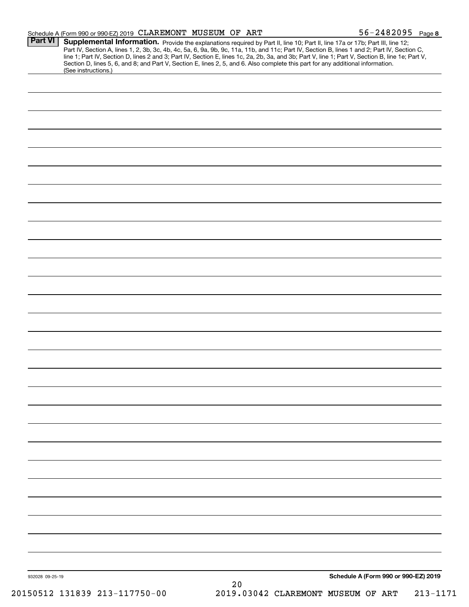|                 | Schedule A (Form 990 or 990-EZ) 2019 CLAREMONT MUSEUM OF ART                                                                                           |    | $56 - 2482095$ Page 8                                                                                                                                                                                                                                                                                                                                                                 |
|-----------------|--------------------------------------------------------------------------------------------------------------------------------------------------------|----|---------------------------------------------------------------------------------------------------------------------------------------------------------------------------------------------------------------------------------------------------------------------------------------------------------------------------------------------------------------------------------------|
| <b>Part VI</b>  |                                                                                                                                                        |    | Supplemental Information. Provide the explanations required by Part II, line 10; Part II, line 17a or 17b; Part III, line 12;<br>Part IV, Section A, lines 1, 2, 3b, 3c, 4b, 4c, 5a, 6, 9a, 9b, 9c, 11a, 11b, and 11c; Part IV, S<br>line 1; Part IV, Section D, lines 2 and 3; Part IV, Section E, lines 1c, 2a, 2b, 3a, and 3b; Part V, line 1; Part V, Section B, line 1e; Part V, |
|                 | Section D, lines 5, 6, and 8; and Part V, Section E, lines 2, 5, and 6. Also complete this part for any additional information.<br>(See instructions.) |    |                                                                                                                                                                                                                                                                                                                                                                                       |
|                 |                                                                                                                                                        |    |                                                                                                                                                                                                                                                                                                                                                                                       |
|                 |                                                                                                                                                        |    |                                                                                                                                                                                                                                                                                                                                                                                       |
|                 |                                                                                                                                                        |    |                                                                                                                                                                                                                                                                                                                                                                                       |
|                 |                                                                                                                                                        |    |                                                                                                                                                                                                                                                                                                                                                                                       |
|                 |                                                                                                                                                        |    |                                                                                                                                                                                                                                                                                                                                                                                       |
|                 |                                                                                                                                                        |    |                                                                                                                                                                                                                                                                                                                                                                                       |
|                 |                                                                                                                                                        |    |                                                                                                                                                                                                                                                                                                                                                                                       |
|                 |                                                                                                                                                        |    |                                                                                                                                                                                                                                                                                                                                                                                       |
|                 |                                                                                                                                                        |    |                                                                                                                                                                                                                                                                                                                                                                                       |
|                 |                                                                                                                                                        |    |                                                                                                                                                                                                                                                                                                                                                                                       |
|                 |                                                                                                                                                        |    |                                                                                                                                                                                                                                                                                                                                                                                       |
|                 |                                                                                                                                                        |    |                                                                                                                                                                                                                                                                                                                                                                                       |
|                 |                                                                                                                                                        |    |                                                                                                                                                                                                                                                                                                                                                                                       |
|                 |                                                                                                                                                        |    |                                                                                                                                                                                                                                                                                                                                                                                       |
|                 |                                                                                                                                                        |    |                                                                                                                                                                                                                                                                                                                                                                                       |
|                 |                                                                                                                                                        |    |                                                                                                                                                                                                                                                                                                                                                                                       |
|                 |                                                                                                                                                        |    |                                                                                                                                                                                                                                                                                                                                                                                       |
|                 |                                                                                                                                                        |    |                                                                                                                                                                                                                                                                                                                                                                                       |
|                 |                                                                                                                                                        |    |                                                                                                                                                                                                                                                                                                                                                                                       |
|                 |                                                                                                                                                        |    |                                                                                                                                                                                                                                                                                                                                                                                       |
|                 |                                                                                                                                                        |    |                                                                                                                                                                                                                                                                                                                                                                                       |
|                 |                                                                                                                                                        |    |                                                                                                                                                                                                                                                                                                                                                                                       |
|                 |                                                                                                                                                        |    |                                                                                                                                                                                                                                                                                                                                                                                       |
|                 |                                                                                                                                                        |    |                                                                                                                                                                                                                                                                                                                                                                                       |
|                 |                                                                                                                                                        |    |                                                                                                                                                                                                                                                                                                                                                                                       |
|                 |                                                                                                                                                        |    |                                                                                                                                                                                                                                                                                                                                                                                       |
|                 |                                                                                                                                                        |    |                                                                                                                                                                                                                                                                                                                                                                                       |
| 932028 09-25-19 |                                                                                                                                                        | 20 | Schedule A (Form 990 or 990-EZ) 2019                                                                                                                                                                                                                                                                                                                                                  |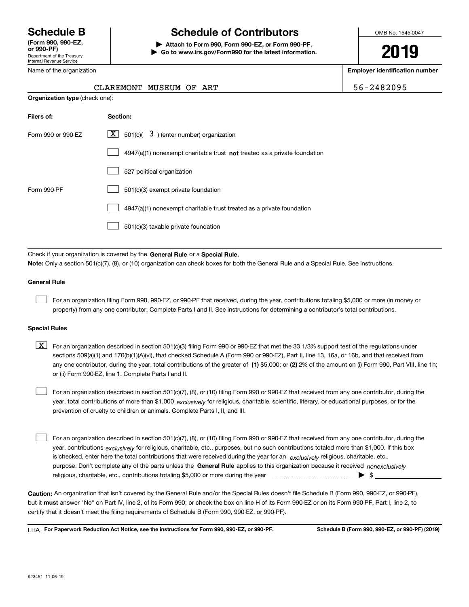Department of the Treasury Internal Revenue Service **(Form 990, 990-EZ, or 990-PF)**

Name of the organization

**Organization type** (check one):

# **Schedule B Schedule of Contributors**

**| Attach to Form 990, Form 990-EZ, or Form 990-PF. | Go to www.irs.gov/Form990 for the latest information.** OMB No. 1545-0047

# **2019**

**Employer identification number**

| CLAREMONT MUSEUM OF ART |  | 56-2482095 |
|-------------------------|--|------------|
|                         |  |            |

| Filers of:         | Section:                                                                    |
|--------------------|-----------------------------------------------------------------------------|
| Form 990 or 990-FZ | $\lfloor x \rfloor$ 501(c)( 3) (enter number) organization                  |
|                    | $4947(a)(1)$ nonexempt charitable trust not treated as a private foundation |
|                    | 527 political organization                                                  |
| Form 990-PF        | 501(c)(3) exempt private foundation                                         |
|                    | 4947(a)(1) nonexempt charitable trust treated as a private foundation       |
|                    | 501(c)(3) taxable private foundation                                        |

Check if your organization is covered by the **General Rule** or a **Special Rule. Note:**  Only a section 501(c)(7), (8), or (10) organization can check boxes for both the General Rule and a Special Rule. See instructions.

#### **General Rule**

 $\mathcal{L}^{\text{max}}$ 

For an organization filing Form 990, 990-EZ, or 990-PF that received, during the year, contributions totaling \$5,000 or more (in money or property) from any one contributor. Complete Parts I and II. See instructions for determining a contributor's total contributions.

#### **Special Rules**

any one contributor, during the year, total contributions of the greater of  $\,$  (1) \$5,000; or **(2)** 2% of the amount on (i) Form 990, Part VIII, line 1h;  $\boxed{\textbf{X}}$  For an organization described in section 501(c)(3) filing Form 990 or 990-EZ that met the 33 1/3% support test of the regulations under sections 509(a)(1) and 170(b)(1)(A)(vi), that checked Schedule A (Form 990 or 990-EZ), Part II, line 13, 16a, or 16b, and that received from or (ii) Form 990-EZ, line 1. Complete Parts I and II.

year, total contributions of more than \$1,000 *exclusively* for religious, charitable, scientific, literary, or educational purposes, or for the For an organization described in section 501(c)(7), (8), or (10) filing Form 990 or 990-EZ that received from any one contributor, during the prevention of cruelty to children or animals. Complete Parts I, II, and III.  $\mathcal{L}^{\text{max}}$ 

purpose. Don't complete any of the parts unless the **General Rule** applies to this organization because it received *nonexclusively* year, contributions <sub>exclusively</sub> for religious, charitable, etc., purposes, but no such contributions totaled more than \$1,000. If this box is checked, enter here the total contributions that were received during the year for an  $\;$ exclusively religious, charitable, etc., For an organization described in section 501(c)(7), (8), or (10) filing Form 990 or 990-EZ that received from any one contributor, during the religious, charitable, etc., contributions totaling \$5,000 or more during the year  $\Box$ — $\Box$   $\Box$  $\mathcal{L}^{\text{max}}$ 

**Caution:**  An organization that isn't covered by the General Rule and/or the Special Rules doesn't file Schedule B (Form 990, 990-EZ, or 990-PF),  **must** but it answer "No" on Part IV, line 2, of its Form 990; or check the box on line H of its Form 990-EZ or on its Form 990-PF, Part I, line 2, to certify that it doesn't meet the filing requirements of Schedule B (Form 990, 990-EZ, or 990-PF).

**For Paperwork Reduction Act Notice, see the instructions for Form 990, 990-EZ, or 990-PF. Schedule B (Form 990, 990-EZ, or 990-PF) (2019)** LHA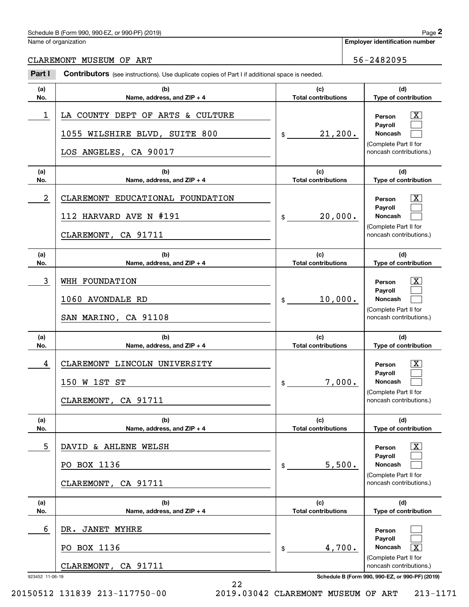#### Schedule B (Form 990, 990-EZ, or 990-PF) (2019)  $P_0 = 2$

Name of organization

CLAREMONT MUSEUM OF ART 56-2482095

#### 923452 11-06-19 **Schedule B (Form 990, 990-EZ, or 990-PF) (2019) (a)No.(b) Name, address, and ZIP + 4 (c)Total contributions (d)Type of contribution PersonPayrollNoncash (a)No.(b)Name, address, and ZIP + 4 (c)Total contributions (d)Type of contribution PersonPayrollNoncash (a)No.(b)Name, address, and ZIP + 4 (c)Total contributions (d)Type of contribution PersonPayrollNoncash (a) No.(b)Name, address, and ZIP + 4 (c) Total contributions (d) Type of contribution PersonPayrollNoncash (a) No.(b)Name, address, and ZIP + 4 (c)Total contributions (d)Type of contribution PersonPayrollNoncash(a)No.(b)Name, address, and ZIP + 4 (c)Total contributions (d)Type of contribution PersonPayrollNoncash Contributors** (see instructions). Use duplicate copies of Part I if additional space is needed. \$(Complete Part II for noncash contributions.) \$(Complete Part II for noncash contributions.) \$(Complete Part II for noncash contributions.) \$(Complete Part II for noncash contributions.) \$(Complete Part II for noncash contributions.) \$(Complete Part II for noncash contributions.) Chedule B (Form 990, 990-EZ, or 990-PF) (2019)<br>Iame of organization<br>**2Part I 2Part I Contributors** (see instructions). Use duplicate copies of Part I if additional space is needed.  $\lceil \text{X} \rceil$  $\mathcal{L}^{\text{max}}$  $\mathcal{L}^{\text{max}}$  $\boxed{\text{X}}$  $\mathcal{L}^{\text{max}}$  $\mathcal{L}^{\text{max}}$  $|X|$  $\mathcal{L}^{\text{max}}$  $\mathcal{L}^{\text{max}}$  $|X|$  $\mathcal{L}^{\text{max}}$  $\mathcal{L}^{\text{max}}$  $|X|$  $\mathcal{L}^{\text{max}}$  $\mathcal{L}^{\text{max}}$  $\mathcal{L}^{\text{max}}$  $\mathcal{L}^{\text{max}}$  $\mathbf{X}$ 1 X LA COUNTY DEPT OF ARTS & CULTURE 21,200. 1055 WILSHIRE BLVD, SUITE 800 LOS ANGELES, CA 90017 2 X CLAREMONT EDUCATIONAL FOUNDATION 20,000. 112 HARVARD AVE N #191 CLAREMONT, CA 91711 3 X WHH FOUNDATION 10,000. 1060 AVONDALE RD SAN MARINO, CA 91108 4 X CLAREMONT LINCOLN UNIVERSITY 7,000. 150 W 1ST ST CLAREMONT, CA 91711 5 X DAVID & AHLENE WELSH 5,500. PO BOX 1136 CLAREMONT, CA 91711 6 4,700. X DR. JANET MYHRE PO BOX 1136 CLAREMONT, CA 91711

22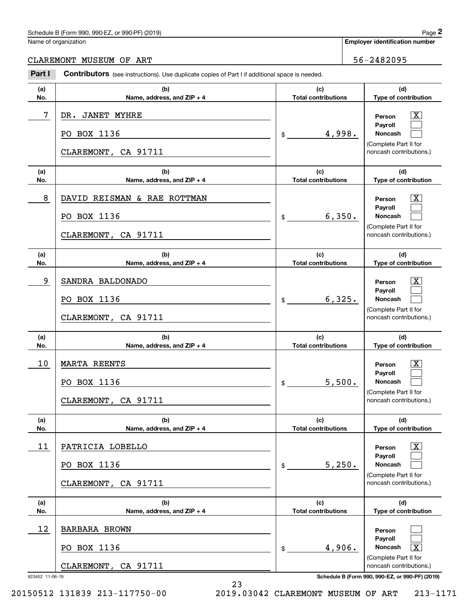#### Schedule B (Form 990, 990-EZ, or 990-PF) (2019) **Page 2** and the state of the state of the state of the state of the state of the state of the state of the state of the state of the state of the state of the state of the s

|  | Name of organization |
|--|----------------------|
|  |                      |

#### CLAREMONT MUSEUM OF ART **1999** CLAREMONT MUSEUM OF ART

923452 11-06-19 **Schedule B (Form 990, 990-EZ, or 990-PF) (2019) (a)No.(b)Name, address, and ZIP + 4 (c)Total contributions (d)Type of contribution PersonPayrollNoncash (a)No.(b)Name, address, and ZIP + 4 (c)Total contributions (d)Type of contribution PersonPayrollNoncash (a)No.(b)Name, address, and ZIP + 4 (c)Total contributions (d)Type of contribution PersonPayrollNoncash (a) No.(b)Name, address, and ZIP + 4 (c) Total contributions (d) Type of contribution PersonPayrollNoncash(a) No.(b)Name, address, and ZIP + 4 (c) Total contributions (d)Type of contribution PersonPayrollNoncash(a)No.(b)Name, address, and ZIP + 4 (c)Total contributions (d)Type of contribution PersonPayrollNoncash Contributors** (see instructions). Use duplicate copies of Part I if additional space is needed. \$(Complete Part II for noncash contributions.) \$(Complete Part II for noncash contributions.) \$(Complete Part II for noncash contributions.) \$(Complete Part II for noncash contributions.) \$(Complete Part II for noncash contributions.) \$(Complete Part II for noncash contributions.) Chedule B (Form 990, 990-EZ, or 990-PF) (2019)<br>Iame of organization<br>**2Part I 2Part I Contributors** (see instructions). Use duplicate copies of Part I if additional space is needed.  $\lceil \text{X} \rceil$  $\mathcal{L}^{\text{max}}$  $\mathcal{L}^{\text{max}}$  $\boxed{\text{X}}$  $\mathcal{L}^{\text{max}}$  $\mathcal{L}^{\text{max}}$  $|X|$  $\mathcal{L}^{\text{max}}$  $\mathcal{L}^{\text{max}}$  $|X|$  $\mathcal{L}^{\text{max}}$  $\mathcal{L}^{\text{max}}$  $|X|$  $\mathcal{L}^{\text{max}}$  $\mathcal{L}^{\text{max}}$  $\mathcal{L}^{\text{max}}$  $\mathcal{L}^{\text{max}}$  $\mathbf{X}$ 7 X DR. JANET MYHRE 4,998. PO BOX 1136 CLAREMONT, CA 91711 8 X DAVID REISMAN & RAE ROTTMAN 6,350. PO BOX 1136 CLAREMONT, CA 91711 9 X SANDRA BALDONADO 6,325. PO BOX 1136 CLAREMONT, CA 91711 10 X MARTA REENTS 5,500. PO BOX 1136 CLAREMONT, CA 91711 11 X PATRICIA LOBELLO 5,250. PO BOX 1136 CLAREMONT, CA 91711 12 4,906. X BARBARA BROWN PO BOX 1136 CLAREMONT, CA 91711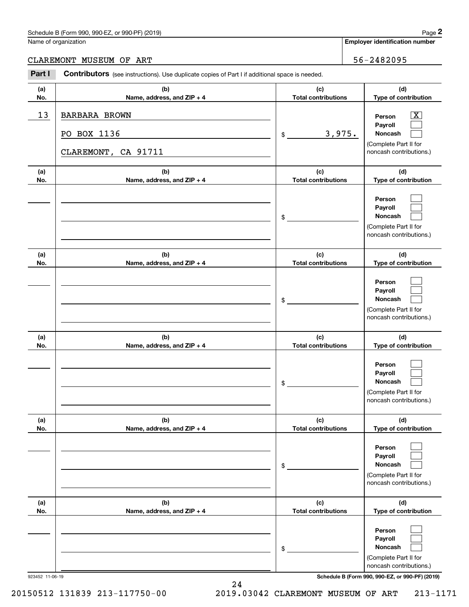# Schedule B (Form 990, 990-EZ, or 990-PF) (2019) Page 2

|  | Name of organization |
|--|----------------------|
|  |                      |

### CLAREMONT MUSEUM OF ART 36-2482095

|                 | Schedule B (Form 990, 990-EZ, or 990-PF) (2019)                                                       |                                   |        | Page 2                                                                                                                              |
|-----------------|-------------------------------------------------------------------------------------------------------|-----------------------------------|--------|-------------------------------------------------------------------------------------------------------------------------------------|
|                 | Name of organization                                                                                  |                                   |        | <b>Employer identification number</b>                                                                                               |
|                 | CLAREMONT MUSEUM OF ART                                                                               |                                   |        | 56-2482095                                                                                                                          |
| Part I          | <b>Contributors</b> (see instructions). Use duplicate copies of Part I if additional space is needed. |                                   |        |                                                                                                                                     |
| (a)<br>No.      | (b)<br>Name, address, and ZIP + 4                                                                     | (c)<br><b>Total contributions</b> |        | (d)<br>Type of contribution                                                                                                         |
| 13              | <b>BARBARA BROWN</b><br>PO BOX 1136<br>CLAREMONT, CA 91711                                            | \$                                | 3,975. | $\overline{\mathbf{X}}$<br>Person<br>Payroll<br>Noncash<br>(Complete Part II for<br>noncash contributions.)                         |
| (a)<br>No.      | (b)<br>Name, address, and ZIP + 4                                                                     | (c)<br><b>Total contributions</b> |        | (d)<br>Type of contribution                                                                                                         |
|                 |                                                                                                       | \$                                |        | Person<br>Payroll<br>Noncash<br>(Complete Part II for<br>noncash contributions.)                                                    |
| (a)<br>No.      | (b)<br>Name, address, and ZIP + 4                                                                     | (c)<br><b>Total contributions</b> |        | (d)<br>Type of contribution                                                                                                         |
|                 |                                                                                                       | \$                                |        | Person<br>Payroll<br>Noncash<br>(Complete Part II for<br>noncash contributions.)                                                    |
| (a)<br>No.      | (b)<br>Name, address, and ZIP + 4                                                                     | (c)<br><b>Total contributions</b> |        | (d)<br>Type of contribution                                                                                                         |
|                 |                                                                                                       | \$                                |        | Person<br>Payroll<br>Noncash<br>(Complete Part II for<br>noncash contributions.)                                                    |
| (a)<br>No.      | (b)<br>Name, address, and ZIP + 4                                                                     | (c)<br><b>Total contributions</b> |        | (d)<br>Type of contribution                                                                                                         |
|                 |                                                                                                       | \$                                |        | Person<br>Payroll<br>Noncash<br>(Complete Part II for<br>noncash contributions.)                                                    |
| (a)<br>No.      | (b)<br>Name, address, and ZIP + 4                                                                     | (c)<br><b>Total contributions</b> |        | (d)<br>Type of contribution                                                                                                         |
| 923452 11-06-19 |                                                                                                       | \$                                |        | Person<br>Payroll<br>Noncash<br>(Complete Part II for<br>noncash contributions.)<br>Schedule B (Form 990, 990-EZ, or 990-PF) (2019) |

24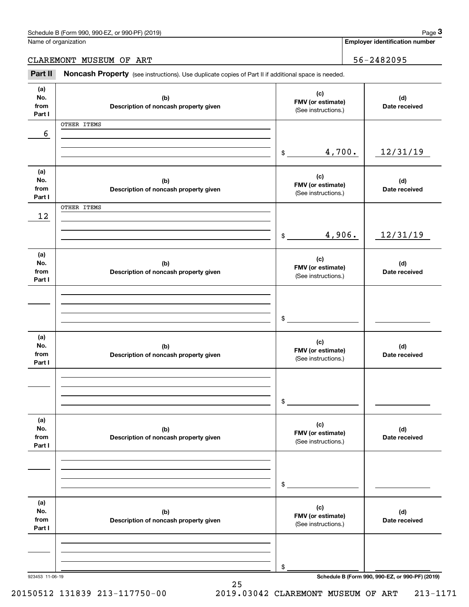**Employer identification number**

# CLAREMONT MUSEUM OF ART 36-2482095

Chedule B (Form 990, 990-EZ, or 990-PF) (2019)<br>
lame of organization<br> **3Part II if additional space is needed.**<br> **Part II if additional space is needed.**<br> **Part II if additional space is needed.** 

| (a)<br>No.<br>from | (b)<br>Description of noncash property given | (c)<br>FMV (or estimate)<br>(See instructions.) | (d)<br>Date received                            |
|--------------------|----------------------------------------------|-------------------------------------------------|-------------------------------------------------|
| Part I             |                                              |                                                 |                                                 |
|                    | OTHER ITEMS                                  |                                                 |                                                 |
| 6                  |                                              |                                                 |                                                 |
|                    |                                              |                                                 |                                                 |
|                    |                                              | 4,700.<br>\$                                    | 12/31/19                                        |
|                    |                                              |                                                 |                                                 |
| (a)<br>No.         | (b)                                          | (c)                                             | (d)                                             |
| from               | Description of noncash property given        | FMV (or estimate)                               | Date received                                   |
| Part I             |                                              | (See instructions.)                             |                                                 |
|                    | OTHER ITEMS                                  |                                                 |                                                 |
| 12                 |                                              |                                                 |                                                 |
|                    |                                              |                                                 |                                                 |
|                    |                                              | 4,906.<br>$\frac{1}{2}$                         | 12/31/19                                        |
|                    |                                              |                                                 |                                                 |
| (a)                |                                              | (c)                                             |                                                 |
| No.<br>from        | (b)                                          | FMV (or estimate)                               | (d)<br>Date received                            |
| Part I             | Description of noncash property given        | (See instructions.)                             |                                                 |
|                    |                                              |                                                 |                                                 |
|                    |                                              |                                                 |                                                 |
|                    |                                              |                                                 |                                                 |
|                    |                                              | $\frac{1}{2}$                                   |                                                 |
|                    |                                              |                                                 |                                                 |
| (a)                |                                              | (c)                                             |                                                 |
| No.                | (b)                                          | FMV (or estimate)                               | (d)                                             |
| from<br>Part I     | Description of noncash property given        | (See instructions.)                             | Date received                                   |
|                    |                                              |                                                 |                                                 |
|                    |                                              |                                                 |                                                 |
|                    |                                              |                                                 |                                                 |
|                    |                                              | $\mathsf{\$}$                                   |                                                 |
|                    |                                              |                                                 |                                                 |
| (a)                |                                              |                                                 |                                                 |
| No.                | (b)                                          | (c)<br>FMV (or estimate)                        | (d)                                             |
| from               | Description of noncash property given        | (See instructions.)                             | Date received                                   |
| Part I             |                                              |                                                 |                                                 |
|                    |                                              |                                                 |                                                 |
|                    |                                              |                                                 |                                                 |
|                    |                                              |                                                 |                                                 |
|                    |                                              | \$                                              |                                                 |
| (a)                |                                              |                                                 |                                                 |
| No.                | (b)                                          | (c)                                             | (d)                                             |
| from               | Description of noncash property given        | FMV (or estimate)                               | Date received                                   |
| Part I             |                                              | (See instructions.)                             |                                                 |
|                    |                                              |                                                 |                                                 |
|                    |                                              |                                                 |                                                 |
|                    |                                              |                                                 |                                                 |
|                    |                                              | \$                                              |                                                 |
| 923453 11-06-19    |                                              |                                                 | Schedule B (Form 990, 990-EZ, or 990-PF) (2019) |

25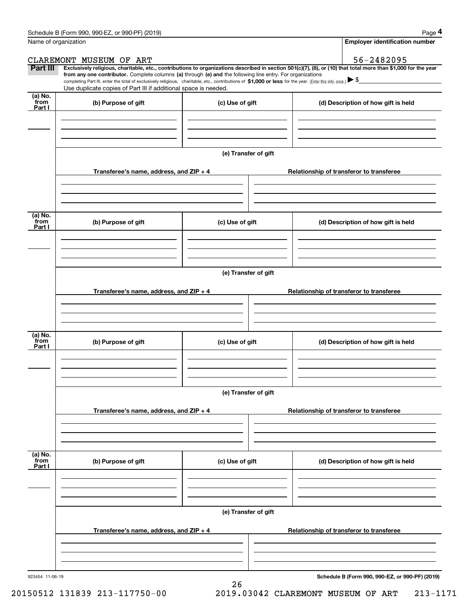|                           | Schedule B (Form 990, 990-EZ, or 990-PF) (2019)                                                                                                                                                                                                                                                                                                                                                                                                                   |                      |                                          | Page 4                                |  |  |
|---------------------------|-------------------------------------------------------------------------------------------------------------------------------------------------------------------------------------------------------------------------------------------------------------------------------------------------------------------------------------------------------------------------------------------------------------------------------------------------------------------|----------------------|------------------------------------------|---------------------------------------|--|--|
| Name of organization      |                                                                                                                                                                                                                                                                                                                                                                                                                                                                   |                      |                                          | <b>Employer identification number</b> |  |  |
|                           | CLAREMONT MUSEUM OF ART                                                                                                                                                                                                                                                                                                                                                                                                                                           |                      |                                          | 56-2482095                            |  |  |
| Part III                  | Exclusively religious, charitable, etc., contributions to organizations described in section 501(c)(7), (8), or (10) that total more than \$1,000 for the year<br>from any one contributor. Complete columns (a) through (e) and the following line entry. For organizations<br>completing Part III, enter the total of exclusively religious, charitable, etc., contributions of \$1,000 or less for the year. (Enter this info. once.) $\blacktriangleright$ \$ |                      |                                          |                                       |  |  |
|                           | Use duplicate copies of Part III if additional space is needed.                                                                                                                                                                                                                                                                                                                                                                                                   |                      |                                          |                                       |  |  |
| (a) No.<br>from<br>Part I | (b) Purpose of gift                                                                                                                                                                                                                                                                                                                                                                                                                                               | (c) Use of gift      |                                          | (d) Description of how gift is held   |  |  |
|                           |                                                                                                                                                                                                                                                                                                                                                                                                                                                                   |                      |                                          |                                       |  |  |
|                           |                                                                                                                                                                                                                                                                                                                                                                                                                                                                   |                      |                                          |                                       |  |  |
|                           |                                                                                                                                                                                                                                                                                                                                                                                                                                                                   | (e) Transfer of gift |                                          |                                       |  |  |
|                           | Transferee's name, address, and ZIP + 4                                                                                                                                                                                                                                                                                                                                                                                                                           |                      | Relationship of transferor to transferee |                                       |  |  |
|                           |                                                                                                                                                                                                                                                                                                                                                                                                                                                                   |                      |                                          |                                       |  |  |
| (a) No.<br>from<br>Part I | (b) Purpose of gift                                                                                                                                                                                                                                                                                                                                                                                                                                               | (c) Use of gift      |                                          | (d) Description of how gift is held   |  |  |
|                           |                                                                                                                                                                                                                                                                                                                                                                                                                                                                   |                      |                                          |                                       |  |  |
|                           |                                                                                                                                                                                                                                                                                                                                                                                                                                                                   | (e) Transfer of gift |                                          |                                       |  |  |
|                           | Transferee's name, address, and ZIP + 4                                                                                                                                                                                                                                                                                                                                                                                                                           |                      | Relationship of transferor to transferee |                                       |  |  |
|                           |                                                                                                                                                                                                                                                                                                                                                                                                                                                                   |                      |                                          |                                       |  |  |
|                           |                                                                                                                                                                                                                                                                                                                                                                                                                                                                   |                      |                                          |                                       |  |  |
| (a) No.<br>from<br>Part I | (b) Purpose of gift<br>(c) Use of gift                                                                                                                                                                                                                                                                                                                                                                                                                            |                      |                                          | (d) Description of how gift is held   |  |  |
|                           |                                                                                                                                                                                                                                                                                                                                                                                                                                                                   |                      |                                          |                                       |  |  |
|                           |                                                                                                                                                                                                                                                                                                                                                                                                                                                                   | (e) Transfer of gift |                                          |                                       |  |  |
|                           | Transferee's name, address, and $ZIP + 4$                                                                                                                                                                                                                                                                                                                                                                                                                         |                      | Relationship of transferor to transferee |                                       |  |  |
|                           |                                                                                                                                                                                                                                                                                                                                                                                                                                                                   |                      |                                          |                                       |  |  |
|                           |                                                                                                                                                                                                                                                                                                                                                                                                                                                                   |                      |                                          |                                       |  |  |
| (a) No.<br>from<br>Part I | (b) Purpose of gift                                                                                                                                                                                                                                                                                                                                                                                                                                               | (c) Use of gift      |                                          | (d) Description of how gift is held   |  |  |
|                           |                                                                                                                                                                                                                                                                                                                                                                                                                                                                   |                      |                                          |                                       |  |  |
|                           |                                                                                                                                                                                                                                                                                                                                                                                                                                                                   |                      |                                          |                                       |  |  |
|                           | Transferee's name, address, and $ZIP + 4$                                                                                                                                                                                                                                                                                                                                                                                                                         | (e) Transfer of gift | Relationship of transferor to transferee |                                       |  |  |
|                           |                                                                                                                                                                                                                                                                                                                                                                                                                                                                   |                      |                                          |                                       |  |  |
|                           |                                                                                                                                                                                                                                                                                                                                                                                                                                                                   |                      |                                          |                                       |  |  |

26

923454 11-06-19

**Schedule B (Form 990, 990-EZ, or 990-PF) (2019)**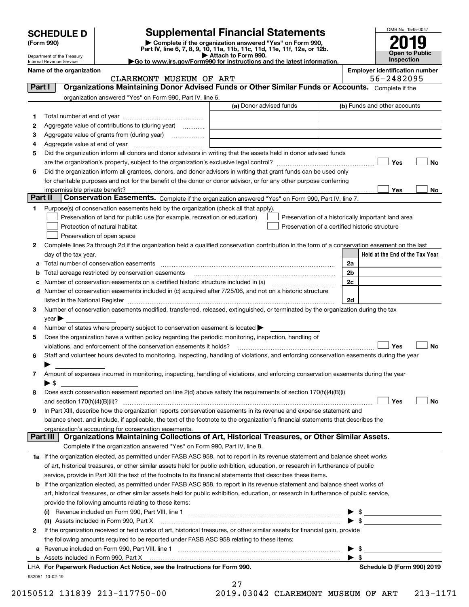| <b>CHEDULE D</b> |  |
|------------------|--|
|                  |  |

# **SCHEDULE D Supplemental Financial Statements**

**(Form 990) | Complete if the organization answered "Yes" on Form 990, Part IV, line 6, 7, 8, 9, 10, 11a, 11b, 11c, 11d, 11e, 11f, 12a, or 12b.**



Department of the Treasury Internal Revenue Service

| $1$ and $1$ , the $0$ , $1$ , $0$ , $2$ , $10$ , $110$ , $110$ , $110$ , $110$ , $110$ , $111$ , $120$ , $01$ $120$ , |  |
|-----------------------------------------------------------------------------------------------------------------------|--|
| Attach to Form 990.                                                                                                   |  |
|                                                                                                                       |  |
| $\blacktriangleright$ Go to www.irs.gov/Form990 for instructions and the latest information.                          |  |
|                                                                                                                       |  |

|         | Name of the organization<br>CLAREMONT MUSEUM OF ART                                                                                                                      |                                                    | <b>Employer identification number</b><br>56-2482095 |                                 |                                 |           |
|---------|--------------------------------------------------------------------------------------------------------------------------------------------------------------------------|----------------------------------------------------|-----------------------------------------------------|---------------------------------|---------------------------------|-----------|
| Part I  | Organizations Maintaining Donor Advised Funds or Other Similar Funds or Accounts. Complete if the                                                                        |                                                    |                                                     |                                 |                                 |           |
|         |                                                                                                                                                                          |                                                    |                                                     |                                 |                                 |           |
|         | organization answered "Yes" on Form 990, Part IV, line 6.                                                                                                                | (a) Donor advised funds                            |                                                     | (b) Funds and other accounts    |                                 |           |
|         |                                                                                                                                                                          |                                                    |                                                     |                                 |                                 |           |
| 1       | Aggregate value of contributions to (during year)                                                                                                                        |                                                    |                                                     |                                 |                                 |           |
| 2       |                                                                                                                                                                          |                                                    |                                                     |                                 |                                 |           |
| з       | Aggregate value of grants from (during year)                                                                                                                             |                                                    |                                                     |                                 |                                 |           |
| 4<br>5  | Did the organization inform all donors and donor advisors in writing that the assets held in donor advised funds                                                         |                                                    |                                                     |                                 |                                 |           |
|         |                                                                                                                                                                          |                                                    |                                                     |                                 | Yes                             | No        |
| 6       | Did the organization inform all grantees, donors, and donor advisors in writing that grant funds can be used only                                                        |                                                    |                                                     |                                 |                                 |           |
|         | for charitable purposes and not for the benefit of the donor or donor advisor, or for any other purpose conferring                                                       |                                                    |                                                     |                                 |                                 |           |
|         |                                                                                                                                                                          |                                                    |                                                     |                                 | Yes                             | No        |
| Part II | Conservation Easements. Complete if the organization answered "Yes" on Form 990, Part IV, line 7.                                                                        |                                                    |                                                     |                                 |                                 |           |
| 1.      | Purpose(s) of conservation easements held by the organization (check all that apply).                                                                                    |                                                    |                                                     |                                 |                                 |           |
|         | Preservation of land for public use (for example, recreation or education)                                                                                               | Preservation of a historically important land area |                                                     |                                 |                                 |           |
|         | Protection of natural habitat                                                                                                                                            | Preservation of a certified historic structure     |                                                     |                                 |                                 |           |
|         | Preservation of open space                                                                                                                                               |                                                    |                                                     |                                 |                                 |           |
| 2       | Complete lines 2a through 2d if the organization held a qualified conservation contribution in the form of a conservation easement on the last                           |                                                    |                                                     |                                 |                                 |           |
|         | day of the tax year.                                                                                                                                                     |                                                    |                                                     |                                 | Held at the End of the Tax Year |           |
| a       |                                                                                                                                                                          |                                                    | 2a                                                  |                                 |                                 |           |
| b       | Total acreage restricted by conservation easements                                                                                                                       |                                                    | 2 <sub>b</sub>                                      |                                 |                                 |           |
| с       |                                                                                                                                                                          |                                                    | 2c                                                  |                                 |                                 |           |
|         | d Number of conservation easements included in (c) acquired after 7/25/06, and not on a historic structure                                                               |                                                    |                                                     |                                 |                                 |           |
|         |                                                                                                                                                                          |                                                    | 2d                                                  |                                 |                                 |           |
| 3       | Number of conservation easements modified, transferred, released, extinguished, or terminated by the organization during the tax                                         |                                                    |                                                     |                                 |                                 |           |
|         | $year \blacktriangleright$                                                                                                                                               |                                                    |                                                     |                                 |                                 |           |
| 4       | Number of states where property subject to conservation easement is located >                                                                                            |                                                    |                                                     |                                 |                                 |           |
| 5       | Does the organization have a written policy regarding the periodic monitoring, inspection, handling of                                                                   |                                                    |                                                     |                                 |                                 |           |
|         | violations, and enforcement of the conservation easements it holds?                                                                                                      |                                                    |                                                     |                                 | Yes                             | <b>No</b> |
| 6       | Staff and volunteer hours devoted to monitoring, inspecting, handling of violations, and enforcing conservation easements during the year                                |                                                    |                                                     |                                 |                                 |           |
|         |                                                                                                                                                                          |                                                    |                                                     |                                 |                                 |           |
| 7       | Amount of expenses incurred in monitoring, inspecting, handling of violations, and enforcing conservation easements during the year                                      |                                                    |                                                     |                                 |                                 |           |
|         | ▶ \$                                                                                                                                                                     |                                                    |                                                     |                                 |                                 |           |
| 8       | Does each conservation easement reported on line 2(d) above satisfy the requirements of section 170(h)(4)(B)(i)                                                          |                                                    |                                                     |                                 |                                 |           |
|         |                                                                                                                                                                          |                                                    |                                                     |                                 | Yes                             | No        |
|         | In Part XIII, describe how the organization reports conservation easements in its revenue and expense statement and                                                      |                                                    |                                                     |                                 |                                 |           |
|         | balance sheet, and include, if applicable, the text of the footnote to the organization's financial statements that describes the                                        |                                                    |                                                     |                                 |                                 |           |
|         | organization's accounting for conservation easements.<br>Organizations Maintaining Collections of Art, Historical Treasures, or Other Similar Assets.<br>Part III        |                                                    |                                                     |                                 |                                 |           |
|         |                                                                                                                                                                          |                                                    |                                                     |                                 |                                 |           |
|         | Complete if the organization answered "Yes" on Form 990, Part IV, line 8.                                                                                                |                                                    |                                                     |                                 |                                 |           |
|         | 1a If the organization elected, as permitted under FASB ASC 958, not to report in its revenue statement and balance sheet works                                          |                                                    |                                                     |                                 |                                 |           |
|         | of art, historical treasures, or other similar assets held for public exhibition, education, or research in furtherance of public                                        |                                                    |                                                     |                                 |                                 |           |
|         | service, provide in Part XIII the text of the footnote to its financial statements that describes these items.                                                           |                                                    |                                                     |                                 |                                 |           |
|         | <b>b</b> If the organization elected, as permitted under FASB ASC 958, to report in its revenue statement and balance sheet works of                                     |                                                    |                                                     |                                 |                                 |           |
|         | art, historical treasures, or other similar assets held for public exhibition, education, or research in furtherance of public service,                                  |                                                    |                                                     |                                 |                                 |           |
|         | provide the following amounts relating to these items:                                                                                                                   |                                                    |                                                     |                                 |                                 |           |
|         |                                                                                                                                                                          |                                                    |                                                     | -\$<br>$\blacktriangleright$ \$ |                                 |           |
| 2       | (ii) Assets included in Form 990, Part X<br>If the organization received or held works of art, historical treasures, or other similar assets for financial gain, provide |                                                    |                                                     |                                 |                                 |           |
|         | the following amounts required to be reported under FASB ASC 958 relating to these items:                                                                                |                                                    |                                                     |                                 |                                 |           |
|         |                                                                                                                                                                          |                                                    |                                                     | \$                              |                                 |           |
|         | <b>b</b> Assets included in Form 990, Part X                                                                                                                             |                                                    |                                                     | $\blacktriangleright$ s         |                                 |           |
|         | LHA For Paperwork Reduction Act Notice, see the Instructions for Form 990.                                                                                               |                                                    |                                                     |                                 | Schedule D (Form 990) 2019      |           |
|         | 932051 10-02-19                                                                                                                                                          |                                                    |                                                     |                                 |                                 |           |
|         |                                                                                                                                                                          | ר ר                                                |                                                     |                                 |                                 |           |

27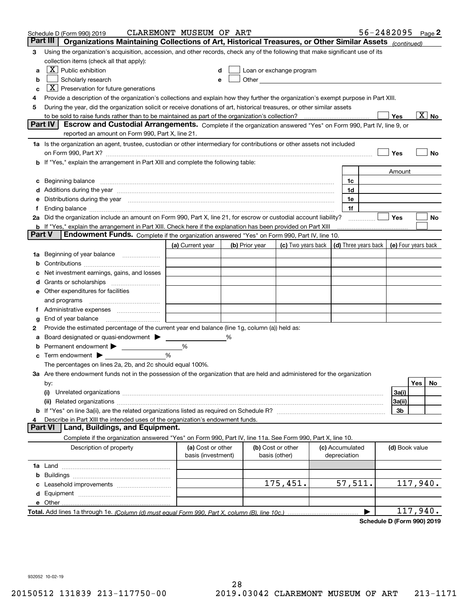| Part III<br>Organizations Maintaining Collections of Art, Historical Treasures, or Other Similar Assets (continued)<br>Using the organization's acquisition, accession, and other records, check any of the following that make significant use of its<br>3<br>collection items (check all that apply):<br>$\boxed{\text{X}}$ Public exhibition<br>Loan or exchange program<br>a<br>Other <u>with the contract of the contract of the contract of the contract of the contract of the contract of the contract of the contract of the contract of the contract of the contract of the contract of the contract of th</u><br>Scholarly research<br>b<br>е<br>$X$ Preservation for future generations<br>c<br>Provide a description of the organization's collections and explain how they further the organization's exempt purpose in Part XIII.<br>4<br>During the year, did the organization solicit or receive donations of art, historical treasures, or other similar assets<br>5<br>$\overline{\text{X}}$ No<br>Yes<br>to be sold to raise funds rather than to be maintained as part of the organization's collection?<br><b>Part IV</b><br>Escrow and Custodial Arrangements. Complete if the organization answered "Yes" on Form 990, Part IV, line 9, or<br>reported an amount on Form 990, Part X, line 21.<br>1a Is the organization an agent, trustee, custodian or other intermediary for contributions or other assets not included<br>Yes<br>No<br>on Form 990, Part X? [11] matter contracts and contracts and contracts are contracted as a form 990, Part X?<br>b If "Yes," explain the arrangement in Part XIII and complete the following table:<br>Amount<br>Beginning balance measurements and contain a series of the series of the series of the series of the series of<br>1c<br>c<br>Additions during the year manufactured and an annual contract of the year manufactured and all the year manufactured and all the year manufactured and all the year manufactured and all the year manufactured and all the yea<br>1d<br>Distributions during the year manufactured and continuum and continuum and continuum and continuum and continuum<br>1e<br>1f<br>1.<br>2a Did the organization include an amount on Form 990, Part X, line 21, for escrow or custodial account liability?<br>Yes<br>No<br>.<br><b>b</b> If "Yes," explain the arrangement in Part XIII. Check here if the explanation has been provided on Part XIII<br>Part V<br>Endowment Funds. Complete if the organization answered "Yes" on Form 990, Part IV, line 10.<br>(d) Three years back<br>(a) Current year<br>(c) Two years back<br>(e) Four years back<br>(b) Prior year<br>Beginning of year balance<br>1a<br>Net investment earnings, gains, and losses<br>d<br>e Other expenditures for facilities<br>and programs<br>g<br>Provide the estimated percentage of the current year end balance (line 1g, column (a)) held as:<br>2<br>Board designated or quasi-endowment<br>℅<br>а<br>Permanent endowment > 1<br>%<br>%<br>Term endowment $\blacktriangleright$<br>The percentages on lines 2a, 2b, and 2c should equal 100%.<br>3a Are there endowment funds not in the possession of the organization that are held and administered for the organization<br>Yes<br>No<br>by:<br>3a(i)<br>(i)<br>3a(ii)<br>3b<br>Describe in Part XIII the intended uses of the organization's endowment funds.<br>4<br>Land, Buildings, and Equipment.<br>Part VI<br>Complete if the organization answered "Yes" on Form 990, Part IV, line 11a. See Form 990, Part X, line 10.<br>Description of property<br>(a) Cost or other<br>(b) Cost or other<br>(c) Accumulated<br>(d) Book value<br>basis (investment)<br>basis (other)<br>depreciation<br>b<br>57,511.<br>175,451.<br>117,940.<br>e Other<br>117,940. | Schedule D (Form 990) 2019 | CLAREMONT MUSEUM OF ART |  |  | $56 - 2482095$ Page 2 |  |  |
|------------------------------------------------------------------------------------------------------------------------------------------------------------------------------------------------------------------------------------------------------------------------------------------------------------------------------------------------------------------------------------------------------------------------------------------------------------------------------------------------------------------------------------------------------------------------------------------------------------------------------------------------------------------------------------------------------------------------------------------------------------------------------------------------------------------------------------------------------------------------------------------------------------------------------------------------------------------------------------------------------------------------------------------------------------------------------------------------------------------------------------------------------------------------------------------------------------------------------------------------------------------------------------------------------------------------------------------------------------------------------------------------------------------------------------------------------------------------------------------------------------------------------------------------------------------------------------------------------------------------------------------------------------------------------------------------------------------------------------------------------------------------------------------------------------------------------------------------------------------------------------------------------------------------------------------------------------------------------------------------------------------------------------------------------------------------------------------------------------------------------------------------------------------------------------------------------------------------------------------------------------------------------------------------------------------------------------------------------------------------------------------------------------------------------------------------------------------------------------------------------------------------------------------------------------------------------------------------------------------------------------------------------------------------------------------------------------------------------------------------------------------------------------------------------------------------------------------------------------------------------------------------------------------------------------------------------------------------------------------------------------------------------------------------------------------------------------------------------------------------------------------------------------------------------------------------------------------------------------------------------------------------------------------------------------------------------------------------------------------------------------------------------------------------------------------------------------------------------------------------------------------------------------------------------------------------------------------------------------------------------------------------------------------------------------------------------------------------------------------------------------------------------------------------------------|----------------------------|-------------------------|--|--|-----------------------|--|--|
|                                                                                                                                                                                                                                                                                                                                                                                                                                                                                                                                                                                                                                                                                                                                                                                                                                                                                                                                                                                                                                                                                                                                                                                                                                                                                                                                                                                                                                                                                                                                                                                                                                                                                                                                                                                                                                                                                                                                                                                                                                                                                                                                                                                                                                                                                                                                                                                                                                                                                                                                                                                                                                                                                                                                                                                                                                                                                                                                                                                                                                                                                                                                                                                                                                                                                                                                                                                                                                                                                                                                                                                                                                                                                                                                                                                                            |                            |                         |  |  |                       |  |  |
|                                                                                                                                                                                                                                                                                                                                                                                                                                                                                                                                                                                                                                                                                                                                                                                                                                                                                                                                                                                                                                                                                                                                                                                                                                                                                                                                                                                                                                                                                                                                                                                                                                                                                                                                                                                                                                                                                                                                                                                                                                                                                                                                                                                                                                                                                                                                                                                                                                                                                                                                                                                                                                                                                                                                                                                                                                                                                                                                                                                                                                                                                                                                                                                                                                                                                                                                                                                                                                                                                                                                                                                                                                                                                                                                                                                                            |                            |                         |  |  |                       |  |  |
|                                                                                                                                                                                                                                                                                                                                                                                                                                                                                                                                                                                                                                                                                                                                                                                                                                                                                                                                                                                                                                                                                                                                                                                                                                                                                                                                                                                                                                                                                                                                                                                                                                                                                                                                                                                                                                                                                                                                                                                                                                                                                                                                                                                                                                                                                                                                                                                                                                                                                                                                                                                                                                                                                                                                                                                                                                                                                                                                                                                                                                                                                                                                                                                                                                                                                                                                                                                                                                                                                                                                                                                                                                                                                                                                                                                                            |                            |                         |  |  |                       |  |  |
|                                                                                                                                                                                                                                                                                                                                                                                                                                                                                                                                                                                                                                                                                                                                                                                                                                                                                                                                                                                                                                                                                                                                                                                                                                                                                                                                                                                                                                                                                                                                                                                                                                                                                                                                                                                                                                                                                                                                                                                                                                                                                                                                                                                                                                                                                                                                                                                                                                                                                                                                                                                                                                                                                                                                                                                                                                                                                                                                                                                                                                                                                                                                                                                                                                                                                                                                                                                                                                                                                                                                                                                                                                                                                                                                                                                                            |                            |                         |  |  |                       |  |  |
|                                                                                                                                                                                                                                                                                                                                                                                                                                                                                                                                                                                                                                                                                                                                                                                                                                                                                                                                                                                                                                                                                                                                                                                                                                                                                                                                                                                                                                                                                                                                                                                                                                                                                                                                                                                                                                                                                                                                                                                                                                                                                                                                                                                                                                                                                                                                                                                                                                                                                                                                                                                                                                                                                                                                                                                                                                                                                                                                                                                                                                                                                                                                                                                                                                                                                                                                                                                                                                                                                                                                                                                                                                                                                                                                                                                                            |                            |                         |  |  |                       |  |  |
|                                                                                                                                                                                                                                                                                                                                                                                                                                                                                                                                                                                                                                                                                                                                                                                                                                                                                                                                                                                                                                                                                                                                                                                                                                                                                                                                                                                                                                                                                                                                                                                                                                                                                                                                                                                                                                                                                                                                                                                                                                                                                                                                                                                                                                                                                                                                                                                                                                                                                                                                                                                                                                                                                                                                                                                                                                                                                                                                                                                                                                                                                                                                                                                                                                                                                                                                                                                                                                                                                                                                                                                                                                                                                                                                                                                                            |                            |                         |  |  |                       |  |  |
|                                                                                                                                                                                                                                                                                                                                                                                                                                                                                                                                                                                                                                                                                                                                                                                                                                                                                                                                                                                                                                                                                                                                                                                                                                                                                                                                                                                                                                                                                                                                                                                                                                                                                                                                                                                                                                                                                                                                                                                                                                                                                                                                                                                                                                                                                                                                                                                                                                                                                                                                                                                                                                                                                                                                                                                                                                                                                                                                                                                                                                                                                                                                                                                                                                                                                                                                                                                                                                                                                                                                                                                                                                                                                                                                                                                                            |                            |                         |  |  |                       |  |  |
|                                                                                                                                                                                                                                                                                                                                                                                                                                                                                                                                                                                                                                                                                                                                                                                                                                                                                                                                                                                                                                                                                                                                                                                                                                                                                                                                                                                                                                                                                                                                                                                                                                                                                                                                                                                                                                                                                                                                                                                                                                                                                                                                                                                                                                                                                                                                                                                                                                                                                                                                                                                                                                                                                                                                                                                                                                                                                                                                                                                                                                                                                                                                                                                                                                                                                                                                                                                                                                                                                                                                                                                                                                                                                                                                                                                                            |                            |                         |  |  |                       |  |  |
|                                                                                                                                                                                                                                                                                                                                                                                                                                                                                                                                                                                                                                                                                                                                                                                                                                                                                                                                                                                                                                                                                                                                                                                                                                                                                                                                                                                                                                                                                                                                                                                                                                                                                                                                                                                                                                                                                                                                                                                                                                                                                                                                                                                                                                                                                                                                                                                                                                                                                                                                                                                                                                                                                                                                                                                                                                                                                                                                                                                                                                                                                                                                                                                                                                                                                                                                                                                                                                                                                                                                                                                                                                                                                                                                                                                                            |                            |                         |  |  |                       |  |  |
|                                                                                                                                                                                                                                                                                                                                                                                                                                                                                                                                                                                                                                                                                                                                                                                                                                                                                                                                                                                                                                                                                                                                                                                                                                                                                                                                                                                                                                                                                                                                                                                                                                                                                                                                                                                                                                                                                                                                                                                                                                                                                                                                                                                                                                                                                                                                                                                                                                                                                                                                                                                                                                                                                                                                                                                                                                                                                                                                                                                                                                                                                                                                                                                                                                                                                                                                                                                                                                                                                                                                                                                                                                                                                                                                                                                                            |                            |                         |  |  |                       |  |  |
|                                                                                                                                                                                                                                                                                                                                                                                                                                                                                                                                                                                                                                                                                                                                                                                                                                                                                                                                                                                                                                                                                                                                                                                                                                                                                                                                                                                                                                                                                                                                                                                                                                                                                                                                                                                                                                                                                                                                                                                                                                                                                                                                                                                                                                                                                                                                                                                                                                                                                                                                                                                                                                                                                                                                                                                                                                                                                                                                                                                                                                                                                                                                                                                                                                                                                                                                                                                                                                                                                                                                                                                                                                                                                                                                                                                                            |                            |                         |  |  |                       |  |  |
|                                                                                                                                                                                                                                                                                                                                                                                                                                                                                                                                                                                                                                                                                                                                                                                                                                                                                                                                                                                                                                                                                                                                                                                                                                                                                                                                                                                                                                                                                                                                                                                                                                                                                                                                                                                                                                                                                                                                                                                                                                                                                                                                                                                                                                                                                                                                                                                                                                                                                                                                                                                                                                                                                                                                                                                                                                                                                                                                                                                                                                                                                                                                                                                                                                                                                                                                                                                                                                                                                                                                                                                                                                                                                                                                                                                                            |                            |                         |  |  |                       |  |  |
|                                                                                                                                                                                                                                                                                                                                                                                                                                                                                                                                                                                                                                                                                                                                                                                                                                                                                                                                                                                                                                                                                                                                                                                                                                                                                                                                                                                                                                                                                                                                                                                                                                                                                                                                                                                                                                                                                                                                                                                                                                                                                                                                                                                                                                                                                                                                                                                                                                                                                                                                                                                                                                                                                                                                                                                                                                                                                                                                                                                                                                                                                                                                                                                                                                                                                                                                                                                                                                                                                                                                                                                                                                                                                                                                                                                                            |                            |                         |  |  |                       |  |  |
|                                                                                                                                                                                                                                                                                                                                                                                                                                                                                                                                                                                                                                                                                                                                                                                                                                                                                                                                                                                                                                                                                                                                                                                                                                                                                                                                                                                                                                                                                                                                                                                                                                                                                                                                                                                                                                                                                                                                                                                                                                                                                                                                                                                                                                                                                                                                                                                                                                                                                                                                                                                                                                                                                                                                                                                                                                                                                                                                                                                                                                                                                                                                                                                                                                                                                                                                                                                                                                                                                                                                                                                                                                                                                                                                                                                                            |                            |                         |  |  |                       |  |  |
|                                                                                                                                                                                                                                                                                                                                                                                                                                                                                                                                                                                                                                                                                                                                                                                                                                                                                                                                                                                                                                                                                                                                                                                                                                                                                                                                                                                                                                                                                                                                                                                                                                                                                                                                                                                                                                                                                                                                                                                                                                                                                                                                                                                                                                                                                                                                                                                                                                                                                                                                                                                                                                                                                                                                                                                                                                                                                                                                                                                                                                                                                                                                                                                                                                                                                                                                                                                                                                                                                                                                                                                                                                                                                                                                                                                                            |                            |                         |  |  |                       |  |  |
|                                                                                                                                                                                                                                                                                                                                                                                                                                                                                                                                                                                                                                                                                                                                                                                                                                                                                                                                                                                                                                                                                                                                                                                                                                                                                                                                                                                                                                                                                                                                                                                                                                                                                                                                                                                                                                                                                                                                                                                                                                                                                                                                                                                                                                                                                                                                                                                                                                                                                                                                                                                                                                                                                                                                                                                                                                                                                                                                                                                                                                                                                                                                                                                                                                                                                                                                                                                                                                                                                                                                                                                                                                                                                                                                                                                                            |                            |                         |  |  |                       |  |  |
|                                                                                                                                                                                                                                                                                                                                                                                                                                                                                                                                                                                                                                                                                                                                                                                                                                                                                                                                                                                                                                                                                                                                                                                                                                                                                                                                                                                                                                                                                                                                                                                                                                                                                                                                                                                                                                                                                                                                                                                                                                                                                                                                                                                                                                                                                                                                                                                                                                                                                                                                                                                                                                                                                                                                                                                                                                                                                                                                                                                                                                                                                                                                                                                                                                                                                                                                                                                                                                                                                                                                                                                                                                                                                                                                                                                                            |                            |                         |  |  |                       |  |  |
|                                                                                                                                                                                                                                                                                                                                                                                                                                                                                                                                                                                                                                                                                                                                                                                                                                                                                                                                                                                                                                                                                                                                                                                                                                                                                                                                                                                                                                                                                                                                                                                                                                                                                                                                                                                                                                                                                                                                                                                                                                                                                                                                                                                                                                                                                                                                                                                                                                                                                                                                                                                                                                                                                                                                                                                                                                                                                                                                                                                                                                                                                                                                                                                                                                                                                                                                                                                                                                                                                                                                                                                                                                                                                                                                                                                                            |                            |                         |  |  |                       |  |  |
|                                                                                                                                                                                                                                                                                                                                                                                                                                                                                                                                                                                                                                                                                                                                                                                                                                                                                                                                                                                                                                                                                                                                                                                                                                                                                                                                                                                                                                                                                                                                                                                                                                                                                                                                                                                                                                                                                                                                                                                                                                                                                                                                                                                                                                                                                                                                                                                                                                                                                                                                                                                                                                                                                                                                                                                                                                                                                                                                                                                                                                                                                                                                                                                                                                                                                                                                                                                                                                                                                                                                                                                                                                                                                                                                                                                                            |                            |                         |  |  |                       |  |  |
|                                                                                                                                                                                                                                                                                                                                                                                                                                                                                                                                                                                                                                                                                                                                                                                                                                                                                                                                                                                                                                                                                                                                                                                                                                                                                                                                                                                                                                                                                                                                                                                                                                                                                                                                                                                                                                                                                                                                                                                                                                                                                                                                                                                                                                                                                                                                                                                                                                                                                                                                                                                                                                                                                                                                                                                                                                                                                                                                                                                                                                                                                                                                                                                                                                                                                                                                                                                                                                                                                                                                                                                                                                                                                                                                                                                                            |                            |                         |  |  |                       |  |  |
|                                                                                                                                                                                                                                                                                                                                                                                                                                                                                                                                                                                                                                                                                                                                                                                                                                                                                                                                                                                                                                                                                                                                                                                                                                                                                                                                                                                                                                                                                                                                                                                                                                                                                                                                                                                                                                                                                                                                                                                                                                                                                                                                                                                                                                                                                                                                                                                                                                                                                                                                                                                                                                                                                                                                                                                                                                                                                                                                                                                                                                                                                                                                                                                                                                                                                                                                                                                                                                                                                                                                                                                                                                                                                                                                                                                                            |                            |                         |  |  |                       |  |  |
|                                                                                                                                                                                                                                                                                                                                                                                                                                                                                                                                                                                                                                                                                                                                                                                                                                                                                                                                                                                                                                                                                                                                                                                                                                                                                                                                                                                                                                                                                                                                                                                                                                                                                                                                                                                                                                                                                                                                                                                                                                                                                                                                                                                                                                                                                                                                                                                                                                                                                                                                                                                                                                                                                                                                                                                                                                                                                                                                                                                                                                                                                                                                                                                                                                                                                                                                                                                                                                                                                                                                                                                                                                                                                                                                                                                                            |                            |                         |  |  |                       |  |  |
|                                                                                                                                                                                                                                                                                                                                                                                                                                                                                                                                                                                                                                                                                                                                                                                                                                                                                                                                                                                                                                                                                                                                                                                                                                                                                                                                                                                                                                                                                                                                                                                                                                                                                                                                                                                                                                                                                                                                                                                                                                                                                                                                                                                                                                                                                                                                                                                                                                                                                                                                                                                                                                                                                                                                                                                                                                                                                                                                                                                                                                                                                                                                                                                                                                                                                                                                                                                                                                                                                                                                                                                                                                                                                                                                                                                                            |                            |                         |  |  |                       |  |  |
|                                                                                                                                                                                                                                                                                                                                                                                                                                                                                                                                                                                                                                                                                                                                                                                                                                                                                                                                                                                                                                                                                                                                                                                                                                                                                                                                                                                                                                                                                                                                                                                                                                                                                                                                                                                                                                                                                                                                                                                                                                                                                                                                                                                                                                                                                                                                                                                                                                                                                                                                                                                                                                                                                                                                                                                                                                                                                                                                                                                                                                                                                                                                                                                                                                                                                                                                                                                                                                                                                                                                                                                                                                                                                                                                                                                                            |                            |                         |  |  |                       |  |  |
|                                                                                                                                                                                                                                                                                                                                                                                                                                                                                                                                                                                                                                                                                                                                                                                                                                                                                                                                                                                                                                                                                                                                                                                                                                                                                                                                                                                                                                                                                                                                                                                                                                                                                                                                                                                                                                                                                                                                                                                                                                                                                                                                                                                                                                                                                                                                                                                                                                                                                                                                                                                                                                                                                                                                                                                                                                                                                                                                                                                                                                                                                                                                                                                                                                                                                                                                                                                                                                                                                                                                                                                                                                                                                                                                                                                                            |                            |                         |  |  |                       |  |  |
|                                                                                                                                                                                                                                                                                                                                                                                                                                                                                                                                                                                                                                                                                                                                                                                                                                                                                                                                                                                                                                                                                                                                                                                                                                                                                                                                                                                                                                                                                                                                                                                                                                                                                                                                                                                                                                                                                                                                                                                                                                                                                                                                                                                                                                                                                                                                                                                                                                                                                                                                                                                                                                                                                                                                                                                                                                                                                                                                                                                                                                                                                                                                                                                                                                                                                                                                                                                                                                                                                                                                                                                                                                                                                                                                                                                                            |                            |                         |  |  |                       |  |  |
|                                                                                                                                                                                                                                                                                                                                                                                                                                                                                                                                                                                                                                                                                                                                                                                                                                                                                                                                                                                                                                                                                                                                                                                                                                                                                                                                                                                                                                                                                                                                                                                                                                                                                                                                                                                                                                                                                                                                                                                                                                                                                                                                                                                                                                                                                                                                                                                                                                                                                                                                                                                                                                                                                                                                                                                                                                                                                                                                                                                                                                                                                                                                                                                                                                                                                                                                                                                                                                                                                                                                                                                                                                                                                                                                                                                                            |                            |                         |  |  |                       |  |  |
|                                                                                                                                                                                                                                                                                                                                                                                                                                                                                                                                                                                                                                                                                                                                                                                                                                                                                                                                                                                                                                                                                                                                                                                                                                                                                                                                                                                                                                                                                                                                                                                                                                                                                                                                                                                                                                                                                                                                                                                                                                                                                                                                                                                                                                                                                                                                                                                                                                                                                                                                                                                                                                                                                                                                                                                                                                                                                                                                                                                                                                                                                                                                                                                                                                                                                                                                                                                                                                                                                                                                                                                                                                                                                                                                                                                                            |                            |                         |  |  |                       |  |  |
|                                                                                                                                                                                                                                                                                                                                                                                                                                                                                                                                                                                                                                                                                                                                                                                                                                                                                                                                                                                                                                                                                                                                                                                                                                                                                                                                                                                                                                                                                                                                                                                                                                                                                                                                                                                                                                                                                                                                                                                                                                                                                                                                                                                                                                                                                                                                                                                                                                                                                                                                                                                                                                                                                                                                                                                                                                                                                                                                                                                                                                                                                                                                                                                                                                                                                                                                                                                                                                                                                                                                                                                                                                                                                                                                                                                                            |                            |                         |  |  |                       |  |  |
|                                                                                                                                                                                                                                                                                                                                                                                                                                                                                                                                                                                                                                                                                                                                                                                                                                                                                                                                                                                                                                                                                                                                                                                                                                                                                                                                                                                                                                                                                                                                                                                                                                                                                                                                                                                                                                                                                                                                                                                                                                                                                                                                                                                                                                                                                                                                                                                                                                                                                                                                                                                                                                                                                                                                                                                                                                                                                                                                                                                                                                                                                                                                                                                                                                                                                                                                                                                                                                                                                                                                                                                                                                                                                                                                                                                                            |                            |                         |  |  |                       |  |  |
|                                                                                                                                                                                                                                                                                                                                                                                                                                                                                                                                                                                                                                                                                                                                                                                                                                                                                                                                                                                                                                                                                                                                                                                                                                                                                                                                                                                                                                                                                                                                                                                                                                                                                                                                                                                                                                                                                                                                                                                                                                                                                                                                                                                                                                                                                                                                                                                                                                                                                                                                                                                                                                                                                                                                                                                                                                                                                                                                                                                                                                                                                                                                                                                                                                                                                                                                                                                                                                                                                                                                                                                                                                                                                                                                                                                                            |                            |                         |  |  |                       |  |  |
|                                                                                                                                                                                                                                                                                                                                                                                                                                                                                                                                                                                                                                                                                                                                                                                                                                                                                                                                                                                                                                                                                                                                                                                                                                                                                                                                                                                                                                                                                                                                                                                                                                                                                                                                                                                                                                                                                                                                                                                                                                                                                                                                                                                                                                                                                                                                                                                                                                                                                                                                                                                                                                                                                                                                                                                                                                                                                                                                                                                                                                                                                                                                                                                                                                                                                                                                                                                                                                                                                                                                                                                                                                                                                                                                                                                                            |                            |                         |  |  |                       |  |  |
|                                                                                                                                                                                                                                                                                                                                                                                                                                                                                                                                                                                                                                                                                                                                                                                                                                                                                                                                                                                                                                                                                                                                                                                                                                                                                                                                                                                                                                                                                                                                                                                                                                                                                                                                                                                                                                                                                                                                                                                                                                                                                                                                                                                                                                                                                                                                                                                                                                                                                                                                                                                                                                                                                                                                                                                                                                                                                                                                                                                                                                                                                                                                                                                                                                                                                                                                                                                                                                                                                                                                                                                                                                                                                                                                                                                                            |                            |                         |  |  |                       |  |  |
|                                                                                                                                                                                                                                                                                                                                                                                                                                                                                                                                                                                                                                                                                                                                                                                                                                                                                                                                                                                                                                                                                                                                                                                                                                                                                                                                                                                                                                                                                                                                                                                                                                                                                                                                                                                                                                                                                                                                                                                                                                                                                                                                                                                                                                                                                                                                                                                                                                                                                                                                                                                                                                                                                                                                                                                                                                                                                                                                                                                                                                                                                                                                                                                                                                                                                                                                                                                                                                                                                                                                                                                                                                                                                                                                                                                                            |                            |                         |  |  |                       |  |  |
|                                                                                                                                                                                                                                                                                                                                                                                                                                                                                                                                                                                                                                                                                                                                                                                                                                                                                                                                                                                                                                                                                                                                                                                                                                                                                                                                                                                                                                                                                                                                                                                                                                                                                                                                                                                                                                                                                                                                                                                                                                                                                                                                                                                                                                                                                                                                                                                                                                                                                                                                                                                                                                                                                                                                                                                                                                                                                                                                                                                                                                                                                                                                                                                                                                                                                                                                                                                                                                                                                                                                                                                                                                                                                                                                                                                                            |                            |                         |  |  |                       |  |  |
|                                                                                                                                                                                                                                                                                                                                                                                                                                                                                                                                                                                                                                                                                                                                                                                                                                                                                                                                                                                                                                                                                                                                                                                                                                                                                                                                                                                                                                                                                                                                                                                                                                                                                                                                                                                                                                                                                                                                                                                                                                                                                                                                                                                                                                                                                                                                                                                                                                                                                                                                                                                                                                                                                                                                                                                                                                                                                                                                                                                                                                                                                                                                                                                                                                                                                                                                                                                                                                                                                                                                                                                                                                                                                                                                                                                                            |                            |                         |  |  |                       |  |  |
|                                                                                                                                                                                                                                                                                                                                                                                                                                                                                                                                                                                                                                                                                                                                                                                                                                                                                                                                                                                                                                                                                                                                                                                                                                                                                                                                                                                                                                                                                                                                                                                                                                                                                                                                                                                                                                                                                                                                                                                                                                                                                                                                                                                                                                                                                                                                                                                                                                                                                                                                                                                                                                                                                                                                                                                                                                                                                                                                                                                                                                                                                                                                                                                                                                                                                                                                                                                                                                                                                                                                                                                                                                                                                                                                                                                                            |                            |                         |  |  |                       |  |  |
|                                                                                                                                                                                                                                                                                                                                                                                                                                                                                                                                                                                                                                                                                                                                                                                                                                                                                                                                                                                                                                                                                                                                                                                                                                                                                                                                                                                                                                                                                                                                                                                                                                                                                                                                                                                                                                                                                                                                                                                                                                                                                                                                                                                                                                                                                                                                                                                                                                                                                                                                                                                                                                                                                                                                                                                                                                                                                                                                                                                                                                                                                                                                                                                                                                                                                                                                                                                                                                                                                                                                                                                                                                                                                                                                                                                                            |                            |                         |  |  |                       |  |  |
|                                                                                                                                                                                                                                                                                                                                                                                                                                                                                                                                                                                                                                                                                                                                                                                                                                                                                                                                                                                                                                                                                                                                                                                                                                                                                                                                                                                                                                                                                                                                                                                                                                                                                                                                                                                                                                                                                                                                                                                                                                                                                                                                                                                                                                                                                                                                                                                                                                                                                                                                                                                                                                                                                                                                                                                                                                                                                                                                                                                                                                                                                                                                                                                                                                                                                                                                                                                                                                                                                                                                                                                                                                                                                                                                                                                                            |                            |                         |  |  |                       |  |  |
|                                                                                                                                                                                                                                                                                                                                                                                                                                                                                                                                                                                                                                                                                                                                                                                                                                                                                                                                                                                                                                                                                                                                                                                                                                                                                                                                                                                                                                                                                                                                                                                                                                                                                                                                                                                                                                                                                                                                                                                                                                                                                                                                                                                                                                                                                                                                                                                                                                                                                                                                                                                                                                                                                                                                                                                                                                                                                                                                                                                                                                                                                                                                                                                                                                                                                                                                                                                                                                                                                                                                                                                                                                                                                                                                                                                                            |                            |                         |  |  |                       |  |  |
|                                                                                                                                                                                                                                                                                                                                                                                                                                                                                                                                                                                                                                                                                                                                                                                                                                                                                                                                                                                                                                                                                                                                                                                                                                                                                                                                                                                                                                                                                                                                                                                                                                                                                                                                                                                                                                                                                                                                                                                                                                                                                                                                                                                                                                                                                                                                                                                                                                                                                                                                                                                                                                                                                                                                                                                                                                                                                                                                                                                                                                                                                                                                                                                                                                                                                                                                                                                                                                                                                                                                                                                                                                                                                                                                                                                                            |                            |                         |  |  |                       |  |  |
|                                                                                                                                                                                                                                                                                                                                                                                                                                                                                                                                                                                                                                                                                                                                                                                                                                                                                                                                                                                                                                                                                                                                                                                                                                                                                                                                                                                                                                                                                                                                                                                                                                                                                                                                                                                                                                                                                                                                                                                                                                                                                                                                                                                                                                                                                                                                                                                                                                                                                                                                                                                                                                                                                                                                                                                                                                                                                                                                                                                                                                                                                                                                                                                                                                                                                                                                                                                                                                                                                                                                                                                                                                                                                                                                                                                                            |                            |                         |  |  |                       |  |  |
|                                                                                                                                                                                                                                                                                                                                                                                                                                                                                                                                                                                                                                                                                                                                                                                                                                                                                                                                                                                                                                                                                                                                                                                                                                                                                                                                                                                                                                                                                                                                                                                                                                                                                                                                                                                                                                                                                                                                                                                                                                                                                                                                                                                                                                                                                                                                                                                                                                                                                                                                                                                                                                                                                                                                                                                                                                                                                                                                                                                                                                                                                                                                                                                                                                                                                                                                                                                                                                                                                                                                                                                                                                                                                                                                                                                                            |                            |                         |  |  |                       |  |  |
|                                                                                                                                                                                                                                                                                                                                                                                                                                                                                                                                                                                                                                                                                                                                                                                                                                                                                                                                                                                                                                                                                                                                                                                                                                                                                                                                                                                                                                                                                                                                                                                                                                                                                                                                                                                                                                                                                                                                                                                                                                                                                                                                                                                                                                                                                                                                                                                                                                                                                                                                                                                                                                                                                                                                                                                                                                                                                                                                                                                                                                                                                                                                                                                                                                                                                                                                                                                                                                                                                                                                                                                                                                                                                                                                                                                                            |                            |                         |  |  |                       |  |  |
|                                                                                                                                                                                                                                                                                                                                                                                                                                                                                                                                                                                                                                                                                                                                                                                                                                                                                                                                                                                                                                                                                                                                                                                                                                                                                                                                                                                                                                                                                                                                                                                                                                                                                                                                                                                                                                                                                                                                                                                                                                                                                                                                                                                                                                                                                                                                                                                                                                                                                                                                                                                                                                                                                                                                                                                                                                                                                                                                                                                                                                                                                                                                                                                                                                                                                                                                                                                                                                                                                                                                                                                                                                                                                                                                                                                                            |                            |                         |  |  |                       |  |  |
|                                                                                                                                                                                                                                                                                                                                                                                                                                                                                                                                                                                                                                                                                                                                                                                                                                                                                                                                                                                                                                                                                                                                                                                                                                                                                                                                                                                                                                                                                                                                                                                                                                                                                                                                                                                                                                                                                                                                                                                                                                                                                                                                                                                                                                                                                                                                                                                                                                                                                                                                                                                                                                                                                                                                                                                                                                                                                                                                                                                                                                                                                                                                                                                                                                                                                                                                                                                                                                                                                                                                                                                                                                                                                                                                                                                                            |                            |                         |  |  |                       |  |  |
|                                                                                                                                                                                                                                                                                                                                                                                                                                                                                                                                                                                                                                                                                                                                                                                                                                                                                                                                                                                                                                                                                                                                                                                                                                                                                                                                                                                                                                                                                                                                                                                                                                                                                                                                                                                                                                                                                                                                                                                                                                                                                                                                                                                                                                                                                                                                                                                                                                                                                                                                                                                                                                                                                                                                                                                                                                                                                                                                                                                                                                                                                                                                                                                                                                                                                                                                                                                                                                                                                                                                                                                                                                                                                                                                                                                                            |                            |                         |  |  |                       |  |  |
|                                                                                                                                                                                                                                                                                                                                                                                                                                                                                                                                                                                                                                                                                                                                                                                                                                                                                                                                                                                                                                                                                                                                                                                                                                                                                                                                                                                                                                                                                                                                                                                                                                                                                                                                                                                                                                                                                                                                                                                                                                                                                                                                                                                                                                                                                                                                                                                                                                                                                                                                                                                                                                                                                                                                                                                                                                                                                                                                                                                                                                                                                                                                                                                                                                                                                                                                                                                                                                                                                                                                                                                                                                                                                                                                                                                                            |                            |                         |  |  |                       |  |  |
|                                                                                                                                                                                                                                                                                                                                                                                                                                                                                                                                                                                                                                                                                                                                                                                                                                                                                                                                                                                                                                                                                                                                                                                                                                                                                                                                                                                                                                                                                                                                                                                                                                                                                                                                                                                                                                                                                                                                                                                                                                                                                                                                                                                                                                                                                                                                                                                                                                                                                                                                                                                                                                                                                                                                                                                                                                                                                                                                                                                                                                                                                                                                                                                                                                                                                                                                                                                                                                                                                                                                                                                                                                                                                                                                                                                                            |                            |                         |  |  |                       |  |  |
|                                                                                                                                                                                                                                                                                                                                                                                                                                                                                                                                                                                                                                                                                                                                                                                                                                                                                                                                                                                                                                                                                                                                                                                                                                                                                                                                                                                                                                                                                                                                                                                                                                                                                                                                                                                                                                                                                                                                                                                                                                                                                                                                                                                                                                                                                                                                                                                                                                                                                                                                                                                                                                                                                                                                                                                                                                                                                                                                                                                                                                                                                                                                                                                                                                                                                                                                                                                                                                                                                                                                                                                                                                                                                                                                                                                                            |                            |                         |  |  |                       |  |  |

**Schedule D (Form 990) 2019**

932052 10-02-19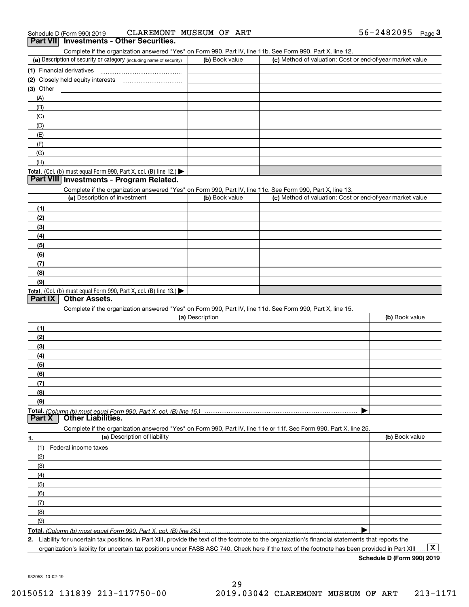Complete if the organization answered "Yes" on Form 990, Part IV, line 11b. See Form 990, Part X, line 12.

| (a) Description of security or category (including name of security)                          | (b) Book value | (c) Method of valuation: Cost or end-of-year market value |
|-----------------------------------------------------------------------------------------------|----------------|-----------------------------------------------------------|
| (1) Financial derivatives                                                                     |                |                                                           |
| (2) Closely held equity interests                                                             |                |                                                           |
| $(3)$ Other                                                                                   |                |                                                           |
| (A)                                                                                           |                |                                                           |
| (B)                                                                                           |                |                                                           |
| (C)                                                                                           |                |                                                           |
| (D)                                                                                           |                |                                                           |
| (E)                                                                                           |                |                                                           |
| (F)                                                                                           |                |                                                           |
| (G)                                                                                           |                |                                                           |
| (H)                                                                                           |                |                                                           |
| <b>Total.</b> (Col. (b) must equal Form 990, Part X, col. (B) line 12.) $\blacktriangleright$ |                |                                                           |

#### **Part VIII Investments - Program Related.**

Complete if the organization answered "Yes" on Form 990, Part IV, line 11c. See Form 990, Part X, line 13.

| (a) Description of investment                                       | (b) Book value | (c) Method of valuation: Cost or end-of-year market value |
|---------------------------------------------------------------------|----------------|-----------------------------------------------------------|
| (1)                                                                 |                |                                                           |
| (2)                                                                 |                |                                                           |
| $\frac{1}{2}$                                                       |                |                                                           |
| (4)                                                                 |                |                                                           |
| $\left(5\right)$                                                    |                |                                                           |
| (6)                                                                 |                |                                                           |
| (7)                                                                 |                |                                                           |
| (8)                                                                 |                |                                                           |
| (9)                                                                 |                |                                                           |
| Total. (Col. (b) must equal Form 990, Part X, col. (B) line $13.$ ) |                |                                                           |

#### **Part IX Other Assets.**

Complete if the organization answered "Yes" on Form 990, Part IV, line 11d. See Form 990, Part X, line 15.

| (a) Description                                                                                                   | (b) Book value |
|-------------------------------------------------------------------------------------------------------------------|----------------|
| (1)                                                                                                               |                |
| (2)                                                                                                               |                |
| (3)                                                                                                               |                |
| (4)                                                                                                               |                |
| $\frac{1}{2}$ (5)                                                                                                 |                |
| (6)                                                                                                               |                |
|                                                                                                                   |                |
| (8)                                                                                                               |                |
| (9)                                                                                                               |                |
|                                                                                                                   |                |
| <b>Part X</b><br><b>Other Liabilities.</b>                                                                        |                |
| Complete if the organization answered "Yes" on Form 990, Part IV, line 11e or 11f. See Form 990, Part X, line 25. |                |

**1.(a)** Description of liability **Book value** Book value Book value Book value Book value (1)Federal income taxes (2)(3)(4)(5) (6)(7)(8)(9) $\blacktriangleright$ 

**Total.**  *(Column (b) must equal Form 990, Part X, col. (B) line 25.)* 

**2.**Liability for uncertain tax positions. In Part XIII, provide the text of the footnote to the organization's financial statements that reports the organization's liability for uncertain tax positions under FASB ASC 740. Check here if the text of the footnote has been provided in Part XIII  $\boxed{\text{X}}$ 

**Schedule D (Form 990) 2019**

932053 10-02-19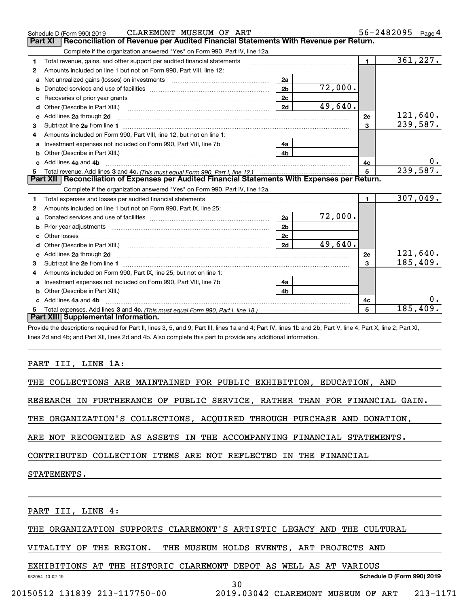|    | CLAREMONT MUSEUM OF ART<br>Schedule D (Form 990) 2019                                                                                                          |                |         |                | 56-2482095<br>Page 4 |
|----|----------------------------------------------------------------------------------------------------------------------------------------------------------------|----------------|---------|----------------|----------------------|
|    | Part XI<br>Reconciliation of Revenue per Audited Financial Statements With Revenue per Return.                                                                 |                |         |                |                      |
|    | Complete if the organization answered "Yes" on Form 990, Part IV, line 12a.                                                                                    |                |         |                |                      |
| 1  | Total revenue, gains, and other support per audited financial statements                                                                                       |                |         | $\blacksquare$ | 361, 227.            |
| 2  | Amounts included on line 1 but not on Form 990, Part VIII, line 12:                                                                                            |                |         |                |                      |
| a  |                                                                                                                                                                | 2a             |         |                |                      |
| b  |                                                                                                                                                                | 2 <sub>b</sub> | 72,000. |                |                      |
|    |                                                                                                                                                                | 2 <sub>c</sub> |         |                |                      |
|    |                                                                                                                                                                | 2d             | 49,640. |                |                      |
| e  | Add lines 2a through 2d                                                                                                                                        |                |         | 2e             | 121,640.             |
| 3  |                                                                                                                                                                |                |         | 3              | 239,587.             |
| 4  | Amounts included on Form 990, Part VIII, line 12, but not on line 1:                                                                                           |                |         |                |                      |
| a  |                                                                                                                                                                | 4a             |         |                |                      |
| b  | Other (Describe in Part XIII.) <b>Construction Contract Construction</b> Chemistry Chemistry Chemistry Chemistry Chemistry                                     | 4 <sub>b</sub> |         |                |                      |
|    | Add lines 4a and 4b                                                                                                                                            |                |         | 4c             | 0.                   |
| 5  |                                                                                                                                                                |                |         | 5              | 239, 587.            |
|    | Part XII   Reconciliation of Expenses per Audited Financial Statements With Expenses per Return.                                                               |                |         |                |                      |
|    | Complete if the organization answered "Yes" on Form 990, Part IV, line 12a.                                                                                    |                |         |                |                      |
| 1  |                                                                                                                                                                |                |         | $\blacksquare$ | 307,049.             |
| 2  | Amounts included on line 1 but not on Form 990, Part IX, line 25:                                                                                              |                |         |                |                      |
|    |                                                                                                                                                                | 2a             | 72,000. |                |                      |
| b  |                                                                                                                                                                | 2 <sub>b</sub> |         |                |                      |
| c. |                                                                                                                                                                | 2 <sub>c</sub> |         |                |                      |
| d  |                                                                                                                                                                | 2d             | 49,640. |                |                      |
|    |                                                                                                                                                                |                |         | 2e             | 121,640.             |
| 3  |                                                                                                                                                                |                |         | 3              | 185,409.             |
| 4  | Amounts included on Form 990, Part IX, line 25, but not on line 1:                                                                                             |                |         |                |                      |
|    |                                                                                                                                                                | 4a             |         |                |                      |
|    |                                                                                                                                                                | 4 <sub>b</sub> |         |                |                      |
| c. | Add lines 4a and 4b                                                                                                                                            |                |         | 4c             | 0.                   |
| 5  |                                                                                                                                                                |                |         | 5              | 185,409.             |
|    | Part XIII Supplemental Information.                                                                                                                            |                |         |                |                      |
|    | Drovide the descriptions required for Dart II, lines 3, 5, and 0; Dart III, lines 1a and 4; Dart IV, lines 1b and 2b; Dart V, line 4; Dart V, line 2; Dart VI, |                |         |                |                      |

scriptions required for Part II, lines 3, 5, and 9; Part III, lines 1a and 4; Part IV, lines 1b and 2b; Part V, line  $\cdot$ lines 2d and 4b; and Part XII, lines 2d and 4b. Also complete this part to provide any additional information.

# PART III, LINE 1A:

| THE COLLECTIONS ARE MAINTAINED FOR PUBLIC EXHIBITION, EDUCATION, AND |
|----------------------------------------------------------------------|
|----------------------------------------------------------------------|

RESEARCH IN FURTHERANCE OF PUBLIC SERVICE, RATHER THAN FOR FINANCIAL GAIN.

THE ORGANIZATION'S COLLECTIONS, ACQUIRED THROUGH PURCHASE AND DONATION,

ARE NOT RECOGNIZED AS ASSETS IN THE ACCOMPANYING FINANCIAL STATEMENTS.

CONTRIBUTED COLLECTION ITEMS ARE NOT REFLECTED IN THE FINANCIAL

STATEMENTS.

932054 10-02-19

PART III, LINE 4:

THE ORGANIZATION SUPPORTS CLAREMONT'S ARTISTIC LEGACY AND THE CULTURAL

VITALITY OF THE REGION. THE MUSEUM HOLDS EVENTS, ART PROJECTS AND

EXHIBITIONS AT THE HISTORIC CLAREMONT DEPOT AS WELL AS AT VARIOUS

**Schedule D (Form 990) 2019**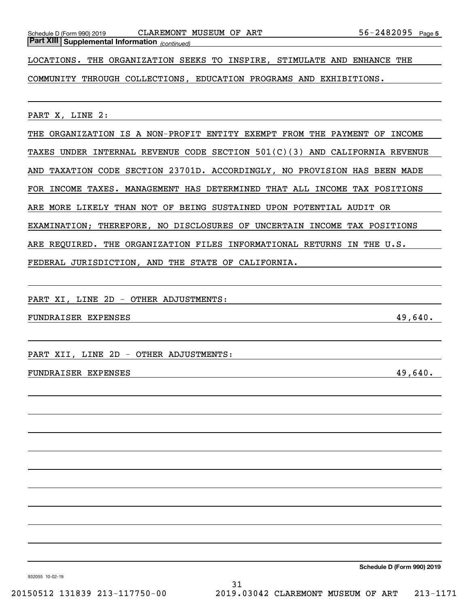Schedule D (Form 990) 2019 CLAREMONT MUSEUM OF ART 56-2482095 Page

*(continued)* **Part XIII Supplemental Information** 

LOCATIONS. THE ORGANIZATION SEEKS TO INSPIRE, STIMULATE AND ENHANCE THE

COMMUNITY THROUGH COLLECTIONS, EDUCATION PROGRAMS AND EXHIBITIONS.

PART X, LINE 2:

THE ORGANIZATION IS A NON-PROFIT ENTITY EXEMPT FROM THE PAYMENT OF INCOME TAXES UNDER INTERNAL REVENUE CODE SECTION 501(C)(3) AND CALIFORNIA REVENUE AND TAXATION CODE SECTION 23701D. ACCORDINGLY, NO PROVISION HAS BEEN MADE FOR INCOME TAXES. MANAGEMENT HAS DETERMINED THAT ALL INCOME TAX POSITIONS ARE MORE LIKELY THAN NOT OF BEING SUSTAINED UPON POTENTIAL AUDIT OR EXAMINATION; THEREFORE, NO DISCLOSURES OF UNCERTAIN INCOME TAX POSITIONS ARE REQUIRED. THE ORGANIZATION FILES INFORMATIONAL RETURNS IN THE U.S. FEDERAL JURISDICTION, AND THE STATE OF CALIFORNIA.

PART XI, LINE 2D - OTHER ADJUSTMENTS:

FUNDRAISER EXPENSES 49,640.

PART XII, LINE 2D - OTHER ADJUSTMENTS:

#### FUNDRAISER EXPENSES 49,640.

**Schedule D (Form 990) 2019**

932055 10-02-19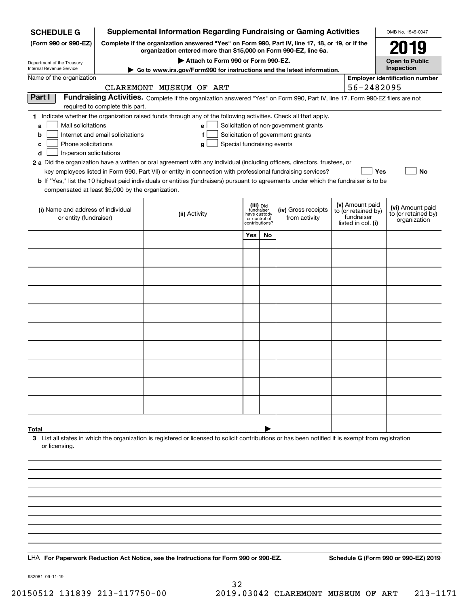| <b>SCHEDULE G</b>                                                                                                                             |                                                                                                                                                                     | <b>Supplemental Information Regarding Fundraising or Gaming Activities</b>                                                                                                                                                                                                                                                                                                                                                                                                                                                                                |                                                          |    |                                                                            |                                                      | OMB No. 1545-0047                                       |
|-----------------------------------------------------------------------------------------------------------------------------------------------|---------------------------------------------------------------------------------------------------------------------------------------------------------------------|-----------------------------------------------------------------------------------------------------------------------------------------------------------------------------------------------------------------------------------------------------------------------------------------------------------------------------------------------------------------------------------------------------------------------------------------------------------------------------------------------------------------------------------------------------------|----------------------------------------------------------|----|----------------------------------------------------------------------------|------------------------------------------------------|---------------------------------------------------------|
| (Form 990 or 990-EZ)                                                                                                                          | Complete if the organization answered "Yes" on Form 990, Part IV, line 17, 18, or 19, or if the<br>organization entered more than \$15,000 on Form 990-EZ, line 6a. |                                                                                                                                                                                                                                                                                                                                                                                                                                                                                                                                                           |                                                          |    |                                                                            | 2019                                                 |                                                         |
| Department of the Treasury                                                                                                                    |                                                                                                                                                                     | Attach to Form 990 or Form 990-EZ.                                                                                                                                                                                                                                                                                                                                                                                                                                                                                                                        |                                                          |    |                                                                            |                                                      | <b>Open to Public</b>                                   |
| Internal Revenue Service<br>Name of the organization                                                                                          |                                                                                                                                                                     | Go to www.irs.gov/Form990 for instructions and the latest information.                                                                                                                                                                                                                                                                                                                                                                                                                                                                                    |                                                          |    |                                                                            |                                                      | Inspection                                              |
|                                                                                                                                               |                                                                                                                                                                     | CLAREMONT MUSEUM OF ART                                                                                                                                                                                                                                                                                                                                                                                                                                                                                                                                   |                                                          |    |                                                                            | 56-2482095                                           | <b>Employer identification number</b>                   |
| Part I                                                                                                                                        | required to complete this part.                                                                                                                                     | Fundraising Activities. Complete if the organization answered "Yes" on Form 990, Part IV, line 17. Form 990-EZ filers are not                                                                                                                                                                                                                                                                                                                                                                                                                             |                                                          |    |                                                                            |                                                      |                                                         |
| Mail solicitations<br>a<br>b<br>Phone solicitations<br>c<br>In-person solicitations<br>d<br>compensated at least \$5,000 by the organization. | Internet and email solicitations                                                                                                                                    | 1 Indicate whether the organization raised funds through any of the following activities. Check all that apply.<br>e<br>f<br>Special fundraising events<br>g<br>2 a Did the organization have a written or oral agreement with any individual (including officers, directors, trustees, or<br>key employees listed in Form 990, Part VII) or entity in connection with professional fundraising services?<br><b>b</b> If "Yes," list the 10 highest paid individuals or entities (fundraisers) pursuant to agreements under which the fundraiser is to be |                                                          |    | Solicitation of non-government grants<br>Solicitation of government grants | Yes                                                  | No                                                      |
| (i) Name and address of individual<br>or entity (fundraiser)                                                                                  |                                                                                                                                                                     | (ii) Activity                                                                                                                                                                                                                                                                                                                                                                                                                                                                                                                                             | (iii) Did<br>fundraiser<br>have custody<br>or control of |    | (iv) Gross receipts<br>from activity                                       | (v) Amount paid<br>to (or retained by)<br>fundraiser | (vi) Amount paid<br>to (or retained by)<br>organization |
|                                                                                                                                               |                                                                                                                                                                     |                                                                                                                                                                                                                                                                                                                                                                                                                                                                                                                                                           | contributions?<br>Yes                                    | No |                                                                            | listed in col. (i)                                   |                                                         |
|                                                                                                                                               |                                                                                                                                                                     |                                                                                                                                                                                                                                                                                                                                                                                                                                                                                                                                                           |                                                          |    |                                                                            |                                                      |                                                         |
|                                                                                                                                               |                                                                                                                                                                     |                                                                                                                                                                                                                                                                                                                                                                                                                                                                                                                                                           |                                                          |    |                                                                            |                                                      |                                                         |
|                                                                                                                                               |                                                                                                                                                                     |                                                                                                                                                                                                                                                                                                                                                                                                                                                                                                                                                           |                                                          |    |                                                                            |                                                      |                                                         |
|                                                                                                                                               |                                                                                                                                                                     |                                                                                                                                                                                                                                                                                                                                                                                                                                                                                                                                                           |                                                          |    |                                                                            |                                                      |                                                         |
|                                                                                                                                               |                                                                                                                                                                     |                                                                                                                                                                                                                                                                                                                                                                                                                                                                                                                                                           |                                                          |    |                                                                            |                                                      |                                                         |
|                                                                                                                                               |                                                                                                                                                                     |                                                                                                                                                                                                                                                                                                                                                                                                                                                                                                                                                           |                                                          |    |                                                                            |                                                      |                                                         |
|                                                                                                                                               |                                                                                                                                                                     |                                                                                                                                                                                                                                                                                                                                                                                                                                                                                                                                                           |                                                          |    |                                                                            |                                                      |                                                         |
|                                                                                                                                               |                                                                                                                                                                     |                                                                                                                                                                                                                                                                                                                                                                                                                                                                                                                                                           |                                                          |    |                                                                            |                                                      |                                                         |
|                                                                                                                                               |                                                                                                                                                                     |                                                                                                                                                                                                                                                                                                                                                                                                                                                                                                                                                           |                                                          |    |                                                                            |                                                      |                                                         |
|                                                                                                                                               |                                                                                                                                                                     |                                                                                                                                                                                                                                                                                                                                                                                                                                                                                                                                                           |                                                          |    |                                                                            |                                                      |                                                         |
|                                                                                                                                               |                                                                                                                                                                     |                                                                                                                                                                                                                                                                                                                                                                                                                                                                                                                                                           |                                                          |    |                                                                            |                                                      |                                                         |
|                                                                                                                                               |                                                                                                                                                                     |                                                                                                                                                                                                                                                                                                                                                                                                                                                                                                                                                           |                                                          |    |                                                                            |                                                      |                                                         |
|                                                                                                                                               |                                                                                                                                                                     |                                                                                                                                                                                                                                                                                                                                                                                                                                                                                                                                                           |                                                          |    |                                                                            |                                                      |                                                         |
| Total                                                                                                                                         |                                                                                                                                                                     | 3 List all states in which the organization is registered or licensed to solicit contributions or has been notified it is exempt from registration                                                                                                                                                                                                                                                                                                                                                                                                        |                                                          |    |                                                                            |                                                      |                                                         |
| or licensing.                                                                                                                                 |                                                                                                                                                                     |                                                                                                                                                                                                                                                                                                                                                                                                                                                                                                                                                           |                                                          |    |                                                                            |                                                      |                                                         |
|                                                                                                                                               |                                                                                                                                                                     |                                                                                                                                                                                                                                                                                                                                                                                                                                                                                                                                                           |                                                          |    |                                                                            |                                                      |                                                         |
|                                                                                                                                               |                                                                                                                                                                     |                                                                                                                                                                                                                                                                                                                                                                                                                                                                                                                                                           |                                                          |    |                                                                            |                                                      |                                                         |
|                                                                                                                                               |                                                                                                                                                                     |                                                                                                                                                                                                                                                                                                                                                                                                                                                                                                                                                           |                                                          |    |                                                                            |                                                      |                                                         |
|                                                                                                                                               |                                                                                                                                                                     |                                                                                                                                                                                                                                                                                                                                                                                                                                                                                                                                                           |                                                          |    |                                                                            |                                                      |                                                         |
|                                                                                                                                               |                                                                                                                                                                     |                                                                                                                                                                                                                                                                                                                                                                                                                                                                                                                                                           |                                                          |    |                                                                            |                                                      |                                                         |
|                                                                                                                                               |                                                                                                                                                                     |                                                                                                                                                                                                                                                                                                                                                                                                                                                                                                                                                           |                                                          |    |                                                                            |                                                      |                                                         |
|                                                                                                                                               |                                                                                                                                                                     | LHA For Paperwork Reduction Act Notice, see the Instructions for Form 990 or 990-EZ.                                                                                                                                                                                                                                                                                                                                                                                                                                                                      |                                                          |    |                                                                            |                                                      | Schedule G (Form 990 or 990-EZ) 2019                    |
|                                                                                                                                               |                                                                                                                                                                     |                                                                                                                                                                                                                                                                                                                                                                                                                                                                                                                                                           |                                                          |    |                                                                            |                                                      |                                                         |

932081 09-11-19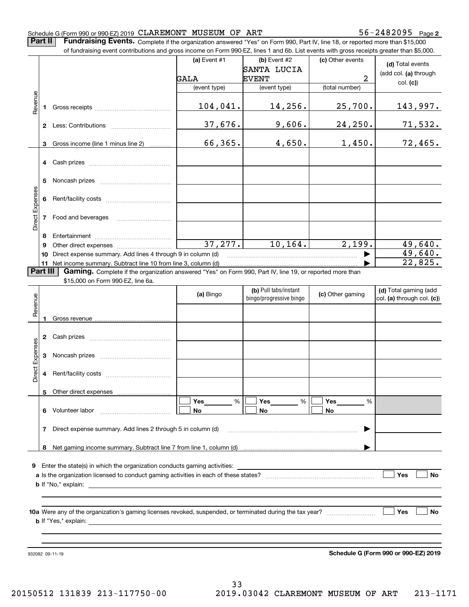**2**

**Part II** | Fundraising Events. Complete if the organization answered "Yes" on Form 990, Part IV, line 18, or reported more than \$15,000

|                 |              | of fundraising event contributions and gross income on Form 990-EZ, lines 1 and 6b. List events with gross receipts greater than \$5,000. |              |                                                  |                  |                                                     |
|-----------------|--------------|-------------------------------------------------------------------------------------------------------------------------------------------|--------------|--------------------------------------------------|------------------|-----------------------------------------------------|
|                 |              |                                                                                                                                           | (a) Event #1 | $(b)$ Event #2                                   | (c) Other events | (d) Total events                                    |
|                 |              |                                                                                                                                           |              | SANTA LUCIA                                      |                  | (add col. (a) through                               |
|                 |              |                                                                                                                                           | GALA         | <b>EVENT</b>                                     | 2                | col. (c)                                            |
|                 |              |                                                                                                                                           | (event type) | (event type)                                     | (total number)   |                                                     |
| Revenue         |              |                                                                                                                                           |              |                                                  |                  |                                                     |
|                 | 1.           |                                                                                                                                           | 104,041.     | 14,256.                                          | 25,700.          | 143,997.                                            |
|                 |              |                                                                                                                                           | 37,676.      | 9,606.                                           | 24, 250.         | 71,532.                                             |
|                 | 3            | Gross income (line 1 minus line 2)                                                                                                        | 66,365.      | 4,650.                                           | 1,450.           | 72,465.                                             |
|                 |              |                                                                                                                                           |              |                                                  |                  |                                                     |
|                 |              |                                                                                                                                           |              |                                                  |                  |                                                     |
|                 |              |                                                                                                                                           |              |                                                  |                  |                                                     |
|                 | 5            |                                                                                                                                           |              |                                                  |                  |                                                     |
| Direct Expenses |              |                                                                                                                                           |              |                                                  |                  |                                                     |
|                 | 6            |                                                                                                                                           |              |                                                  |                  |                                                     |
|                 | $\mathbf{7}$ | Food and beverages                                                                                                                        |              |                                                  |                  |                                                     |
|                 |              |                                                                                                                                           |              |                                                  |                  |                                                     |
|                 | 8            |                                                                                                                                           |              |                                                  |                  |                                                     |
|                 | 9            |                                                                                                                                           | 37, 277.     | 10, 164.                                         | 2,199.           | 49,640.                                             |
|                 | 10           | Direct expense summary. Add lines 4 through 9 in column (d)                                                                               |              |                                                  |                  | 49,640.                                             |
|                 |              | 11 Net income summary. Subtract line 10 from line 3, column (d)                                                                           |              |                                                  |                  | 22,825.                                             |
| Part III        |              | Gaming. Complete if the organization answered "Yes" on Form 990, Part IV, line 19, or reported more than                                  |              |                                                  |                  |                                                     |
|                 |              | \$15,000 on Form 990-EZ, line 6a.                                                                                                         |              |                                                  |                  |                                                     |
|                 |              |                                                                                                                                           | (a) Bingo    | (b) Pull tabs/instant<br>bingo/progressive bingo | (c) Other gaming | (d) Total gaming (add<br>col. (a) through col. (c)) |
| Revenue         |              |                                                                                                                                           |              |                                                  |                  |                                                     |
|                 |              |                                                                                                                                           |              |                                                  |                  |                                                     |
|                 |              |                                                                                                                                           |              |                                                  |                  |                                                     |
|                 |              |                                                                                                                                           |              |                                                  |                  |                                                     |
|                 |              |                                                                                                                                           |              |                                                  |                  |                                                     |
| Expenses        | 3            |                                                                                                                                           |              |                                                  |                  |                                                     |
|                 |              |                                                                                                                                           |              |                                                  |                  |                                                     |
| Direct          | 4            |                                                                                                                                           |              |                                                  |                  |                                                     |
|                 |              |                                                                                                                                           |              |                                                  |                  |                                                     |
|                 |              | 5 Other direct expenses                                                                                                                   |              |                                                  |                  |                                                     |
|                 |              |                                                                                                                                           | %<br>Yes     | %<br>Yes                                         | %<br>Yes         |                                                     |
|                 |              | 6 Volunteer labor                                                                                                                         | No           | No                                               | No               |                                                     |
|                 | 7            | Direct expense summary. Add lines 2 through 5 in column (d)                                                                               |              |                                                  |                  |                                                     |
|                 |              |                                                                                                                                           |              |                                                  |                  |                                                     |
|                 | 8            |                                                                                                                                           |              |                                                  |                  |                                                     |
|                 |              |                                                                                                                                           |              |                                                  |                  |                                                     |
|                 |              | 9 Enter the state(s) in which the organization conducts gaming activities:                                                                |              |                                                  |                  |                                                     |
|                 |              |                                                                                                                                           |              |                                                  |                  | Yes<br>No                                           |
|                 |              |                                                                                                                                           |              |                                                  |                  |                                                     |
|                 |              |                                                                                                                                           |              |                                                  |                  |                                                     |
|                 |              |                                                                                                                                           |              |                                                  |                  |                                                     |
|                 |              |                                                                                                                                           |              |                                                  |                  | Yes<br>No                                           |
|                 |              |                                                                                                                                           |              |                                                  |                  |                                                     |
|                 |              |                                                                                                                                           |              |                                                  |                  |                                                     |
|                 |              |                                                                                                                                           |              |                                                  |                  | Schedule G (Form 990 or 990-EZ) 2019                |
|                 |              | 932082 09-11-19                                                                                                                           |              |                                                  |                  |                                                     |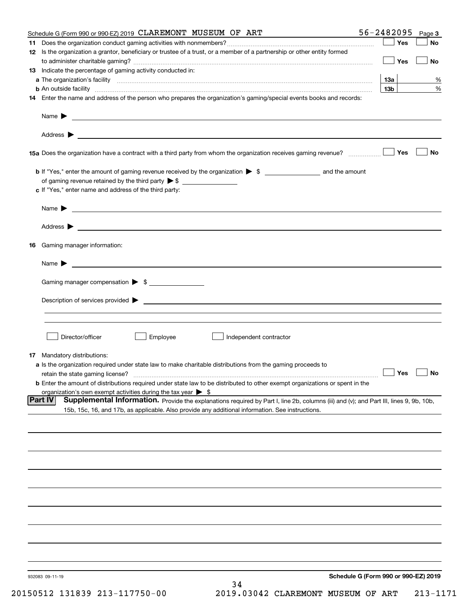| Schedule G (Form 990 or 990-EZ) 2019 CLAREMONT MUSEUM OF ART                                                                                                                                                                                                 | 56-2482095<br>Page 3                 |
|--------------------------------------------------------------------------------------------------------------------------------------------------------------------------------------------------------------------------------------------------------------|--------------------------------------|
|                                                                                                                                                                                                                                                              | Yes<br>No                            |
| 12 Is the organization a grantor, beneficiary or trustee of a trust, or a member of a partnership or other entity formed                                                                                                                                     | Yes<br>No                            |
| <b>13</b> Indicate the percentage of gaming activity conducted in:                                                                                                                                                                                           |                                      |
|                                                                                                                                                                                                                                                              | 13а<br>%                             |
| <b>b</b> An outside facility <b>contained an according to the contract of the contract of the contract of the contract of the contract of the contract of the contract of the contract of the contract of the contract of the contrac</b>                    | 13 <sub>b</sub><br>%                 |
| 14 Enter the name and address of the person who prepares the organization's gaming/special events books and records:                                                                                                                                         |                                      |
|                                                                                                                                                                                                                                                              |                                      |
|                                                                                                                                                                                                                                                              |                                      |
|                                                                                                                                                                                                                                                              | No<br>Yes                            |
|                                                                                                                                                                                                                                                              |                                      |
| of gaming revenue retained by the third party $\triangleright$ \$                                                                                                                                                                                            |                                      |
| c If "Yes," enter name and address of the third party:                                                                                                                                                                                                       |                                      |
| <u> 1989 - Andrea Stadt Britain, amerikansk politiker (d. 1989)</u><br>Name $\blacktriangleright$                                                                                                                                                            |                                      |
|                                                                                                                                                                                                                                                              |                                      |
| Gaming manager information:<br>16                                                                                                                                                                                                                            |                                      |
| $Name \rightarrow$                                                                                                                                                                                                                                           |                                      |
| Gaming manager compensation > \$                                                                                                                                                                                                                             |                                      |
| Description of services provided <b>by example 200 and 200 and 200 and 200 and 200 and 200 and 200 and 200 and 200 and 200 and 200 and 200 and 200 and 200 and 200 and 200 and 200 and 200 and 200 and 200 and 200 and 200 and 2</b>                         |                                      |
|                                                                                                                                                                                                                                                              |                                      |
|                                                                                                                                                                                                                                                              |                                      |
| Director/officer<br>Employee<br>Independent contractor                                                                                                                                                                                                       |                                      |
| <b>17</b> Mandatory distributions:                                                                                                                                                                                                                           |                                      |
| a Is the organization required under state law to make charitable distributions from the gaming proceeds to                                                                                                                                                  |                                      |
| retain the state gaming license?                                                                                                                                                                                                                             | $\Box$ Yes<br>$\Box$ No              |
| <b>b</b> Enter the amount of distributions required under state law to be distributed to other exempt organizations or spent in the                                                                                                                          |                                      |
| organization's own exempt activities during the tax year $\triangleright$ \$                                                                                                                                                                                 |                                      |
| <b>Part IV</b><br>Supplemental Information. Provide the explanations required by Part I, line 2b, columns (iii) and (v); and Part III, lines 9, 9b, 10b,<br>15b, 15c, 16, and 17b, as applicable. Also provide any additional information. See instructions. |                                      |
|                                                                                                                                                                                                                                                              |                                      |
|                                                                                                                                                                                                                                                              |                                      |
|                                                                                                                                                                                                                                                              |                                      |
|                                                                                                                                                                                                                                                              |                                      |
|                                                                                                                                                                                                                                                              |                                      |
|                                                                                                                                                                                                                                                              |                                      |
|                                                                                                                                                                                                                                                              |                                      |
|                                                                                                                                                                                                                                                              |                                      |
|                                                                                                                                                                                                                                                              |                                      |
| 932083 09-11-19                                                                                                                                                                                                                                              | Schedule G (Form 990 or 990-EZ) 2019 |
| 34                                                                                                                                                                                                                                                           |                                      |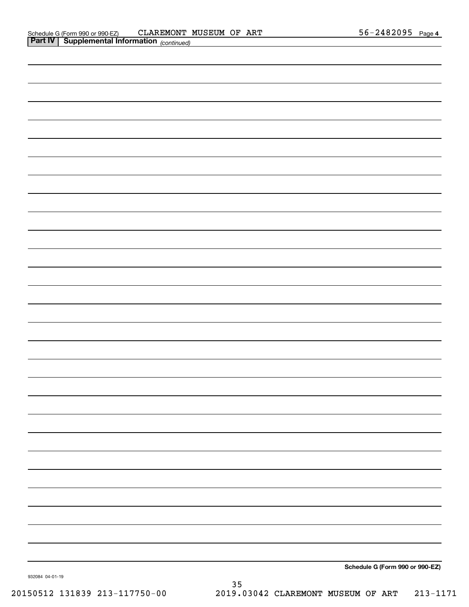| Schedule G (Form 990 or 990-EZ) |
|---------------------------------|
|                                 |

932084 04-01-19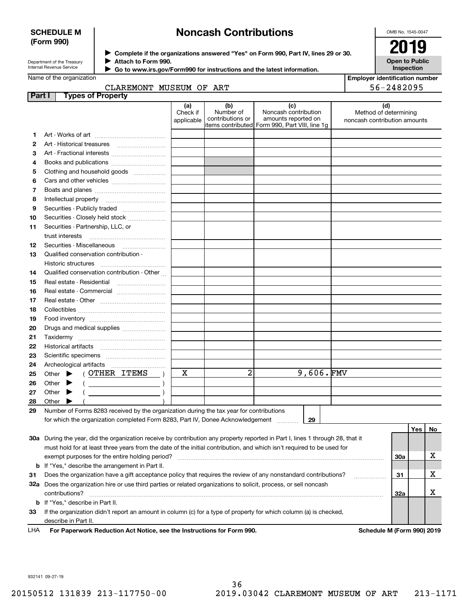#### **SCHEDULE M (Form 990)**

# **Noncash Contributions**

OMB No. 1545-0047

| Department of the Treasury |
|----------------------------|
| Internal Revenue Service   |

**Part I** 

**Complete if the organizations answered "Yes" on Form 990, Part IV, lines 29 or 30.** <sup>J</sup>**2019 Attach to Form 990.** J

**Open to Public Inspection**

|  | $\cdot$ Go to www.irs.gov/Form990 for instructions and the latest information. |  |  |  |  |
|--|--------------------------------------------------------------------------------|--|--|--|--|
|--|--------------------------------------------------------------------------------|--|--|--|--|

 $\blacktriangleright$ 

| <b>Employer identification number</b> |  |
|---------------------------------------|--|
| EL DIODOR                             |  |

| pioyer identification num |  |  |            |  |  |
|---------------------------|--|--|------------|--|--|
|                           |  |  | 56-2482095 |  |  |

| CLAREMONT MUSEUM OF ART  |     |     |
|--------------------------|-----|-----|
| <b>Types of Property</b> |     |     |
|                          | lal | (b) |

|    |                                                                                                                                                                                                                                                                                                                                                                                                                             | (a)                    | (b)<br>Number of | (c)<br>Noncash contribution                    | (d)                                                   |     |     |    |
|----|-----------------------------------------------------------------------------------------------------------------------------------------------------------------------------------------------------------------------------------------------------------------------------------------------------------------------------------------------------------------------------------------------------------------------------|------------------------|------------------|------------------------------------------------|-------------------------------------------------------|-----|-----|----|
|    |                                                                                                                                                                                                                                                                                                                                                                                                                             | Check if<br>applicable | contributions or | amounts reported on                            | Method of determining<br>noncash contribution amounts |     |     |    |
|    |                                                                                                                                                                                                                                                                                                                                                                                                                             |                        |                  | items contributed Form 990, Part VIII, line 1g |                                                       |     |     |    |
| 1  |                                                                                                                                                                                                                                                                                                                                                                                                                             |                        |                  |                                                |                                                       |     |     |    |
| 2  |                                                                                                                                                                                                                                                                                                                                                                                                                             |                        |                  |                                                |                                                       |     |     |    |
| 3  |                                                                                                                                                                                                                                                                                                                                                                                                                             |                        |                  |                                                |                                                       |     |     |    |
| 4  | Books and publications                                                                                                                                                                                                                                                                                                                                                                                                      |                        |                  |                                                |                                                       |     |     |    |
| 5  | Clothing and household goods                                                                                                                                                                                                                                                                                                                                                                                                |                        |                  |                                                |                                                       |     |     |    |
| 6  |                                                                                                                                                                                                                                                                                                                                                                                                                             |                        |                  |                                                |                                                       |     |     |    |
| 7  |                                                                                                                                                                                                                                                                                                                                                                                                                             |                        |                  |                                                |                                                       |     |     |    |
| 8  |                                                                                                                                                                                                                                                                                                                                                                                                                             |                        |                  |                                                |                                                       |     |     |    |
| 9  |                                                                                                                                                                                                                                                                                                                                                                                                                             |                        |                  |                                                |                                                       |     |     |    |
| 10 | Securities - Closely held stock                                                                                                                                                                                                                                                                                                                                                                                             |                        |                  |                                                |                                                       |     |     |    |
| 11 | Securities - Partnership, LLC, or                                                                                                                                                                                                                                                                                                                                                                                           |                        |                  |                                                |                                                       |     |     |    |
|    | trust interests                                                                                                                                                                                                                                                                                                                                                                                                             |                        |                  |                                                |                                                       |     |     |    |
| 12 | Securities - Miscellaneous                                                                                                                                                                                                                                                                                                                                                                                                  |                        |                  |                                                |                                                       |     |     |    |
| 13 | Qualified conservation contribution -                                                                                                                                                                                                                                                                                                                                                                                       |                        |                  |                                                |                                                       |     |     |    |
|    |                                                                                                                                                                                                                                                                                                                                                                                                                             |                        |                  |                                                |                                                       |     |     |    |
| 14 | Qualified conservation contribution - Other                                                                                                                                                                                                                                                                                                                                                                                 |                        |                  |                                                |                                                       |     |     |    |
| 15 | Real estate - Residential                                                                                                                                                                                                                                                                                                                                                                                                   |                        |                  |                                                |                                                       |     |     |    |
| 16 | Real estate - Commercial                                                                                                                                                                                                                                                                                                                                                                                                    |                        |                  |                                                |                                                       |     |     |    |
| 17 |                                                                                                                                                                                                                                                                                                                                                                                                                             |                        |                  |                                                |                                                       |     |     |    |
| 18 |                                                                                                                                                                                                                                                                                                                                                                                                                             |                        |                  |                                                |                                                       |     |     |    |
| 19 |                                                                                                                                                                                                                                                                                                                                                                                                                             |                        |                  |                                                |                                                       |     |     |    |
| 20 | Drugs and medical supplies                                                                                                                                                                                                                                                                                                                                                                                                  |                        |                  |                                                |                                                       |     |     |    |
| 21 |                                                                                                                                                                                                                                                                                                                                                                                                                             |                        |                  |                                                |                                                       |     |     |    |
| 22 |                                                                                                                                                                                                                                                                                                                                                                                                                             |                        |                  |                                                |                                                       |     |     |    |
| 23 |                                                                                                                                                                                                                                                                                                                                                                                                                             |                        |                  |                                                |                                                       |     |     |    |
| 24 |                                                                                                                                                                                                                                                                                                                                                                                                                             |                        |                  |                                                |                                                       |     |     |    |
| 25 | Other $\blacktriangleright$ (OTHER ITEMS )                                                                                                                                                                                                                                                                                                                                                                                  | x                      | 2                | $9,606.$ FMV                                   |                                                       |     |     |    |
| 26 | $\left(\begin{array}{ccc}\n\frac{1}{2} & \frac{1}{2} & \frac{1}{2} & \frac{1}{2} & \frac{1}{2} & \frac{1}{2} & \frac{1}{2} & \frac{1}{2} & \frac{1}{2} & \frac{1}{2} & \frac{1}{2} & \frac{1}{2} & \frac{1}{2} & \frac{1}{2} & \frac{1}{2} & \frac{1}{2} & \frac{1}{2} & \frac{1}{2} & \frac{1}{2} & \frac{1}{2} & \frac{1}{2} & \frac{1}{2} & \frac{1}{2} & \frac{1}{2} & \frac{1}{2} & \frac{1}{2} & \frac$<br>Other<br>▶ |                        |                  |                                                |                                                       |     |     |    |
| 27 | Other<br>▶                                                                                                                                                                                                                                                                                                                                                                                                                  |                        |                  |                                                |                                                       |     |     |    |
| 28 | Other                                                                                                                                                                                                                                                                                                                                                                                                                       |                        |                  |                                                |                                                       |     |     |    |
| 29 | Number of Forms 8283 received by the organization during the tax year for contributions                                                                                                                                                                                                                                                                                                                                     |                        |                  |                                                |                                                       |     |     |    |
|    | for which the organization completed Form 8283, Part IV, Donee Acknowledgement                                                                                                                                                                                                                                                                                                                                              |                        |                  | 29                                             |                                                       |     |     |    |
|    |                                                                                                                                                                                                                                                                                                                                                                                                                             |                        |                  |                                                |                                                       |     | Yes | No |
|    | 30a During the year, did the organization receive by contribution any property reported in Part I, lines 1 through 28, that it                                                                                                                                                                                                                                                                                              |                        |                  |                                                |                                                       |     |     |    |
|    | must hold for at least three years from the date of the initial contribution, and which isn't required to be used for                                                                                                                                                                                                                                                                                                       |                        |                  |                                                |                                                       |     |     |    |
|    | exempt purposes for the entire holding period?                                                                                                                                                                                                                                                                                                                                                                              |                        |                  |                                                |                                                       | 30a |     | х  |
|    | <b>b</b> If "Yes," describe the arrangement in Part II.                                                                                                                                                                                                                                                                                                                                                                     |                        |                  |                                                |                                                       |     |     |    |
| 31 | Does the organization have a gift acceptance policy that requires the review of any nonstandard contributions?                                                                                                                                                                                                                                                                                                              |                        |                  |                                                |                                                       | 31  |     | х  |
|    | 32a Does the organization hire or use third parties or related organizations to solicit, process, or sell noncash                                                                                                                                                                                                                                                                                                           |                        |                  |                                                |                                                       |     |     |    |
|    | contributions?                                                                                                                                                                                                                                                                                                                                                                                                              |                        |                  |                                                |                                                       | 32a |     | х  |
|    | <b>b</b> If "Yes," describe in Part II.                                                                                                                                                                                                                                                                                                                                                                                     |                        |                  |                                                |                                                       |     |     |    |
| 33 | If the organization didn't report an amount in column (c) for a type of property for which column (a) is checked,                                                                                                                                                                                                                                                                                                           |                        |                  |                                                |                                                       |     |     |    |
|    | describe in Part II.                                                                                                                                                                                                                                                                                                                                                                                                        |                        |                  |                                                |                                                       |     |     |    |

932141 09-27-19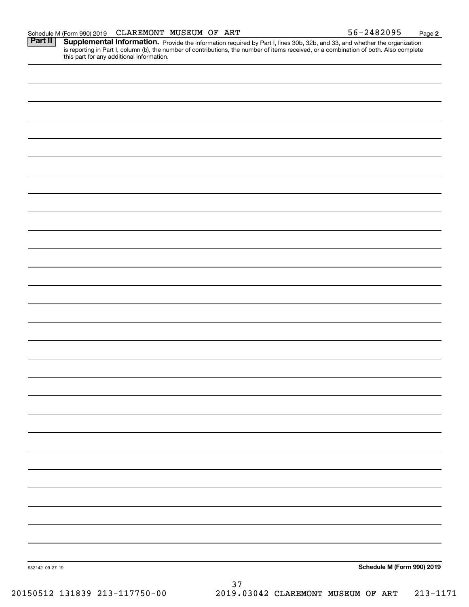Part II | Supplemental Information. Provide the information required by Part I, lines 30b, 32b, and 33, and whether the organization is reporting in Part I, column (b), the number of contributions, the number of items received, or a combination of both. Also complete this part for any additional information.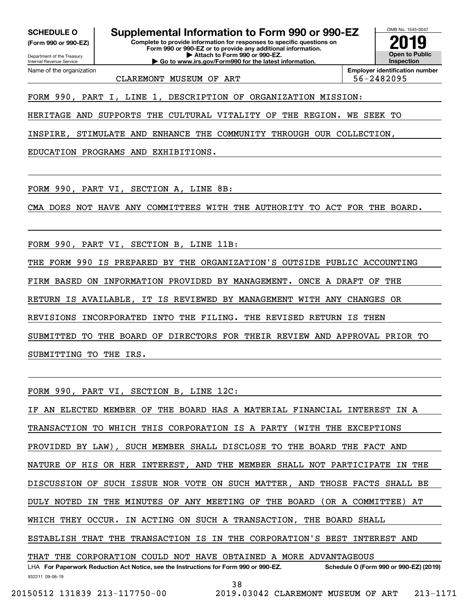**(Form 990 or 990-EZ)**

Department of the Treasury Internal Revenue Service Name of the organization

**SCHEDULE O Supplemental Information to Form 990 or 990-EZ**

**Complete to provide information for responses to specific questions on Form 990 or 990-EZ or to provide any additional information. | Attach to Form 990 or 990-EZ. | Go to www.irs.gov/Form990 for the latest information.**



CLAREMONT MUSEUM OF ART  $\vert$  56-2482095

**Employer identification number**

FORM 990, PART I, LINE 1, DESCRIPTION OF ORGANIZATION MISSION:

HERITAGE AND SUPPORTS THE CULTURAL VITALITY OF THE REGION. WE SEEK TO

INSPIRE, STIMULATE AND ENHANCE THE COMMUNITY THROUGH OUR COLLECTION,

EDUCATION PROGRAMS AND EXHIBITIONS.

FORM 990, PART VI, SECTION A, LINE 8B:

CMA DOES NOT HAVE ANY COMMITTEES WITH THE AUTHORITY TO ACT FOR THE BOARD.

FORM 990, PART VI, SECTION B, LINE 11B:

THE FORM 990 IS PREPARED BY THE ORGANIZATION'S OUTSIDE PUBLIC ACCOUNTING

FIRM BASED ON INFORMATION PROVIDED BY MANAGEMENT. ONCE A DRAFT OF THE

RETURN IS AVAILABLE, IT IS REVIEWED BY MANAGEMENT WITH ANY CHANGES OR

REVISIONS INCORPORATED INTO THE FILING. THE REVISED RETURN IS THEN

SUBMITTED TO THE BOARD OF DIRECTORS FOR THEIR REVIEW AND APPROVAL PRIOR TO

SUBMITTING TO THE IRS.

FORM 990, PART VI, SECTION B, LINE 12C:

932211 09-06-19 LHA For Paperwork Reduction Act Notice, see the Instructions for Form 990 or 990-EZ. Schedule O (Form 990 or 990-EZ) (2019) IF AN ELECTED MEMBER OF THE BOARD HAS A MATERIAL FINANCIAL INTEREST IN A TRANSACTION TO WHICH THIS CORPORATION IS A PARTY (WITH THE EXCEPTIONS PROVIDED BY LAW), SUCH MEMBER SHALL DISCLOSE TO THE BOARD THE FACT AND NATURE OF HIS OR HER INTEREST, AND THE MEMBER SHALL NOT PARTICIPATE IN THE DISCUSSION OF SUCH ISSUE NOR VOTE ON SUCH MATTER, AND THOSE FACTS SHALL BE DULY NOTED IN THE MINUTES OF ANY MEETING OF THE BOARD (OR A COMMITTEE) AT WHICH THEY OCCUR. IN ACTING ON SUCH A TRANSACTION, THE BOARD SHALL ESTABLISH THAT THE TRANSACTION IS IN THE CORPORATION'S BEST INTEREST AND THAT THE CORPORATION COULD NOT HAVE OBTAINED A MORE ADVANTAGEOUS

38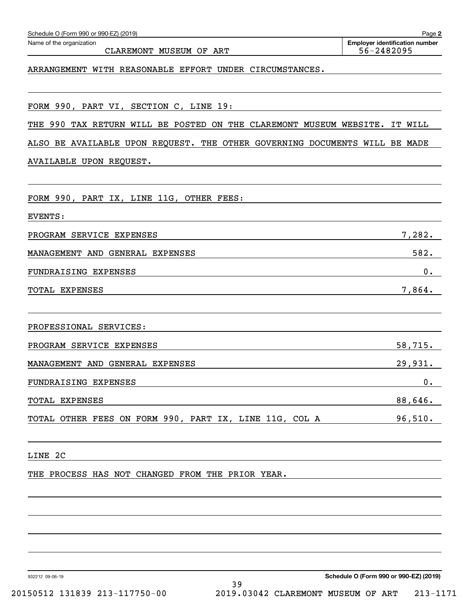| Schedule O (Form 990 or 990-EZ) (2019)                                        | Page 2                                              |
|-------------------------------------------------------------------------------|-----------------------------------------------------|
| Name of the organization<br><b>CLAREMONT</b><br>MUSEUM OF<br>ART              | <b>Employer identification number</b><br>56-2482095 |
| ARRANGEMENT WITH REASONABLE EFFORT<br>UNDER CIRCUMSTANCES.                    |                                                     |
| FORM 990, PART VI, SECTION C, LINE 19:                                        |                                                     |
| 990<br>CLAREMONT<br>THE<br>TAX RETURN WILL BE POSTED<br>ON<br>THE             | MUSEUM WEBSITE.<br>IT WILL                          |
| BE AVAILABLE UPON REQUEST. THE OTHER GOVERNING DOCUMENTS WILL BE MADE<br>ALSO |                                                     |
| AVAILABLE UPON REQUEST.                                                       |                                                     |
| FORM 990, PART IX, LINE 11G, OTHER FEES:                                      |                                                     |
| EVENTS:                                                                       |                                                     |
| PROGRAM SERVICE EXPENSES                                                      | 7,282.                                              |
| MANAGEMENT AND<br>GENERAL EXPENSES                                            | 582.                                                |
| FUNDRAISING EXPENSES                                                          | 0.                                                  |
| TOTAL EXPENSES                                                                | 7,864.                                              |
| PROFESSIONAL SERVICES:                                                        |                                                     |
| PROGRAM SERVICE EXPENSES                                                      | 58,715.                                             |
| MANAGEMENT AND GENERAL EXPENSES                                               | 29,931.                                             |
| FUNDRAISING EXPENSES                                                          | 0.                                                  |
| TOTAL EXPENSES                                                                | $88,646$ .                                          |
| TOTAL OTHER FEES ON FORM 990, PART IX, LINE 11G, COL A                        | 96,510.                                             |
| LINE 2C                                                                       |                                                     |
| THE PROCESS HAS NOT CHANGED FROM THE PRIOR YEAR.                              |                                                     |
|                                                                               |                                                     |
|                                                                               |                                                     |
| 932212 09-06-19                                                               | Schedule O (Form 990 or 990-EZ) (2019)              |
| 39                                                                            |                                                     |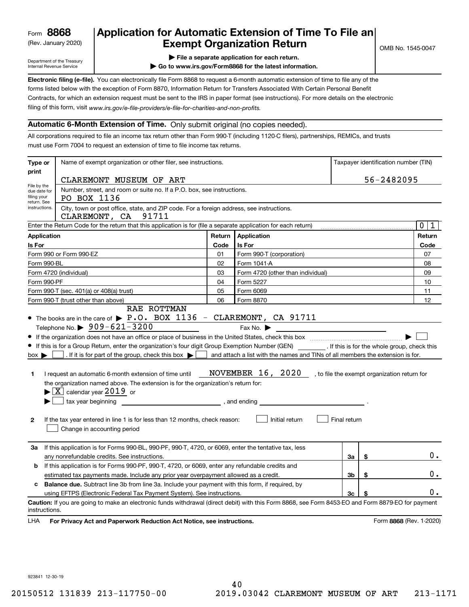(Rev. January 2020)

# **Application for Automatic Extension of Time To File an Exempt Organization Return**

Department of the Treasury Internal Revenue Service

**| File a separate application for each return.**

OMB No. 1545-0047

**| Go to www.irs.gov/Form8868 for the latest information.**

**Electronic filing (e-file).**  You can electronically file Form 8868 to request a 6-month automatic extension of time to file any of the filing of this form, visit www.irs.gov/e-file-providers/e-file-for-charities-and-non-profits. forms listed below with the exception of Form 8870, Information Return for Transfers Associated With Certain Personal Benefit Contracts, for which an extension request must be sent to the IRS in paper format (see instructions). For more details on the electronic

#### **Automatic 6-Month Extension of Time.** Only submit original (no copies needed).

All corporations required to file an income tax return other than Form 990-T (including 1120-C filers), partnerships, REMICs, and trusts must use Form 7004 to request an extension of time to file income tax returns.

| Type or                                                                                              | Name of exempt organization or other filer, see instructions.                                                                                                                                                                                                                                                                                                                                                                                                                                                                                                                                                                                                                                                                                                                                                                                          |        |                                                                                                                                                                              | Taxpayer identification number (TIN) |    |                            |  |
|------------------------------------------------------------------------------------------------------|--------------------------------------------------------------------------------------------------------------------------------------------------------------------------------------------------------------------------------------------------------------------------------------------------------------------------------------------------------------------------------------------------------------------------------------------------------------------------------------------------------------------------------------------------------------------------------------------------------------------------------------------------------------------------------------------------------------------------------------------------------------------------------------------------------------------------------------------------------|--------|------------------------------------------------------------------------------------------------------------------------------------------------------------------------------|--------------------------------------|----|----------------------------|--|
| print                                                                                                | CLAREMONT MUSEUM OF ART                                                                                                                                                                                                                                                                                                                                                                                                                                                                                                                                                                                                                                                                                                                                                                                                                                |        |                                                                                                                                                                              | 56-2482095                           |    |                            |  |
| File by the<br>filing your                                                                           | Number, street, and room or suite no. If a P.O. box, see instructions.<br>due date for<br>PO BOX 1136                                                                                                                                                                                                                                                                                                                                                                                                                                                                                                                                                                                                                                                                                                                                                  |        |                                                                                                                                                                              |                                      |    |                            |  |
| return. See<br>instructions.                                                                         | City, town or post office, state, and ZIP code. For a foreign address, see instructions.<br>CLAREMONT, CA 91711                                                                                                                                                                                                                                                                                                                                                                                                                                                                                                                                                                                                                                                                                                                                        |        |                                                                                                                                                                              |                                      |    |                            |  |
|                                                                                                      | Enter the Return Code for the return that this application is for (file a separate application for each return)                                                                                                                                                                                                                                                                                                                                                                                                                                                                                                                                                                                                                                                                                                                                        |        |                                                                                                                                                                              |                                      |    | $\mathbf 0$<br>$\mathbf 1$ |  |
| Application                                                                                          |                                                                                                                                                                                                                                                                                                                                                                                                                                                                                                                                                                                                                                                                                                                                                                                                                                                        | Return | Application                                                                                                                                                                  |                                      |    | Return                     |  |
| Is For                                                                                               |                                                                                                                                                                                                                                                                                                                                                                                                                                                                                                                                                                                                                                                                                                                                                                                                                                                        | Code   | Is For                                                                                                                                                                       |                                      |    | Code                       |  |
|                                                                                                      | Form 990 or Form 990-EZ                                                                                                                                                                                                                                                                                                                                                                                                                                                                                                                                                                                                                                                                                                                                                                                                                                | 01     | Form 990-T (corporation)                                                                                                                                                     |                                      |    | 07                         |  |
| Form 990-BL                                                                                          |                                                                                                                                                                                                                                                                                                                                                                                                                                                                                                                                                                                                                                                                                                                                                                                                                                                        | 02     | Form 1041-A                                                                                                                                                                  |                                      |    | 08                         |  |
|                                                                                                      | Form 4720 (individual)                                                                                                                                                                                                                                                                                                                                                                                                                                                                                                                                                                                                                                                                                                                                                                                                                                 | 03     | Form 4720 (other than individual)                                                                                                                                            |                                      |    | 09                         |  |
| Form 990-PF                                                                                          |                                                                                                                                                                                                                                                                                                                                                                                                                                                                                                                                                                                                                                                                                                                                                                                                                                                        | 04     | Form 5227                                                                                                                                                                    |                                      |    | 10                         |  |
|                                                                                                      | Form 990-T (sec. 401(a) or 408(a) trust)                                                                                                                                                                                                                                                                                                                                                                                                                                                                                                                                                                                                                                                                                                                                                                                                               | 05     | Form 6069                                                                                                                                                                    |                                      |    | 11                         |  |
|                                                                                                      | Form 990-T (trust other than above)                                                                                                                                                                                                                                                                                                                                                                                                                                                                                                                                                                                                                                                                                                                                                                                                                    | 06     | Form 8870                                                                                                                                                                    |                                      |    | 12                         |  |
| $box \blacktriangleright$<br>1<br>$\mathbf{2}$                                                       | Telephone No. $\triangleright$ 909-621-3200<br>• If this is for a Group Return, enter the organization's four digit Group Exemption Number (GEN) _________. If this is for the whole group, check this<br>. If it is for part of the group, check this box $\blacktriangleright$<br>I request an automatic 6-month extension of time until<br>the organization named above. The extension is for the organization's return for:<br>$\blacktriangleright$ $\boxed{\text{X}}$ calendar year 2019 or<br>tax year beginning <u>entitled</u> and the set of the set of the set of the set of the set of the set of the set of the set of the set of the set of the set of the set of the set of the set of the set of the set of the set of t<br>If the tax year entered in line 1 is for less than 12 months, check reason:<br>Change in accounting period |        | Fax No.<br>and attach a list with the names and TINs of all members the extension is for.<br>NOVEMBER 16, 2020, to file the exempt organization return for<br>Initial return | Final return                         |    |                            |  |
| За                                                                                                   | If this application is for Forms 990-BL, 990-PF, 990-T, 4720, or 6069, enter the tentative tax, less<br>any nonrefundable credits. See instructions.                                                                                                                                                                                                                                                                                                                                                                                                                                                                                                                                                                                                                                                                                                   |        |                                                                                                                                                                              | За                                   | \$ | $0$ .                      |  |
| If this application is for Forms 990-PF, 990-T, 4720, or 6069, enter any refundable credits and<br>b |                                                                                                                                                                                                                                                                                                                                                                                                                                                                                                                                                                                                                                                                                                                                                                                                                                                        |        |                                                                                                                                                                              |                                      |    |                            |  |
| 3b<br>\$<br>estimated tax payments made. Include any prior year overpayment allowed as a credit.     |                                                                                                                                                                                                                                                                                                                                                                                                                                                                                                                                                                                                                                                                                                                                                                                                                                                        |        |                                                                                                                                                                              |                                      |    | 0.                         |  |
| c                                                                                                    | <b>Balance due.</b> Subtract line 3b from line 3a. Include your payment with this form, if required, by                                                                                                                                                                                                                                                                                                                                                                                                                                                                                                                                                                                                                                                                                                                                                |        |                                                                                                                                                                              |                                      |    |                            |  |
|                                                                                                      | using EFTPS (Electronic Federal Tax Payment System). See instructions.                                                                                                                                                                                                                                                                                                                                                                                                                                                                                                                                                                                                                                                                                                                                                                                 |        |                                                                                                                                                                              | 3c                                   | \$ | 0.                         |  |
| instructions.<br>LHA                                                                                 | Caution: If you are going to make an electronic funds withdrawal (direct debit) with this Form 8868, see Form 8453-EO and Form 8879-EO for payment<br>For Privacy Act and Paperwork Reduction Act Notice, see instructions.                                                                                                                                                                                                                                                                                                                                                                                                                                                                                                                                                                                                                            |        |                                                                                                                                                                              |                                      |    | Form 8868 (Rev. 1-2020)    |  |

923841 12-30-19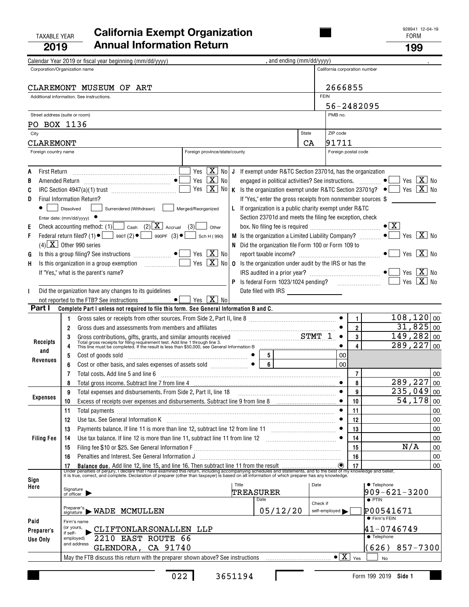#### TAXABLE YEAR FORM **California Exempt Organization 2019Annual Information Return <sup>199</sup>**

|    |                      | Calendar Year 2019 or fiscal year beginning (mm/dd/yyyy)                                                                                                                                                                                   |                               |  | , and ending (mm/dd/yyyy)                                                             |       |                               |                                             |                                                                                                       |    |
|----|----------------------|--------------------------------------------------------------------------------------------------------------------------------------------------------------------------------------------------------------------------------------------|-------------------------------|--|---------------------------------------------------------------------------------------|-------|-------------------------------|---------------------------------------------|-------------------------------------------------------------------------------------------------------|----|
|    |                      | Corporation/Organization name                                                                                                                                                                                                              |                               |  |                                                                                       |       | California corporation number |                                             |                                                                                                       |    |
|    |                      |                                                                                                                                                                                                                                            |                               |  |                                                                                       |       |                               |                                             |                                                                                                       |    |
|    |                      | CLAREMONT MUSEUM OF ART                                                                                                                                                                                                                    |                               |  |                                                                                       |       | 2666855                       |                                             |                                                                                                       |    |
|    |                      | Additional information. See instructions.                                                                                                                                                                                                  |                               |  |                                                                                       |       | <b>FEIN</b>                   |                                             |                                                                                                       |    |
|    |                      |                                                                                                                                                                                                                                            |                               |  |                                                                                       |       | 56-2482095                    |                                             |                                                                                                       |    |
|    |                      |                                                                                                                                                                                                                                            |                               |  |                                                                                       |       | PMB no.                       |                                             |                                                                                                       |    |
|    |                      | Street address (suite or room)                                                                                                                                                                                                             |                               |  |                                                                                       |       |                               |                                             |                                                                                                       |    |
|    | PO BOX 1136          |                                                                                                                                                                                                                                            |                               |  |                                                                                       |       | ZIP code                      |                                             |                                                                                                       |    |
|    | City                 |                                                                                                                                                                                                                                            |                               |  |                                                                                       | State |                               |                                             |                                                                                                       |    |
|    | CLAREMONT            |                                                                                                                                                                                                                                            |                               |  |                                                                                       | CA    | 91711                         |                                             |                                                                                                       |    |
|    | Foreign country name |                                                                                                                                                                                                                                            | Foreign province/state/county |  |                                                                                       |       | Foreign postal code           |                                             |                                                                                                       |    |
|    |                      |                                                                                                                                                                                                                                            |                               |  |                                                                                       |       |                               |                                             |                                                                                                       |    |
|    |                      |                                                                                                                                                                                                                                            |                               |  | Yes $X$ No J If exempt under R&TC Section 23701d, has the organization                |       |                               |                                             |                                                                                                       |    |
| В  |                      | Yes $X$ No                                                                                                                                                                                                                                 |                               |  | engaged in political activities? See instructions.  ●                                 |       |                               |                                             | $X$ No<br>Yes                                                                                         |    |
| C  |                      |                                                                                                                                                                                                                                            |                               |  |                                                                                       |       |                               |                                             | Yes $[X]$ No K is the organization exempt under R&TC Section 23701g? $\bullet$ $\bullet$ Yes $[X]$ No |    |
| D  |                      | Final Information Return?                                                                                                                                                                                                                  |                               |  | If "Yes," enter the gross receipts from nonmember sources \$                          |       |                               |                                             |                                                                                                       |    |
|    |                      | Surrendered (Withdrawn)<br>Dissolved<br>Merged/Reorganized                                                                                                                                                                                 |                               |  | If organization is a public charity exempt under R&TC                                 |       |                               |                                             |                                                                                                       |    |
|    |                      | Enter date: $(mm/dd/yyyy)$                                                                                                                                                                                                                 |                               |  | Section 23701d and meets the filing fee exception, check                              |       |                               |                                             |                                                                                                       |    |
| Ε  |                      | Check accounting method: (1) $\Box$ Cash (2) $\Box$ Accrual (3)                                                                                                                                                                            | Other                         |  |                                                                                       |       |                               |                                             | $\bullet$ $\vert$ X                                                                                   |    |
| F  |                      | Federal return filed? (1) $\bullet$ $\bullet$ 990T (2) $\bullet$ 990PF (3) $\bullet$                                                                                                                                                       | Sch H (990)                   |  | M Is the organization a Limited Liability Company?                                    |       |                               |                                             | $\bullet$<br>Yes $\overline{X}$ No                                                                    |    |
|    |                      | $(4)$ X Other 990 series                                                                                                                                                                                                                   |                               |  | N Did the organization file Form 100 or Form 109 to                                   |       |                               |                                             |                                                                                                       |    |
| G  |                      | Yes $\boxed{\mathbf{X}}$ No<br>Is this a group filing? See instructions $\Box$                                                                                                                                                             |                               |  |                                                                                       |       |                               |                                             | $ X $ No<br>Yes                                                                                       |    |
| H, |                      |                                                                                                                                                                                                                                            |                               |  | Yes $\boxed{\mathbf{X}}$ No   0 Is the organization under audit by the IRS or has the |       |                               |                                             |                                                                                                       |    |
|    |                      | If "Yes," what is the parent's name?                                                                                                                                                                                                       |                               |  |                                                                                       |       |                               |                                             | $ X $ No<br>Yes                                                                                       |    |
|    |                      |                                                                                                                                                                                                                                            |                               |  | P Is federal Form 1023/1024 pending?                                                  |       |                               |                                             | $X$ No<br>Yes                                                                                         |    |
|    |                      | Did the organization have any changes to its guidelines                                                                                                                                                                                    |                               |  | Date filed with IRS ___________________                                               |       |                               |                                             |                                                                                                       |    |
|    |                      | Yes $\boxed{\mathbf{X}}$ No<br>not reported to the FTB? See instructions<br>$\bullet$                                                                                                                                                      |                               |  |                                                                                       |       |                               |                                             |                                                                                                       |    |
|    | Part I               | Complete Part I unless not required to file this form. See General Information B and C.                                                                                                                                                    |                               |  |                                                                                       |       |                               |                                             |                                                                                                       |    |
|    |                      |                                                                                                                                                                                                                                            |                               |  |                                                                                       |       |                               |                                             | 108, 120 00                                                                                           |    |
|    |                      | 1.                                                                                                                                                                                                                                         |                               |  |                                                                                       |       |                               | $\mathbf{1}$                                | $31,825$ 00                                                                                           |    |
|    |                      | $\overline{2}$                                                                                                                                                                                                                             |                               |  |                                                                                       |       |                               | $\overline{\mathbf{2}}$                     |                                                                                                       |    |
|    | Receipts             | Gross contributions, gifts, grants, and similar amounts received<br>Total gross receipts for filing requirement test. Add line 1 through line 3.<br>This line must be completed. If the result is less than \$50,000, see General Inf<br>3 |                               |  |                                                                                       |       | $\bullet$                     | 3                                           | 149, 282 00                                                                                           |    |
|    | and                  |                                                                                                                                                                                                                                            |                               |  |                                                                                       |       |                               | 4                                           | $289, 227$ 00                                                                                         |    |
|    | Revenues             | 5<br>Cost of goods sold<br>Cost or other basis, and sales expenses of assets sold<br>Cost or other basis, and sales expenses of assets sold                                                                                                |                               |  | 5                                                                                     |       | 00                            |                                             |                                                                                                       |    |
|    |                      | 6                                                                                                                                                                                                                                          |                               |  | $\overline{6}$                                                                        |       | 00                            |                                             |                                                                                                       |    |
|    |                      | Total costs. Add line 5 and line 6<br>7                                                                                                                                                                                                    |                               |  |                                                                                       |       |                               | 7                                           |                                                                                                       | 00 |
|    |                      |                                                                                                                                                                                                                                            |                               |  |                                                                                       |       |                               | 8                                           | 289,227                                                                                               | 00 |
|    |                      | Total expenses and disbursements. From Side 2, Part II, line 18<br>9                                                                                                                                                                       |                               |  |                                                                                       |       |                               | 9                                           | $235,049$ 00                                                                                          |    |
|    | <b>Expenses</b>      | Excess of receipts over expenses and disbursements. Subtract line 9 from line 8<br>10<br>10                                                                                                                                                |                               |  |                                                                                       |       |                               |                                             | $\overline{54}$ , 178 00                                                                              |    |
|    |                      | 11<br>Total payments                                                                                                                                                                                                                       |                               |  |                                                                                       |       |                               | 11                                          |                                                                                                       | 00 |
|    |                      | Use tax. See General Information K<br>12                                                                                                                                                                                                   |                               |  |                                                                                       |       |                               | 12                                          |                                                                                                       | 00 |
|    |                      | Payments balance. If line 11 is more than line 12, subtract line 12 from line 11<br>13                                                                                                                                                     |                               |  |                                                                                       |       |                               | 13                                          |                                                                                                       | 00 |
|    | <b>Filing Fee</b>    | Use tax balance. If line 12 is more than line 11, subtract line 11 from line 12 [11] [12] [11] [12] [11] [12] [11] [12] [11] [12] [11] [12] [11] [12] [11] [12] [11] [12] [11] [12] [11] [12] [11] [12] [11] [12] [11] [12] [1<br>14       |                               |  |                                                                                       |       |                               | 14                                          |                                                                                                       | 00 |
|    |                      | 15                                                                                                                                                                                                                                         |                               |  |                                                                                       |       |                               | 15                                          | N/A                                                                                                   | 00 |
|    |                      | Penalties and Interest. See General Information J<br>16                                                                                                                                                                                    |                               |  |                                                                                       |       |                               | 16                                          |                                                                                                       | 00 |
|    |                      |                                                                                                                                                                                                                                            |                               |  |                                                                                       |       |                               |                                             |                                                                                                       | 00 |
|    |                      |                                                                                                                                                                                                                                            |                               |  |                                                                                       |       |                               |                                             |                                                                                                       |    |
|    | Sign                 |                                                                                                                                                                                                                                            | Title                         |  |                                                                                       | Date  |                               |                                             | • Telephone                                                                                           |    |
|    | Here                 | Signature<br>of officer                                                                                                                                                                                                                    |                               |  | TREASURER                                                                             |       |                               |                                             | $909 - 621 - 3200$                                                                                    |    |
|    |                      |                                                                                                                                                                                                                                            |                               |  | Date                                                                                  |       | Check if                      |                                             | $\bullet$ PTIN                                                                                        |    |
|    |                      | $\overset{\text{Prepare's}}{\text{signature}}$ WADE MCMULLEN                                                                                                                                                                               |                               |  | 05/12/20                                                                              |       | self-employed                 |                                             | P00541671                                                                                             |    |
|    |                      |                                                                                                                                                                                                                                            |                               |  |                                                                                       |       |                               |                                             | ● Firm's FEIN                                                                                         |    |
|    | Paid                 | Firm's name<br>(or yours,<br>CLIFTONLARSONALLEN LLP                                                                                                                                                                                        |                               |  |                                                                                       |       |                               |                                             | 41-0746749                                                                                            |    |
|    | Preparer's           | if self-<br>2210 EAST ROUTE 66<br>employed)                                                                                                                                                                                                |                               |  |                                                                                       |       |                               |                                             | <b>• Telephone</b>                                                                                    |    |
|    | Use Only             | and address                                                                                                                                                                                                                                |                               |  |                                                                                       |       |                               |                                             |                                                                                                       |    |
|    |                      | GLENDORA, CA 91740                                                                                                                                                                                                                         |                               |  |                                                                                       |       |                               |                                             | (626)<br>857-7300                                                                                     |    |
|    |                      |                                                                                                                                                                                                                                            |                               |  |                                                                                       |       |                               | $\bullet$ $\boxed{\mathbf{X}}$ $\forall$ es | No                                                                                                    |    |

 $\mathbf{I}$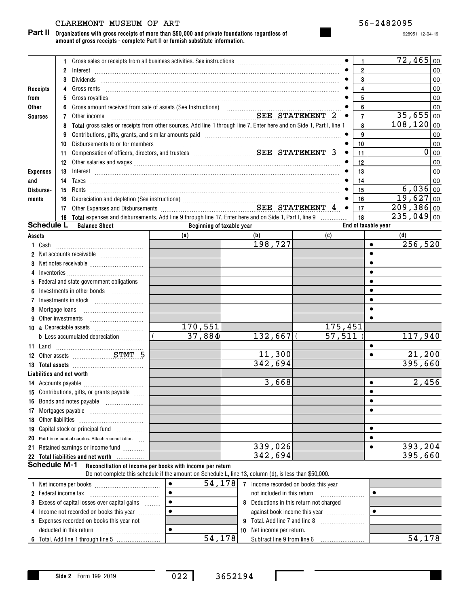# CLAREMONT MUSEUM OF ART 56-2482095

**Organizations with gross receipts of more than \$50,000 and private foundations regardless of Part II amount of gross receipts - complete Part II or furnish substitute information.**

928951 12-04-19

|                 |                             | Gross sales or receipts from all business activities. See instructions [11] contains the sales or receipts from all business activities. See instructions [11] [12] contains an except for the sales or $\theta$ and $\theta$ and $\theta$                                                                                                                                                                                      |                           |                                         |          | 1                       | $72,465$ 00                       |
|-----------------|-----------------------------|---------------------------------------------------------------------------------------------------------------------------------------------------------------------------------------------------------------------------------------------------------------------------------------------------------------------------------------------------------------------------------------------------------------------------------|---------------------------|-----------------------------------------|----------|-------------------------|-----------------------------------|
|                 | 2                           | $Interest \begin{array}{c} \rule{2.5cm}{0.15cm} \rule{2.5cm}{0.15cm} \rule{2.5cm}{0.15cm} \rule{2.5cm}{0.15cm} \rule{2.5cm}{0.15cm} \rule{2.5cm}{0.15cm} \rule{2.5cm}{0.15cm} \rule{2.5cm}{0.15cm} \rule{2.5cm}{0.15cm} \rule{2.5cm}{0.15cm} \rule{2.5cm}{0.15cm} \rule{2.5cm}{0.15cm} \rule{2.5cm}{0.15cm} \rule{2.5cm}{0.15cm} \rule{2.5cm}{0.15cm} \$                                                                        |                           |                                         |          | $\overline{2}$          | 00                                |
|                 | 3                           | Dividends <b>Example 20</b> Section 20 April 20 Section 20 April 20 Section 20 April 20 Section 20 April 20 Section 20 Section 20 April 20 Section 20 Section 20 Section 20 Section 20 Section 20 Section 20 Section 20 Section 20                                                                                                                                                                                              |                           |                                         |          | 3                       | 00                                |
| Receipts        | 4                           | Gross rents                                                                                                                                                                                                                                                                                                                                                                                                                     |                           |                                         |          | $\overline{\mathbf{4}}$ | 00                                |
| from            | 5                           |                                                                                                                                                                                                                                                                                                                                                                                                                                 |                           |                                         |          | 5                       | 00                                |
| Other           |                             |                                                                                                                                                                                                                                                                                                                                                                                                                                 |                           |                                         |          | 6                       | 00                                |
| <b>Sources</b>  | 7                           | Other income                                                                                                                                                                                                                                                                                                                                                                                                                    |                           | SEE STATEMENT 2                         |          | $\overline{7}$          | $35,655$ 00                       |
|                 | 8                           | Total gross sales or receipts from other sources. Add line 1 through line 7. Enter here and on Side 1, Part I, line 1                                                                                                                                                                                                                                                                                                           |                           |                                         |          | 8                       | 108, 120 00                       |
|                 | 9                           | Contributions, gifts, grants, and similar amounts paid manufactured and manufactured and similar and similar a                                                                                                                                                                                                                                                                                                                  |                           |                                         |          | 9                       | 00                                |
|                 | 10                          |                                                                                                                                                                                                                                                                                                                                                                                                                                 |                           |                                         |          | 10                      | 00                                |
|                 | 11                          |                                                                                                                                                                                                                                                                                                                                                                                                                                 |                           |                                         |          | 11                      | $\overline{0}$<br>$\overline{00}$ |
|                 | 12                          |                                                                                                                                                                                                                                                                                                                                                                                                                                 |                           |                                         |          | 12                      | 00                                |
| <b>Expenses</b> | 13                          | $Interest \begin{tabular}{l} \hline \textbf{Interest} \end{tabular} \begin{tabular}{p{6.5cm} \textbf{1} } \textbf{1} \textbf{1} \textbf{2} \textbf{3} \textbf{4} \textbf{5} \textbf{6} \textbf{6} \textbf{7} \textbf{8} \textbf{9} \textbf{10} \textbf{10} \textbf{11} \textbf{12} \textbf{13} \textbf{13} \textbf{13} \textbf{14} \textbf{15} \textbf{16} \textbf{16} \textbf{17} \textbf{18} \textbf{18} \textbf{18} \textbf$ |                           |                                         |          | 13                      | 00                                |
| and             |                             |                                                                                                                                                                                                                                                                                                                                                                                                                                 |                           |                                         |          | 14                      | 00                                |
| Disburse-       |                             |                                                                                                                                                                                                                                                                                                                                                                                                                                 |                           |                                         |          | 15                      | $6,036$ 00                        |
| ments           | 16                          |                                                                                                                                                                                                                                                                                                                                                                                                                                 |                           |                                         |          | 16                      | $19,627$ 00                       |
|                 | 17                          |                                                                                                                                                                                                                                                                                                                                                                                                                                 |                           |                                         |          | 17                      | $209, 386 _{00}$                  |
|                 |                             | 18 Total expenses and disbursements. Add line 9 through line 17. Enter here and on Side 1, Part I, line 9                                                                                                                                                                                                                                                                                                                       |                           |                                         |          | 18                      | $\sqrt{235,049}\sqrt{0}$          |
|                 | <b>Schedule L</b>           | <b>Balance Sheet</b>                                                                                                                                                                                                                                                                                                                                                                                                            | Beginning of taxable year |                                         |          |                         | End of taxable year               |
| Assets          |                             |                                                                                                                                                                                                                                                                                                                                                                                                                                 | (a)                       | (b)                                     | (c)      |                         | (d)                               |
| 1 Cash          |                             |                                                                                                                                                                                                                                                                                                                                                                                                                                 |                           | 198,727                                 |          |                         | 256,520<br>$\bullet$              |
|                 |                             |                                                                                                                                                                                                                                                                                                                                                                                                                                 |                           |                                         |          |                         | $\bullet$                         |
| 3               |                             |                                                                                                                                                                                                                                                                                                                                                                                                                                 |                           |                                         |          |                         | $\bullet$                         |
| 4               |                             | $Inventories \begin{picture}(1,0) \put(0,0){\vector(1,0){100}} \put(0,0){\vector(1,0){100}} \put(0,0){\vector(1,0){100}} \put(0,0){\vector(1,0){100}} \put(0,0){\vector(1,0){100}} \put(0,0){\vector(1,0){100}} \put(0,0){\vector(1,0){100}} \put(0,0){\vector(1,0){100}} \put(0,0){\vector(1,0){100}} \put(0,0){\vector(1,0){100}} \put(0,0){\vector(1,0){100}} \put(0,0){\vector($                                            |                           |                                         |          |                         | $\bullet$                         |
| 5               |                             | Federal and state government obligations                                                                                                                                                                                                                                                                                                                                                                                        |                           |                                         |          |                         | $\bullet$                         |
|                 |                             | Investments in other bonds                                                                                                                                                                                                                                                                                                                                                                                                      |                           |                                         |          |                         | $\bullet$                         |
| 7               |                             |                                                                                                                                                                                                                                                                                                                                                                                                                                 |                           |                                         |          |                         | $\bullet$                         |
| 8               | Mortgage loans              |                                                                                                                                                                                                                                                                                                                                                                                                                                 |                           |                                         |          |                         | $\bullet$                         |
|                 | Other investments           |                                                                                                                                                                                                                                                                                                                                                                                                                                 |                           |                                         |          |                         |                                   |
|                 |                             |                                                                                                                                                                                                                                                                                                                                                                                                                                 | 170,551                   |                                         | 175,451  |                         |                                   |
|                 |                             | <b>b</b> Less accumulated depreciation <i></i>                                                                                                                                                                                                                                                                                                                                                                                  | 37,884                    | 132,667                                 | 57, 511) |                         | 117,940                           |
|                 |                             | 11 Land<br>12 Other assets<br>12 Other assets<br>12 Other assets<br>12 Other assets<br>12 Other assets<br>12 Other assets<br>12 Other assets<br>12 Other assets<br>12 Other assets                                                                                                                                                                                                                                              |                           |                                         |          |                         | $\bullet$                         |
|                 |                             |                                                                                                                                                                                                                                                                                                                                                                                                                                 |                           | 11,300                                  |          |                         | 21,200                            |
|                 |                             |                                                                                                                                                                                                                                                                                                                                                                                                                                 |                           | 342,694                                 |          |                         | 395,660                           |
|                 | Liabilities and net worth   |                                                                                                                                                                                                                                                                                                                                                                                                                                 |                           |                                         |          |                         |                                   |
|                 |                             |                                                                                                                                                                                                                                                                                                                                                                                                                                 |                           | 3,668                                   |          |                         | 2,456<br>$\bullet$                |
|                 |                             | 15 Contributions, gifts, or grants payable                                                                                                                                                                                                                                                                                                                                                                                      |                           |                                         |          |                         |                                   |
|                 |                             |                                                                                                                                                                                                                                                                                                                                                                                                                                 |                           |                                         |          |                         |                                   |
|                 |                             |                                                                                                                                                                                                                                                                                                                                                                                                                                 |                           |                                         |          |                         |                                   |
|                 | <b>18</b> Other liabilities |                                                                                                                                                                                                                                                                                                                                                                                                                                 |                           |                                         |          |                         |                                   |
|                 |                             | 19 Capital stock or principal fund                                                                                                                                                                                                                                                                                                                                                                                              |                           |                                         |          |                         | $\bullet$                         |
|                 |                             | 20 Paid-in or capital surplus. Attach reconciliation                                                                                                                                                                                                                                                                                                                                                                            |                           |                                         |          |                         |                                   |
|                 |                             | 21 Retained earnings or income fund                                                                                                                                                                                                                                                                                                                                                                                             |                           | 339,026                                 |          |                         | 393,204<br>$\bullet$              |
|                 |                             | 22 Total liabilities and net worth                                                                                                                                                                                                                                                                                                                                                                                              |                           | 342,694                                 |          |                         | 395,660                           |
|                 | <b>Schedule M-1</b>         | Reconciliation of income per books with income per return                                                                                                                                                                                                                                                                                                                                                                       |                           |                                         |          |                         |                                   |
|                 |                             | Do not complete this schedule if the amount on Schedule L, line 13, column (d), is less than \$50,000.                                                                                                                                                                                                                                                                                                                          |                           |                                         |          |                         |                                   |
|                 |                             |                                                                                                                                                                                                                                                                                                                                                                                                                                 | $\bullet$<br>54,178       | 7 Income recorded on books this year    |          |                         |                                   |
|                 |                             |                                                                                                                                                                                                                                                                                                                                                                                                                                 |                           | not included in this return             |          |                         |                                   |
|                 |                             | 3 Excess of capital losses over capital gains                                                                                                                                                                                                                                                                                                                                                                                   | $\bullet$                 | 8 Deductions in this return not charged |          |                         |                                   |
| 4               |                             | Income not recorded on books this year                                                                                                                                                                                                                                                                                                                                                                                          |                           |                                         |          |                         |                                   |
|                 |                             | 5 Expenses recorded on books this year not                                                                                                                                                                                                                                                                                                                                                                                      |                           |                                         |          |                         |                                   |
|                 |                             | deducted in this return [11] [11] [11] contact the set of the set of the set of the set of the set of the set o                                                                                                                                                                                                                                                                                                                 |                           | 10 Net income per return.               |          |                         |                                   |

**6** Total. Add line 1 through line 5

 $\textsf{54}$  ,  $\textsf{178} | \hspace{20pt} \textsf{Subtract line 9 from line 6} \hspace{20pt} \textsf{...} \hspace{20pt} \textsf{...} \hspace{20pt} \textsf{...} \hspace{20pt} \textsf{...} \hspace{20pt} \textsf{...} \hspace{20pt} \textsf{...} \hspace{20pt} \textsf{...} \hspace{20pt} \textsf{...} \hspace{20pt} \textsf{...} \hspace{20pt} \textsf{...} \hspace{20pt} \textsf{...} \hspace{20pt} \textsf{...} \hspace{20pt} \$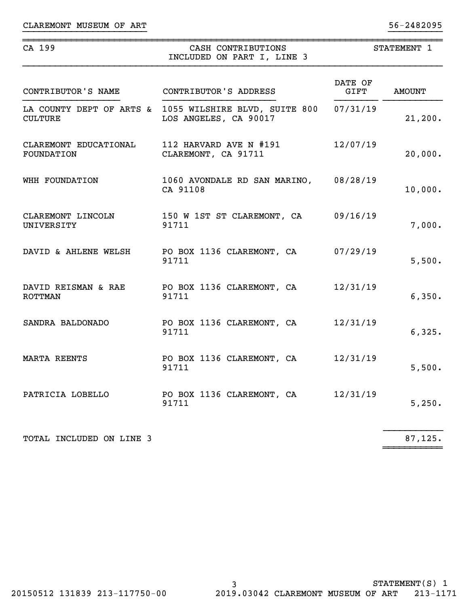| CA 199                                                     | CASH CONTRIBUTIONS<br>INCLUDED ON PART I, LINE 3                                         | STATEMENT 1     |               |  |
|------------------------------------------------------------|------------------------------------------------------------------------------------------|-----------------|---------------|--|
| CONTRIBUTOR'S NAME                                         | CONTRIBUTOR'S ADDRESS                                                                    | DATE OF<br>GIFT | <b>AMOUNT</b> |  |
| <b>CULTURE</b>                                             | LA COUNTY DEPT OF ARTS & 1055 WILSHIRE BLVD, SUITE 800 07/31/19<br>LOS ANGELES, CA 90017 |                 | 21,200.       |  |
| CLAREMONT EDUCATIONAL 112 HARVARD AVE N #191<br>FOUNDATION | CLAREMONT, CA 91711                                                                      | 12/07/19        | 20,000.       |  |
| WHH FOUNDATION                                             | 1060 AVONDALE RD SAN MARINO, 08/28/19<br>CA 91108                                        |                 | 10,000.       |  |
| CLAREMONT LINCOLN<br>UNIVERSITY                            | 150 W 1ST ST CLAREMONT, CA<br>91711                                                      | 09/16/19        | 7,000.        |  |
| DAVID & AHLENE WELSH                                       | PO BOX 1136 CLAREMONT, CA<br>91711                                                       | 07/29/19        | 5,500.        |  |
| DAVID REISMAN & RAE<br><b>ROTTMAN</b>                      | PO BOX 1136 CLAREMONT, CA<br>91711                                                       | 12/31/19        | 6,350.        |  |
| SANDRA BALDONADO                                           | PO BOX 1136 CLAREMONT, CA<br>91711                                                       | 12/31/19        | 6,325.        |  |
| <b>MARTA REENTS</b>                                        | PO BOX 1136 CLAREMONT, CA<br>91711                                                       | 12/31/19        | 5,500.        |  |
| PATRICIA LOBELLO                                           | PO BOX 1136 CLAREMONT, CA<br>91711                                                       | 12/31/19        | 5,250.        |  |
| TOTAL INCLUDED ON LINE 3                                   |                                                                                          |                 | 87,125.       |  |

~~~~~~~~~~~

}}}}}}}}}}}}}}}}}}}}}}} }}}}}}}}}}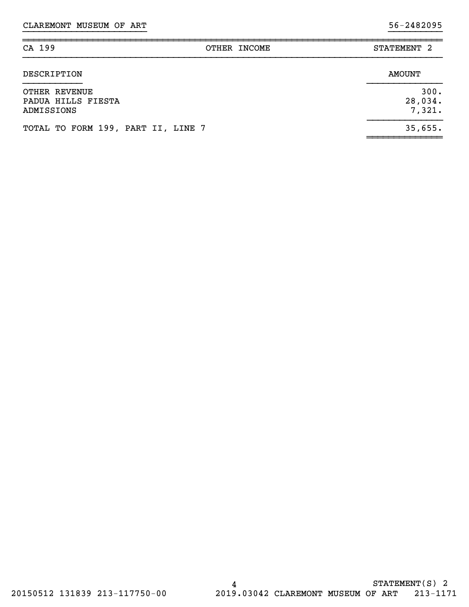| CA 199                                            | STATEMENT <sub>2</sub><br>OTHER INCOME |  |
|---------------------------------------------------|----------------------------------------|--|
| DESCRIPTION                                       | <b>AMOUNT</b>                          |  |
| OTHER REVENUE<br>PADUA HILLS FIESTA<br>ADMISSIONS | 300.<br>28,034.<br>7,321.              |  |
| TOTAL TO FORM 199, PART II, LINE 7                | 35,655.                                |  |

~~~~~~~~~~~~~~

}}}}}}}}}}}}}}}}}}}}}}} }}}}}}}}}}

~~~~~~~~~~~~~~~~~~~~~~~~~~~~~~~~~~~~~~~~~~~~~~~~~~~~~~~~~~~~~~~~~~~~~~~~~~~~~~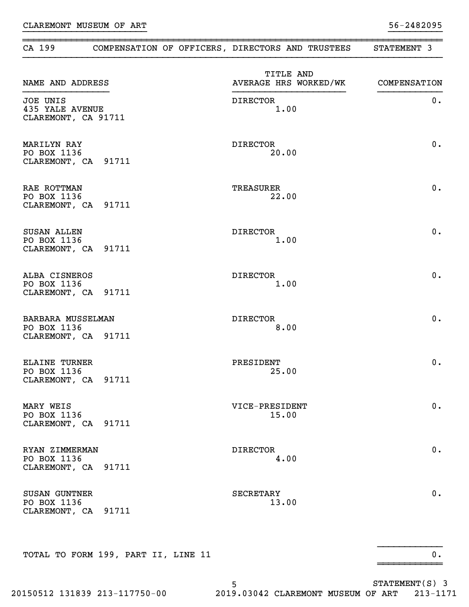| CA 199                                                     |                                     | COMPENSATION OF OFFICERS, DIRECTORS AND TRUSTEES | STATEMENT 3  |
|------------------------------------------------------------|-------------------------------------|--------------------------------------------------|--------------|
| NAME AND ADDRESS                                           |                                     | TITLE AND<br>AVERAGE HRS WORKED/WK               | COMPENSATION |
| JOE UNIS<br><b>435 YALE AVENUE</b><br>CLAREMONT, CA 91711  |                                     | <b>DIRECTOR</b><br>1.00                          | $0$ .        |
| <b>MARILYN RAY</b><br>PO BOX 1136<br>CLAREMONT, CA 91711   |                                     | <b>DIRECTOR</b><br>20.00                         | 0.           |
| RAE ROTTMAN<br>PO BOX 1136<br>CLAREMONT, CA 91711          |                                     | TREASURER<br>22.00                               | 0.           |
| <b>SUSAN ALLEN</b><br>PO BOX 1136<br>CLAREMONT, CA 91711   |                                     | <b>DIRECTOR</b><br>1.00                          | 0.           |
| ALBA CISNEROS<br>PO BOX 1136<br>CLAREMONT, CA 91711        |                                     | <b>DIRECTOR</b><br>1.00                          | 0.           |
| BARBARA MUSSELMAN<br>PO BOX 1136<br>CLAREMONT, CA 91711    |                                     | <b>DIRECTOR</b><br>8.00                          | 0.           |
| <b>ELAINE TURNER</b><br>PO BOX 1136<br>CLAREMONT, CA 91711 |                                     | PRESIDENT<br>25.00                               | 0.           |
| MARY WEIS<br>PO BOX 1136<br>CLAREMONT, CA 91711            |                                     | VICE-PRESIDENT<br>15.00                          | 0.           |
| RYAN ZIMMERMAN<br>PO BOX 1136<br>CLAREMONT, CA 91711       |                                     | <b>DIRECTOR</b><br>4.00                          | 0.           |
| <b>SUSAN GUNTNER</b><br>PO BOX 1136<br>CLAREMONT, CA 91711 |                                     | SECRETARY<br>13.00                               | 0.           |
|                                                            | TOTAL TO FORM 199, PART II, LINE 11 |                                                  | $0$ .        |

}}}}}}}}}}}}}}}}}}}}}}} }}}}}}}}}}

~~~~~~~~~~~~~~~~~~~~~~~~~~~~~~~~~~~~~~~~~~~~~~~~~~~~~~~~~~~~~~~~~~~~~~~~~~~~~~

5 STATEMENT(S) 3 20150512 131839 213-117750-00 2019.03042 CLAREMONT MUSEUM OF ART 213-1171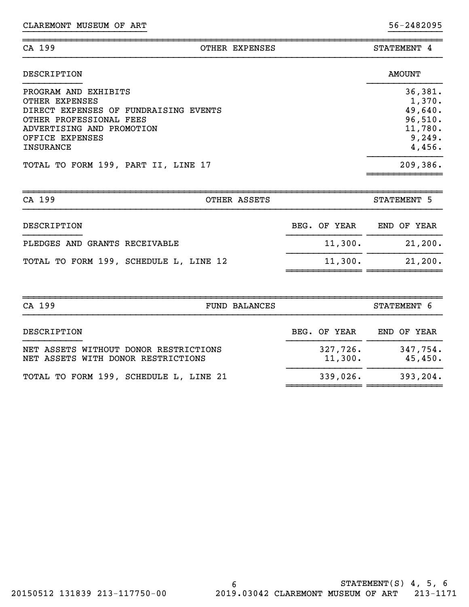| CA 199      | OTHER EXPENSES | STATEMENT<br>4 |
|-------------|----------------|----------------|
| DESCRIPTION |                | <b>AMOUNT</b>  |

}}}}}}}}}}}}}}}}}}}}}}} }}}}}}}}}}

| 36,381.<br>1,370.<br>49,640.<br>96,510.<br>11,780.<br>9,249.<br>4,456. |
|------------------------------------------------------------------------|
| 209,386.                                                               |
|                                                                        |

| CA 199<br>OTHER ASSETS                 |              | STATEMENT 5 |
|----------------------------------------|--------------|-------------|
| DESCRIPTION                            | BEG. OF YEAR | END OF YEAR |
| PLEDGES AND GRANTS RECEIVABLE          | 11,300.      | 21,200.     |
| TOTAL TO FORM 199, SCHEDULE L, LINE 12 | 11,300.      | 21,200.     |

| CA 199                                                                      | <b>FUND BALANCES</b> | STATEMENT 6         |
|-----------------------------------------------------------------------------|----------------------|---------------------|
| DESCRIPTION                                                                 | BEG. OF YEAR         | END OF YEAR         |
| NET ASSETS WITHOUT DONOR RESTRICTIONS<br>NET ASSETS WITH DONOR RESTRICTIONS | 327,726.<br>11,300.  | 347,754.<br>45,450. |
| TOTAL TO FORM 199, SCHEDULE L, LINE 21                                      | 339,026.             | 393, 204.           |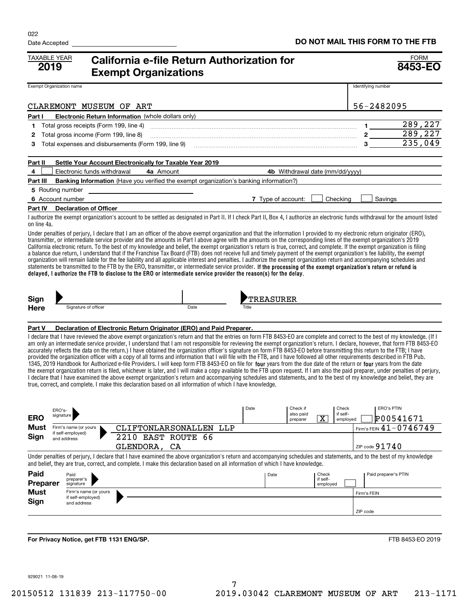| <b>TAXABLE YEAR</b><br>2019 |                                            | California e-file Return Authorization for<br><b>Exempt Organizations</b>                                                                                                                                                                                                                                                                                                                                                                                                                                                                                                                                                                                                                                                                                                                                                                                                                                                                                                                                                                                                                                                                                                                                                                                                                                                                                             |      |                    |                       |                                   |                      | <b>FORM</b><br>8453-EO              |
|-----------------------------|--------------------------------------------|-----------------------------------------------------------------------------------------------------------------------------------------------------------------------------------------------------------------------------------------------------------------------------------------------------------------------------------------------------------------------------------------------------------------------------------------------------------------------------------------------------------------------------------------------------------------------------------------------------------------------------------------------------------------------------------------------------------------------------------------------------------------------------------------------------------------------------------------------------------------------------------------------------------------------------------------------------------------------------------------------------------------------------------------------------------------------------------------------------------------------------------------------------------------------------------------------------------------------------------------------------------------------------------------------------------------------------------------------------------------------|------|--------------------|-----------------------|-----------------------------------|----------------------|-------------------------------------|
| Exempt Organization name    |                                            |                                                                                                                                                                                                                                                                                                                                                                                                                                                                                                                                                                                                                                                                                                                                                                                                                                                                                                                                                                                                                                                                                                                                                                                                                                                                                                                                                                       |      |                    |                       |                                   | Identifying number   |                                     |
|                             |                                            | CLAREMONT MUSEUM OF ART                                                                                                                                                                                                                                                                                                                                                                                                                                                                                                                                                                                                                                                                                                                                                                                                                                                                                                                                                                                                                                                                                                                                                                                                                                                                                                                                               |      |                    |                       |                                   | 56-2482095           |                                     |
| Part I                      |                                            | <b>Electronic Return Information</b> (whole dollars only)                                                                                                                                                                                                                                                                                                                                                                                                                                                                                                                                                                                                                                                                                                                                                                                                                                                                                                                                                                                                                                                                                                                                                                                                                                                                                                             |      |                    |                       |                                   |                      |                                     |
| 1                           | Total gross receipts (Form 199, line 4)    |                                                                                                                                                                                                                                                                                                                                                                                                                                                                                                                                                                                                                                                                                                                                                                                                                                                                                                                                                                                                                                                                                                                                                                                                                                                                                                                                                                       |      |                    |                       |                                   | 1.                   | 289,227                             |
| 2                           | Total gross income (Form 199, line 8)      |                                                                                                                                                                                                                                                                                                                                                                                                                                                                                                                                                                                                                                                                                                                                                                                                                                                                                                                                                                                                                                                                                                                                                                                                                                                                                                                                                                       |      |                    |                       |                                   |                      | 289,227                             |
| 3                           |                                            | Total expenses and disbursements (Form 199, line 9)                                                                                                                                                                                                                                                                                                                                                                                                                                                                                                                                                                                                                                                                                                                                                                                                                                                                                                                                                                                                                                                                                                                                                                                                                                                                                                                   |      |                    |                       |                                   | 3                    | 235,049                             |
| Part II                     |                                            | Settle Your Account Electronically for Taxable Year 2019                                                                                                                                                                                                                                                                                                                                                                                                                                                                                                                                                                                                                                                                                                                                                                                                                                                                                                                                                                                                                                                                                                                                                                                                                                                                                                              |      |                    |                       |                                   |                      |                                     |
| 4                           | Electronic funds withdrawal                | 4a Amount                                                                                                                                                                                                                                                                                                                                                                                                                                                                                                                                                                                                                                                                                                                                                                                                                                                                                                                                                                                                                                                                                                                                                                                                                                                                                                                                                             |      |                    |                       | 4b Withdrawal date (mm/dd/yyyy)   |                      |                                     |
| Part III                    |                                            | <b>Banking Information</b> (Have you verified the exempt organization's banking information?)                                                                                                                                                                                                                                                                                                                                                                                                                                                                                                                                                                                                                                                                                                                                                                                                                                                                                                                                                                                                                                                                                                                                                                                                                                                                         |      |                    |                       |                                   |                      |                                     |
|                             | 5 Routing number                           |                                                                                                                                                                                                                                                                                                                                                                                                                                                                                                                                                                                                                                                                                                                                                                                                                                                                                                                                                                                                                                                                                                                                                                                                                                                                                                                                                                       |      |                    |                       |                                   |                      |                                     |
|                             | 6 Account number                           |                                                                                                                                                                                                                                                                                                                                                                                                                                                                                                                                                                                                                                                                                                                                                                                                                                                                                                                                                                                                                                                                                                                                                                                                                                                                                                                                                                       |      | 7 Type of account: |                       | Checking                          | Savings              |                                     |
| Part IV                     | <b>Declaration of Officer</b>              |                                                                                                                                                                                                                                                                                                                                                                                                                                                                                                                                                                                                                                                                                                                                                                                                                                                                                                                                                                                                                                                                                                                                                                                                                                                                                                                                                                       |      |                    |                       |                                   |                      |                                     |
| on line 4a.                 |                                            | I authorize the exempt organization's account to be settled as designated in Part II. If I check Part II, Box 4, I authorize an electronic funds withdrawal for the amount listed                                                                                                                                                                                                                                                                                                                                                                                                                                                                                                                                                                                                                                                                                                                                                                                                                                                                                                                                                                                                                                                                                                                                                                                     |      |                    |                       |                                   |                      |                                     |
|                             |                                            | Under penalties of perjury, I declare that I am an officer of the above exempt organization and that the information I provided to my electronic return originator (ERO),<br>transmitter, or intermediate service provider and the amounts in Part I above agree with the amounts on the corresponding lines of the exempt organization's 2019<br>California electronic return. To the best of my knowledge and belief, the exempt organization's return is true, correct, and complete. If the exempt organization is filing<br>a balance due return, I understand that if the Franchise Tax Board (FTB) does not receive full and timely payment of the exempt organization's fee liability, the exempt<br>organization will remain liable for the fee liability and all applicable interest and penalties. I authorize the exempt organization return and accompanying schedules and<br>statements be transmitted to the FTB by the ERO, transmitter, or intermediate service provider. If the processing of the exempt organization's return or refund is<br>delayed, I authorize the FTB to disclose to the ERO or intermediate service provider the reason(s) for the delay.                                                                                                                                                                                    |      |                    |                       |                                   |                      |                                     |
| Sign                        |                                            |                                                                                                                                                                                                                                                                                                                                                                                                                                                                                                                                                                                                                                                                                                                                                                                                                                                                                                                                                                                                                                                                                                                                                                                                                                                                                                                                                                       |      | TREASURER          |                       |                                   |                      |                                     |
| <b>Here</b>                 | Signature of officer                       |                                                                                                                                                                                                                                                                                                                                                                                                                                                                                                                                                                                                                                                                                                                                                                                                                                                                                                                                                                                                                                                                                                                                                                                                                                                                                                                                                                       | Date |                    |                       |                                   |                      |                                     |
| Part V                      |                                            | Declaration of Electronic Return Originator (ERO) and Paid Preparer.                                                                                                                                                                                                                                                                                                                                                                                                                                                                                                                                                                                                                                                                                                                                                                                                                                                                                                                                                                                                                                                                                                                                                                                                                                                                                                  |      |                    |                       |                                   |                      |                                     |
|                             |                                            | I declare that I have reviewed the above exempt organization's return and that the entries on form FTB 8453-EO are complete and correct to the best of my knowledge. (If I<br>am only an intermediate service provider, I understand that I am not responsible for reviewing the exempt organization's return. I declare, however, that form FTB 8453-EO<br>accurately reflects the data on the return.) I have obtained the organization officer's signature on form FTB 8453-EO before transmitting this return to the FTB; I have<br>provided the organization officer with a copy of all forms and information that I will file with the FTB, and I have followed all other requirements described in FTB Pub.<br>1345, 2019 Handbook for Authorized e-file Providers. I will keep form FTB 8453-EO on file for four years from the due date of the return or four years from the date<br>the exempt organization return is filed, whichever is later, and I will make a copy available to the FTB upon request. If I am also the paid preparer, under penalties of perjury,<br>I declare that I have examined the above exempt organization's return and accompanying schedules and statements, and to the best of my knowledge and belief, they are<br>true, correct, and complete. I make this declaration based on all information of which I have knowledge. |      |                    |                       |                                   |                      |                                     |
| <b>ERO</b>                  | ERO's-<br>signature                        |                                                                                                                                                                                                                                                                                                                                                                                                                                                                                                                                                                                                                                                                                                                                                                                                                                                                                                                                                                                                                                                                                                                                                                                                                                                                                                                                                                       |      | Date               | Check if<br>also paid | Check<br>if self-                 | <b>ERO's PTIN</b>    |                                     |
| Must                        | Firm's name (or yours                      | CLIFTONLARSONALLEN                                                                                                                                                                                                                                                                                                                                                                                                                                                                                                                                                                                                                                                                                                                                                                                                                                                                                                                                                                                                                                                                                                                                                                                                                                                                                                                                                    | LLP  |                    | preparer              | $\overline{\text{X}}$<br>employed |                      | P00541671<br>Firm's FEIN 41-0746749 |
| Sign                        | if self-emploved)                          | 2210 EAST ROUTE 66                                                                                                                                                                                                                                                                                                                                                                                                                                                                                                                                                                                                                                                                                                                                                                                                                                                                                                                                                                                                                                                                                                                                                                                                                                                                                                                                                    |      |                    |                       |                                   |                      |                                     |
|                             | and address                                | GLENDORA, CA                                                                                                                                                                                                                                                                                                                                                                                                                                                                                                                                                                                                                                                                                                                                                                                                                                                                                                                                                                                                                                                                                                                                                                                                                                                                                                                                                          |      |                    |                       |                                   | ZIP code $91740$     |                                     |
|                             |                                            | Under penalties of perjury, I declare that I have examined the above organization's return and accompanying schedules and statements, and to the best of my knowledge                                                                                                                                                                                                                                                                                                                                                                                                                                                                                                                                                                                                                                                                                                                                                                                                                                                                                                                                                                                                                                                                                                                                                                                                 |      |                    |                       |                                   |                      |                                     |
| Paid                        | Paid                                       | and belief, they are true, correct, and complete. I make this declaration based on all information of which I have knowledge.                                                                                                                                                                                                                                                                                                                                                                                                                                                                                                                                                                                                                                                                                                                                                                                                                                                                                                                                                                                                                                                                                                                                                                                                                                         |      | Date               |                       | Check                             | Paid preparer's PTIN |                                     |
| Preparer                    | preparer's<br>signature                    |                                                                                                                                                                                                                                                                                                                                                                                                                                                                                                                                                                                                                                                                                                                                                                                                                                                                                                                                                                                                                                                                                                                                                                                                                                                                                                                                                                       |      |                    |                       | if self-<br>employed              |                      |                                     |
| <b>Must</b>                 | Firm's name (or yours<br>if self-employed) |                                                                                                                                                                                                                                                                                                                                                                                                                                                                                                                                                                                                                                                                                                                                                                                                                                                                                                                                                                                                                                                                                                                                                                                                                                                                                                                                                                       |      |                    |                       |                                   | Firm's FEIN          |                                     |
| Sign                        | and address                                |                                                                                                                                                                                                                                                                                                                                                                                                                                                                                                                                                                                                                                                                                                                                                                                                                                                                                                                                                                                                                                                                                                                                                                                                                                                                                                                                                                       |      |                    |                       |                                   |                      |                                     |
|                             |                                            |                                                                                                                                                                                                                                                                                                                                                                                                                                                                                                                                                                                                                                                                                                                                                                                                                                                                                                                                                                                                                                                                                                                                                                                                                                                                                                                                                                       |      |                    |                       |                                   | ZIP code             |                                     |
|                             |                                            |                                                                                                                                                                                                                                                                                                                                                                                                                                                                                                                                                                                                                                                                                                                                                                                                                                                                                                                                                                                                                                                                                                                                                                                                                                                                                                                                                                       |      |                    |                       |                                   |                      |                                     |
|                             |                                            | For Privacy Notice, get FTB 1131 ENG/SP.                                                                                                                                                                                                                                                                                                                                                                                                                                                                                                                                                                                                                                                                                                                                                                                                                                                                                                                                                                                                                                                                                                                                                                                                                                                                                                                              |      |                    |                       |                                   |                      | FTB 8453-EO 2019                    |

929021 11-08-19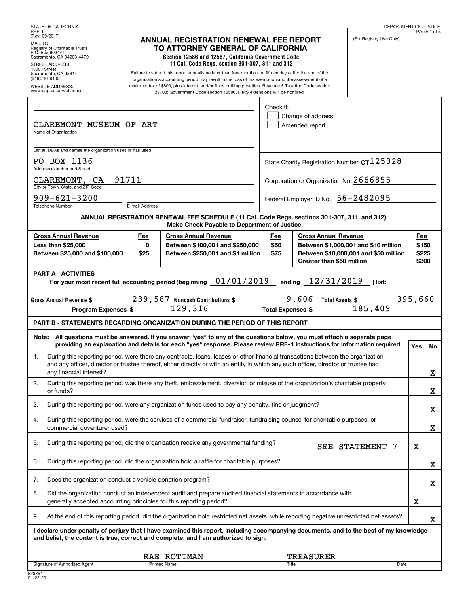| STATE OF CALIFORNIA<br>RRF-1                                                                                                                    |                |                                                                                                                                                                                                                                                                                                                                                                                                 |              |                                     |                             |                                                                               | DEPARTMENT OF JUSTICE | PAGE 1 of 5             |
|-------------------------------------------------------------------------------------------------------------------------------------------------|----------------|-------------------------------------------------------------------------------------------------------------------------------------------------------------------------------------------------------------------------------------------------------------------------------------------------------------------------------------------------------------------------------------------------|--------------|-------------------------------------|-----------------------------|-------------------------------------------------------------------------------|-----------------------|-------------------------|
| (Rev. 09/2017)<br>MAIL TO:<br>Registry of Charitable Trusts<br>P.O. Box 903447<br>Sacramento, CA 94203-4470<br>STREET ADDRESS:<br>1300   Street |                | <b>ANNUAL REGISTRATION RENEWAL FEE REPORT</b><br>TO ATTORNEY GENERAL OF CALIFORNIA<br>Section 12586 and 12587, California Government Code<br>11 Cal. Code Regs. section 301-307, 311 and 312                                                                                                                                                                                                    |              |                                     |                             | (For Registry Use Only)                                                       |                       |                         |
| Sacramento, CA 95814<br>(916)210-6400<br><b>WEBSITE ADDRESS:</b><br>www.oag.ca.gov/charities                                                    |                | Failure to submit this report annually no later than four months and fifteen days after the end of the<br>organization's accounting period may result in the loss of tax exemption and the assessment of a<br>minimum tax of \$800, plus interest, and/or fines or filing penalties. Revenue & Taxation Code section<br>23703; Government Code section 12586.1. IRS extensions will be honored. |              |                                     |                             |                                                                               |                       |                         |
| CLAREMONT MUSEUM OF ART                                                                                                                         |                |                                                                                                                                                                                                                                                                                                                                                                                                 | Check if:    | Change of address<br>Amended report |                             |                                                                               |                       |                         |
| Name of Organization                                                                                                                            |                |                                                                                                                                                                                                                                                                                                                                                                                                 |              |                                     |                             |                                                                               |                       |                         |
| List all DBAs and names the organization uses or has used<br>PO BOX 1136                                                                        |                |                                                                                                                                                                                                                                                                                                                                                                                                 |              |                                     |                             | State Charity Registration Number $c$ T $125328$                              |                       |                         |
| Address (Number and Street)<br>CLAREMONT, CA                                                                                                    | 91711          |                                                                                                                                                                                                                                                                                                                                                                                                 |              |                                     |                             | Corporation or Organization No. 2666855                                       |                       |                         |
| City or Town, State, and ZIP Code<br>$909 - 621 - 3200$                                                                                         |                |                                                                                                                                                                                                                                                                                                                                                                                                 |              |                                     |                             | Federal Employer ID No. 56-2482095                                            |                       |                         |
| Telephone Number                                                                                                                                | E-mail Address | ANNUAL REGISTRATION RENEWAL FEE SCHEDULE (11 Cal. Code Regs. sections 301-307, 311, and 312)                                                                                                                                                                                                                                                                                                    |              |                                     |                             |                                                                               |                       |                         |
| <b>Gross Annual Revenue</b>                                                                                                                     | Fee            | Make Check Payable to Department of Justice<br><b>Gross Annual Revenue</b>                                                                                                                                                                                                                                                                                                                      | Fee          |                                     | <b>Gross Annual Revenue</b> |                                                                               | Fee                   |                         |
| <b>Less than \$25,000</b><br>Between \$25,000 and \$100,000                                                                                     | 0<br>\$25      | Between \$100,001 and \$250,000<br>Between \$250,001 and \$1 million                                                                                                                                                                                                                                                                                                                            | \$50<br>\$75 |                                     | Greater than \$50 million   | Between \$1,000,001 and \$10 million<br>Between \$10,000,001 and \$50 million |                       | \$150<br>\$225<br>\$300 |
| <b>PART A - ACTIVITIES</b>                                                                                                                      |                | For your most recent full accounting period (beginning $01/01/2019$                                                                                                                                                                                                                                                                                                                             |              |                                     | ending 12/31/2019           | ) list:                                                                       |                       |                         |
|                                                                                                                                                 |                |                                                                                                                                                                                                                                                                                                                                                                                                 |              |                                     |                             |                                                                               |                       |                         |
| Program Expenses \$                                                                                                                             |                | Gross Annual Revenue $\frac{239,587}{2}$ Noncash Contributions $\frac{239,587}{2}$<br>129,316<br><b>Total Expenses \$</b>                                                                                                                                                                                                                                                                       |              | 9,606                               | Total Assets \$             | 185,409                                                                       | 395,660               |                         |
|                                                                                                                                                 |                | <b>PART B - STATEMENTS REGARDING ORGANIZATION DURING THE PERIOD OF THIS REPORT</b>                                                                                                                                                                                                                                                                                                              |              |                                     |                             |                                                                               |                       |                         |
|                                                                                                                                                 |                | Note: All questions must be answered. If you answer "yes" to any of the questions below, you must attach a separate page<br>providing an explanation and details for each "yes" response. Please review RRF-1 instructions for information required.                                                                                                                                            |              |                                     |                             |                                                                               | Yes                   | No                      |
| 1.<br>any financial interest?                                                                                                                   |                | During this reporting period, were there any contracts, loans, leases or other financial transactions between the organization<br>and any officer, director or trustee thereof, either directly or with an entity in which any such officer, director or trustee had                                                                                                                            |              |                                     |                             |                                                                               |                       | х                       |
| 2.<br>or funds?                                                                                                                                 |                | During this reporting period, was there any theft, embezzlement, diversion or misuse of the organization's charitable property                                                                                                                                                                                                                                                                  |              |                                     |                             |                                                                               |                       | х                       |
| З.                                                                                                                                              |                | During this reporting period, were any organization funds used to pay any penalty, fine or judgment?                                                                                                                                                                                                                                                                                            |              |                                     |                             |                                                                               |                       | х                       |
| 4.<br>commercial coventurer used?                                                                                                               |                | During this reporting period, were the services of a commercial fundraiser, fundraising counsel for charitable purposes, or                                                                                                                                                                                                                                                                     |              |                                     |                             |                                                                               |                       | х                       |
| 5.                                                                                                                                              |                | During this reporting period, did the organization receive any governmental funding?                                                                                                                                                                                                                                                                                                            |              |                                     |                             | SEE STATEMENT<br>7                                                            | X                     |                         |
| 6.                                                                                                                                              |                | During this reporting period, did the organization hold a raffle for charitable purposes?                                                                                                                                                                                                                                                                                                       |              |                                     |                             |                                                                               |                       | х                       |
| Does the organization conduct a vehicle donation program?<br>7.                                                                                 |                |                                                                                                                                                                                                                                                                                                                                                                                                 |              |                                     |                             |                                                                               |                       | х                       |
| 8.<br>generally accepted accounting principles for this reporting period?                                                                       |                | Did the organization conduct an independent audit and prepare audited financial statements in accordance with                                                                                                                                                                                                                                                                                   |              |                                     |                             |                                                                               | X                     |                         |
| 9.                                                                                                                                              |                | At the end of this reporting period, did the organization hold restricted net assets, while reporting negative unrestricted net assets?                                                                                                                                                                                                                                                         |              |                                     |                             |                                                                               |                       | х                       |
|                                                                                                                                                 |                | I declare under penalty of perjury that I have examined this report, including accompanying documents, and to the best of my knowledge<br>and belief, the content is true, correct and complete, and I am authorized to sign.                                                                                                                                                                   |              |                                     |                             |                                                                               |                       |                         |
|                                                                                                                                                 |                | RAE ROTTMAN<br><b>Printed Name</b>                                                                                                                                                                                                                                                                                                                                                              |              | TREASURER<br><b>Title</b>           |                             | Date                                                                          |                       |                         |
| Signature of Authorized Agent                                                                                                                   |                |                                                                                                                                                                                                                                                                                                                                                                                                 |              |                                     |                             |                                                                               |                       |                         |